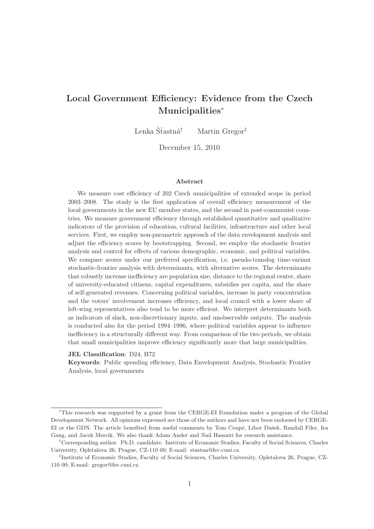# Local Government Efficiency: Evidence from the Czech Municipalities<sup>∗</sup>

Lenka Šťastná<sup>†</sup> Martin Gregor<sup>‡</sup>

December 15, 2010

#### Abstract

We measure cost efficiency of 202 Czech municipalities of extended scope in period 2003–2008. The study is the first application of overall efficiency measurement of the local governments in the new EU member states, and the second in post-communist countries. We measure government efficiency through established quantitative and qualitative indicators of the provision of education, cultural facilities, infrastructure and other local services. First, we employ non-parametric approach of the data envelopment analysis and adjust the efficiency scores by bootstrapping. Second, we employ the stochastic frontier analysis and control for effects of various demographic, economic, and political variables. We compare scores under our preferred specification, i.e. pseudo-translog time-variant stochastic-frontier analysis with determinants, with alternative scores. The determinants that robustly increase inefficiency are population size, distance to the regional center, share of university-educated citizens, capital expenditures, subsidies per capita, and the share of self-generated revenues. Concerning political variables, increase in party concentration and the voters' involvement increases efficiency, and local council with a lower share of left-wing representatives also tend to be more efficient. We interpret determinants both as indicators of slack, non-discretionary inputs, and unobservable outputs. The analysis is conducted also for the period 1994–1996, where political variables appear to influence inefficiency in a structurally different way. From comparison of the two periods, we obtain that small municipalities improve efficiency significantly more that large municipalities.

#### JEL Classification: D24, H72

Keywords: Public spending efficiency, Data Envelopment Analysis, Stochastic Frontier Analysis, local governments

<sup>∗</sup>This research was supported by a grant from the CERGE-EI Foundation under a program of the Global Development Network. All opinions expressed are those of the authors and have not been endorsed by CERGE-EI or the GDN. The article benefited from useful comments by Tom Coupé, Libor Dušek, Randall Filer, Ira Gang, and Jacek Mercik. We also thank Adam Ander and Nail Hassairi for research assistance.

<sup>†</sup>Corresponding author. Ph.D. candidate. Institute of Economic Studies, Faculty of Social Sciences, Charles University, Opletalova 26, Prague, CZ-110 00; E-mail: stastna@fsv.cuni.cz.

<sup>‡</sup> Institute of Economic Studies, Faculty of Social Sciences, Charles University, Opletalova 26, Prague, CZ-110 00; E-mail: gregor@fsv.cuni.cz.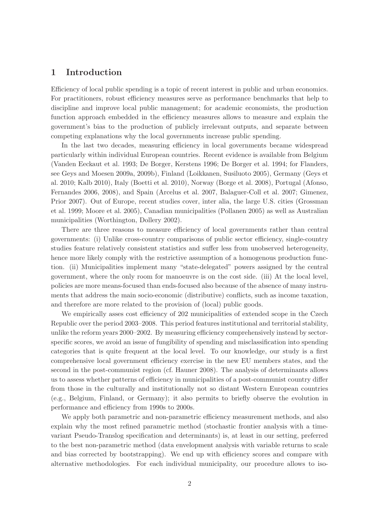### 1 Introduction

Efficiency of local public spending is a topic of recent interest in public and urban economics. For practitioners, robust efficiency measures serve as performance benchmarks that help to discipline and improve local public management; for academic economists, the production function approach embedded in the efficiency measures allows to measure and explain the government's bias to the production of publicly irrelevant outputs, and separate between competing explanations why the local governments increase public spending.

In the last two decades, measuring efficiency in local governments became widespread particularly within individual European countries. Recent evidence is available from Belgium (Vanden Eeckaut et al. 1993; De Borger, Kerstens 1996; De Borger et al. 1994; for Flanders, see Geys and Moesen 2009a, 2009b), Finland (Loikkanen, Susiluoto 2005), Germany (Geys et al. 2010; Kalb 2010), Italy (Boetti et al. 2010), Norway (Borge et al. 2008), Portugal (Afonso, Fernandes 2006, 2008), and Spain (Arcelus et al. 2007, Balaguer-Coll et al. 2007; Gimenez, Prior 2007). Out of Europe, recent studies cover, inter alia, the large U.S. cities (Grossman et al. 1999; Moore et al. 2005), Canadian municipalities (Pollanen 2005) as well as Australian municipalities (Worthington, Dollery 2002).

There are three reasons to measure efficiency of local governments rather than central governments: (i) Unlike cross-country comparisons of public sector efficiency, single-country studies feature relatively consistent statistics and suffer less from unobserved heterogeneity, hence more likely comply with the restrictive assumption of a homogenous production function. (ii) Municipalities implement many "state-delegated" powers assigned by the central government, where the only room for manoeuvre is on the cost side. (iii) At the local level, policies are more means-focused than ends-focused also because of the absence of many instruments that address the main socio-economic (distributive) conflicts, such as income taxation, and therefore are more related to the provision of (local) public goods.

We empirically asses cost efficiency of 202 municipalities of extended scope in the Czech Republic over the period 2003–2008. This period features institutional and territorial stability, unlike the reform years 2000–2002. By measuring efficiency comprehensively instead by sectorspecific scores, we avoid an issue of fungibility of spending and misclassification into spending categories that is quite frequent at the local level. To our knowledge, our study is a first comprehensive local government efficiency exercise in the new EU members states, and the second in the post-communist region (cf. Hauner 2008). The analysis of determinants allows us to assess whether patterns of efficiency in municipalities of a post-communist country differ from those in the culturally and institutionally not so distant Western European countries (e.g., Belgium, Finland, or Germany); it also permits to briefly observe the evolution in performance and efficiency from 1990s to 2000s.

We apply both parametric and non-parametric efficiency measurement methods, and also explain why the most refined parametric method (stochastic frontier analysis with a timevariant Pseudo-Translog specification and determinants) is, at least in our setting, preferred to the best non-parametric method (data envelopment analysis with variable returns to scale and bias corrected by bootstrapping). We end up with efficiency scores and compare with alternative methodologies. For each individual municipality, our procedure allows to iso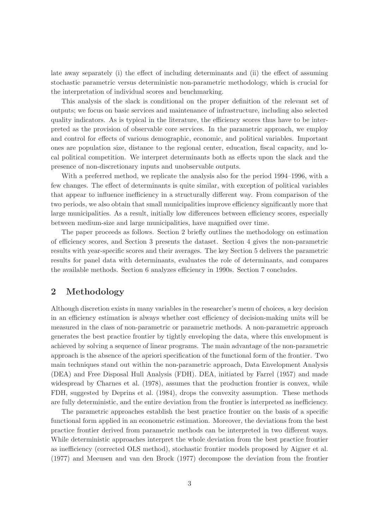late away separately (i) the effect of including determinants and (ii) the effect of assuming stochastic parametric versus deterministic non-parametric methodology, which is crucial for the interpretation of individual scores and benchmarking.

This analysis of the slack is conditional on the proper definition of the relevant set of outputs; we focus on basic services and maintenance of infrastructure, including also selected quality indicators. As is typical in the literature, the efficiency scores thus have to be interpreted as the provision of observable core services. In the parametric approach, we employ and control for effects of various demographic, economic, and political variables. Important ones are population size, distance to the regional center, education, fiscal capacity, and local political competition. We interpret determinants both as effects upon the slack and the presence of non-discretionary inputs and unobservable outputs.

With a preferred method, we replicate the analysis also for the period 1994–1996, with a few changes. The effect of determinants is quite similar, with exception of political variables that appear to influence inefficiency in a structurally different way. From comparison of the two periods, we also obtain that small municipalities improve efficiency significantly more that large municipalities. As a result, initially low differences between efficiency scores, especially between medium-size and large municipalities, have magnified over time.

The paper proceeds as follows. Section 2 briefly outlines the methodology on estimation of efficiency scores, and Section 3 presents the dataset. Section 4 gives the non-parametric results with year-specific scores and their averages. The key Section 5 delivers the parametric results for panel data with determinants, evaluates the role of determinants, and compares the available methods. Section 6 analyzes efficiency in 1990s. Section 7 concludes.

# 2 Methodology

Although discretion exists in many variables in the researcher's menu of choices, a key decision in an efficiency estimation is always whether cost efficiency of decision-making units will be measured in the class of non-parametric or parametric methods. A non-parametric approach generates the best practice frontier by tightly enveloping the data, where this envelopment is achieved by solving a sequence of linear programs. The main advantage of the non-parametric approach is the absence of the apriori specification of the functional form of the frontier. Two main techniques stand out within the non-parametric approach, Data Envelopment Analysis (DEA) and Free Disposal Hull Analysis (FDH). DEA, initiated by Farrel (1957) and made widespread by Charnes et al. (1978), assumes that the production frontier is convex, while FDH, suggested by Deprins et al. (1984), drops the convexity assumption. These methods are fully deterministic, and the entire deviation from the frontier is interpreted as inefficiency.

The parametric approaches establish the best practice frontier on the basis of a specific functional form applied in an econometric estimation. Moreover, the deviations from the best practice frontier derived from parametric methods can be interpreted in two different ways. While deterministic approaches interpret the whole deviation from the best practice frontier as inefficiency (corrected OLS method), stochastic frontier models proposed by Aigner et al. (1977) and Meeusen and van den Brock (1977) decompose the deviation from the frontier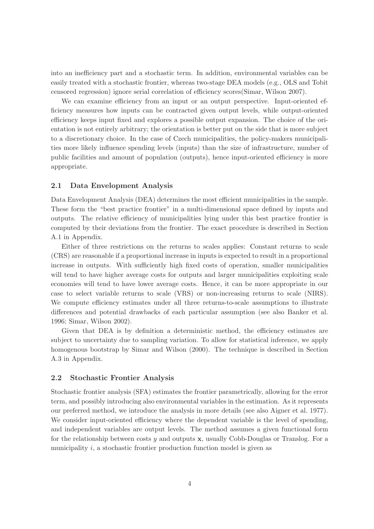into an inefficiency part and a stochastic term. In addition, environmental variables can be easily treated with a stochastic frontier, whereas two-stage DEA models (e.g., OLS and Tobit censored regression) ignore serial correlation of efficiency scores(Simar, Wilson 2007).

We can examine efficiency from an input or an output perspective. Input-oriented efficiency measures how inputs can be contracted given output levels, while output-oriented efficiency keeps input fixed and explores a possible output expansion. The choice of the orientation is not entirely arbitrary; the orientation is better put on the side that is more subject to a discretionary choice. In the case of Czech municipalities, the policy-makers municipalities more likely influence spending levels (inputs) than the size of infrastructure, number of public facilities and amount of population (outputs), hence input-oriented efficiency is more appropriate.

### 2.1 Data Envelopment Analysis

Data Envelopment Analysis (DEA) determines the most efficient municipalities in the sample. These form the "best practice frontier" in a multi-dimensional space defined by inputs and outputs. The relative efficiency of municipalities lying under this best practice frontier is computed by their deviations from the frontier. The exact procedure is described in Section A.1 in Appendix.

Either of three restrictions on the returns to scales applies: Constant returns to scale (CRS) are reasonable if a proportional increase in inputs is expected to result in a proportional increase in outputs. With sufficiently high fixed costs of operation, smaller municipalities will tend to have higher average costs for outputs and larger municipalities exploiting scale economies will tend to have lower average costs. Hence, it can be more appropriate in our case to select variable returns to scale (VRS) or non-increasing returns to scale (NIRS). We compute efficiency estimates under all three returns-to-scale assumptions to illustrate differences and potential drawbacks of each particular assumption (see also Banker et al. 1996; Simar, Wilson 2002).

Given that DEA is by definition a deterministic method, the efficiency estimates are subject to uncertainty due to sampling variation. To allow for statistical inference, we apply homogenous bootstrap by Simar and Wilson (2000). The technique is described in Section A.3 in Appendix.

### 2.2 Stochastic Frontier Analysis

Stochastic frontier analysis (SFA) estimates the frontier parametrically, allowing for the error term, and possibly introducing also environmental variables in the estimation. As it represents our preferred method, we introduce the analysis in more details (see also Aigner et al. 1977). We consider input-oriented efficiency where the dependent variable is the level of spending, and independent variables are output levels. The method assumes a given functional form for the relationship between costs y and outputs  $x$ , usually Cobb-Douglas or Translog. For a municipality i, a stochastic frontier production function model is given as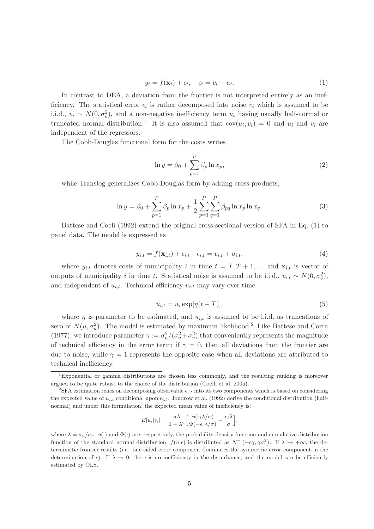$$
y_i = f(\mathbf{x}_i) + \epsilon_i, \quad \epsilon_i = v_i + u_i.
$$
\n<sup>(1)</sup>

In contrast to DEA, a deviation from the frontier is not interpreted entirely as an inefficiency. The statistical error  $\epsilon_i$  is rather decomposed into noise  $v_i$  which is assumed to be i.i.d.,  $v_i \sim N(0, \sigma_v^2)$ , and a non-negative inefficiency term  $u_i$  having usually half-normal or truncated normal distribution.<sup>1</sup> It is also assumed that  $cov(u_i, v_i) = 0$  and  $u_i$  and  $v_i$  are independent of the regressors.

The Cobb-Douglas functional form for the costs writes

$$
\ln y = \beta_0 + \sum_{p=1}^{P} \beta_p \ln x_p,
$$
\n(2)

while Translog generalizes Cobb-Douglas form by adding cross-products,

$$
\ln y = \beta_0 + \sum_{p=1}^{P} \beta_p \ln x_p + \frac{1}{2} \sum_{p=1}^{P} \sum_{q=1}^{P} \beta_{pq} \ln x_p \ln x_q.
$$
 (3)

Battese and Coeli (1992) extend the original cross-sectional version of SFA in Eq. (1) to panel data. The model is expressed as

$$
y_{i,t} = f(\mathbf{x}_{i,t}) + \epsilon_{i,t} \quad \epsilon_{i,t} = v_{i,t} + u_{i,t},\tag{4}
$$

where  $y_{i,t}$  denotes costs of municipality i in time  $t = T, T + 1, \ldots$  and  $\mathbf{x}_{i,t}$  is vector of outputs of municipality i in time t. Statistical noise is assumed to be i.i.d.,  $v_{i,t} \sim N(0, \sigma_v^2)$ , and independent of  $u_{i,t}$ . Technical efficiency  $u_{i,t}$  may vary over time

$$
u_{i,t} = u_i \exp[\eta(t - T)],\tag{5}
$$

where  $\eta$  is parameter to be estimated, and  $u_{i,t}$  is assumed to be i.i.d. as truncations of zero of  $N(\mu, \sigma_u^2)$ . The model is estimated by maximum likelihood.<sup>2</sup> Like Battese and Corra (1977), we introduce parameter  $\gamma := \sigma_u^2/(\sigma_u^2 + \sigma_v^2)$  that conveniently represents the magnitude of technical efficiency in the error term; if  $\gamma = 0$ , then all deviations from the frontier are due to noise, while  $\gamma = 1$  represents the opposite case when all deviations are attributed to technical inefficiency.

$$
E[u_i|\epsilon_i] = \frac{\sigma \lambda}{1 + \lambda^2} \Big[ \frac{\phi(\epsilon_i \lambda/\sigma)}{\Phi(-\epsilon_i \lambda/\sigma)} - \frac{\epsilon_i \lambda}{\sigma} \Big],
$$

<sup>1</sup>Exponential or gamma distributions are chosen less commonly, and the resulting ranking is moreover argued to be quite robust to the choice of the distribution (Coelli et al. 2005).

<sup>&</sup>lt;sup>2</sup>SFA estimation relies on decomposing observable  $\epsilon_{i,t}$  into its two components which is based on considering the expected value of  $u_{i,t}$  conditional upon  $\epsilon_{i,t}$ . Jondrow et al. (1992) derive the conditional distribution (halfnormal) and under this formulation, the expected mean value of inefficiency is:

where  $\lambda = \sigma_u/\sigma_v$ ,  $\phi(\cdot)$  and  $\Phi(\cdot)$  are, respectively, the probability density function and cumulative distribution function of the standard normal distribution,  $f(u|\epsilon)$  is distributed as  $N^+$  ( $-\epsilon \gamma, \gamma \sigma_v^2$ ). If  $\lambda \to +\infty$ , the deterministic frontier results (i.e., one-sided error component dominates the symmetric error component in the determination of  $\epsilon$ ). If  $\lambda \to 0$ , there is no inefficiency in the disturbance, and the model can be efficiently estimated by OLS.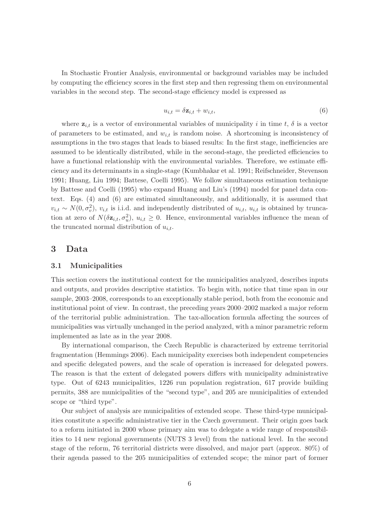In Stochastic Frontier Analysis, environmental or background variables may be included by computing the efficiency scores in the first step and then regressing them on environmental variables in the second step. The second-stage efficiency model is expressed as

$$
u_{i,t} = \delta \mathbf{z}_{i,t} + w_{i,t},\tag{6}
$$

where  $z_{i,t}$  is a vector of environmental variables of municipality i in time t,  $\delta$  is a vector of parameters to be estimated, and  $w_{i,t}$  is random noise. A shortcoming is inconsistency of assumptions in the two stages that leads to biased results: In the first stage, inefficiencies are assumed to be identically distributed, while in the second-stage, the predicted efficiencies to have a functional relationship with the environmental variables. Therefore, we estimate efficiency and its determinants in a single-stage (Kumbhakar et al. 1991; Reifschneider, Stevenson 1991; Huang, Liu 1994; Battese, Coelli 1995). We follow simultaneous estimation technique by Battese and Coelli (1995) who expand Huang and Liu's (1994) model for panel data context. Eqs. (4) and (6) are estimated simultaneously, and additionally, it is assumed that  $v_{i,t} \sim N(0, \sigma_v^2)$ ,  $v_{i,t}$  is i.i.d. and independently distributed of  $u_{i,t}$ ,  $u_{i,t}$  is obtained by truncation at zero of  $N(\delta \mathbf{z}_{i,t}, \sigma_u^2)$ ,  $u_{i,t} \geq 0$ . Hence, environmental variables influence the mean of the truncated normal distribution of  $u_{i,t}$ .

### 3 Data

### 3.1 Municipalities

This section covers the institutional context for the municipalities analyzed, describes inputs and outputs, and provides descriptive statistics. To begin with, notice that time span in our sample, 2003–2008, corresponds to an exceptionally stable period, both from the economic and institutional point of view. In contrast, the preceding years 2000–2002 marked a major reform of the territorial public administration. The tax-allocation formula affecting the sources of municipalities was virtually unchanged in the period analyzed, with a minor parametric reform implemented as late as in the year 2008.

By international comparison, the Czech Republic is characterized by extreme territorial fragmentation (Hemmings 2006). Each municipality exercises both independent competencies and specific delegated powers, and the scale of operation is increased for delegated powers. The reason is that the extent of delegated powers differs with municipality administrative type. Out of 6243 municipalities, 1226 run population registration, 617 provide building permits, 388 are municipalities of the "second type", and 205 are municipalities of extended scope or "third type".

Our subject of analysis are municipalities of extended scope. These third-type municipalities constitute a specific administrative tier in the Czech government. Their origin goes back to a reform initiated in 2000 whose primary aim was to delegate a wide range of responsibilities to 14 new regional governments (NUTS 3 level) from the national level. In the second stage of the reform, 76 territorial districts were dissolved, and major part (approx. 80%) of their agenda passed to the 205 municipalities of extended scope; the minor part of former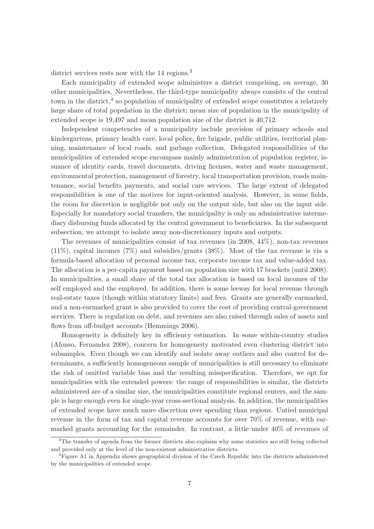district services rests now with the 14 regions.<sup>3</sup>

Each municipality of extended scope administers a district comprising, on average, 30 other municipalities. Nevertheless, the third-type municipality always consists of the central town in the district,<sup>4</sup> so population of municipality of extended scope constitutes a relatively large share of total population in the district; mean size of population in the municipality of extended scope is 19,497 and mean population size of the district is 40,712.

Independent competencies of a municipality include provision of primary schools and kindergartens, primary health care, local police, fire brigade, public utilities, territorial planning, maintenance of local roads, and garbage collection. Delegated responsibilities of the municipalities of extended scope encompass mainly administration of population register, issuance of identity cards, travel documents, driving licenses, water and waste management, environmental protection, management of forestry, local transportation provision, roads maintenance, social benefits payments, and social care services. The large extent of delegated responsibilities is one of the motives for input-oriented analysis. However, in some fields, the room for discretion is negligible not only on the output side, but also on the input side. Especially for mandatory social transfers, the municipality is only an administrative intermediary disbursing funds allocated by the central government to beneficiaries. In the subsequent subsection, we attempt to isolate away non-discretionary inputs and outputs.

The revenues of municipalities consist of tax revenues (in 2008, 44%), non-tax revenues  $(11\%)$ , capital incomes (7%) and subsidies/grants (38%). Most of the tax revenue is via a formula-based allocation of personal income tax, corporate income tax and value-added tax. The allocation is a per-capita payment based on population size with 17 brackets (until 2008). In municipalities, a small share of the total tax allocation is based on local incomes of the self employed and the employed. In addition, there is some leeway for local revenue through real-estate taxes (though within statutory limits) and fees. Grants are generally earmarked, and a non-earmarked grant is also provided to cover the cost of providing central-government services. There is regulation on debt, and revenues are also raised through sales of assets and flows from off-budget accounts (Hemmings 2006).

Homogeneity is definitely key in efficiency estimation. In some within-country studies (Afonso, Fernandez 2008), concern for homogeneity motivated even clustering district into subsamples. Even though we can identify and isolate away outliers and also control for determinants, a sufficiently homogeneous sample of municipalities is still necessary to eliminate the risk of omitted variable bias and the resulting misspecification. Therefore, we opt for municipalities with the extended powers: the range of responsibilities is similar, the districts administered are of a similar size, the municipalities constitute regional centers, and the sample is large enough even for single-year cross-sectional analysis. In addition, the municipalities of extended scope have much more discretion over spending than regions. Untied municipal revenue in the form of tax and capital revenue accounts for over 70% of revenue, with earmarked grants accounting for the remainder. In contrast, a little under 40% of revenues of

<sup>&</sup>lt;sup>3</sup>The transfer of agenda from the former districts also explains why some statistics are still being collected and provided only at the level of the non-existent administrative districts.

<sup>4</sup>Figure A1 in Appendix shows geographical division of the Czech Republic into the districts administered by the municipalities of extended scope.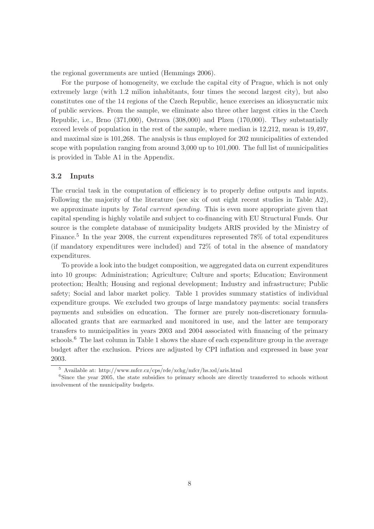the regional governments are untied (Hemmings 2006).

For the purpose of homogeneity, we exclude the capital city of Prague, which is not only extremely large (with 1.2 milion inhabitants, four times the second largest city), but also constitutes one of the 14 regions of the Czech Republic, hence exercises an idiosyncratic mix of public services. From the sample, we eliminate also three other largest cities in the Czech Republic, i.e., Brno (371,000), Ostrava (308,000) and Plzen (170,000). They substantially exceed levels of population in the rest of the sample, where median is 12,212, mean is 19,497, and maximal size is 101,268. The analysis is thus employed for 202 municipalities of extended scope with population ranging from around 3,000 up to 101,000. The full list of municipalities is provided in Table A1 in the Appendix.

### 3.2 Inputs

The crucial task in the computation of efficiency is to properly define outputs and inputs. Following the majority of the literature (see six of out eight recent studies in Table A2), we approximate inputs by *Total current spending*. This is even more appropriate given that capital spending is highly volatile and subject to co-financing with EU Structural Funds. Our source is the complete database of municipality budgets ARIS provided by the Ministry of Finance.<sup>5</sup> In the year 2008, the current expenditures represented 78% of total expenditures (if mandatory expenditures were included) and 72% of total in the absence of mandatory expenditures.

To provide a look into the budget composition, we aggregated data on current expenditures into 10 groups: Administration; Agriculture; Culture and sports; Education; Environment protection; Health; Housing and regional development; Industry and infrastructure; Public safety; Social and labor market policy. Table 1 provides summary statistics of individual expenditure groups. We excluded two groups of large mandatory payments: social transfers payments and subsidies on education. The former are purely non-discretionary formulaallocated grants that are earmarked and monitored in use, and the latter are temporary transfers to municipalities in years 2003 and 2004 associated with financing of the primary schools.<sup>6</sup> The last column in Table 1 shows the share of each expenditure group in the average budget after the exclusion. Prices are adjusted by CPI inflation and expressed in base year 2003.

<sup>5</sup> Available at: http://www.mfcr.cz/cps/rde/xchg/mfcr/hs.xsl/aris.html

 $6$ Since the year 2005, the state subsidies to primary schools are directly transferred to schools without involvement of the municipality budgets.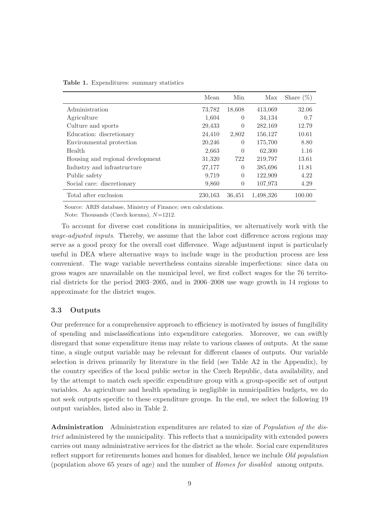|                                  | Mean    | Min      | Max       | Share $(\%)$ |
|----------------------------------|---------|----------|-----------|--------------|
| Administration                   | 73,782  | 18,608   | 413,069   | 32.06        |
| Agriculture                      | 1,604   | $\theta$ | 34,134    | 0.7          |
| Culture and sports               | 29,433  | $\theta$ | 282,169   | 12.79        |
| Education: discretionary         | 24,410  | 2,802    | 156,127   | 10.61        |
| Environmental protection         | 20,246  | $\theta$ | 175,700   | 8.80         |
| Health                           | 2,663   | $\theta$ | 62,300    | 1.16         |
| Housing and regional development | 31,320  | 722      | 219,797   | 13.61        |
| Industry and infrastructure      | 27,177  | $\left($ | 385,696   | 11.81        |
| Public safety                    | 9,719   | $\left($ | 122,909   | 4.22         |
| Social care: discretionary       | 9,860   | $\theta$ | 107,973   | 4.29         |
| Total after exclusion            | 230.163 | 36.451   | 1,498,326 | 100.00       |

Table 1. Expenditures: summary statistics

Source: ARIS database, Ministry of Finance; own calculations. Note: Thousands (Czech koruna), N=1212.

To account for diverse cost conditions in municipalities, we alternatively work with the wage-adjusted inputs. Thereby, we assume that the labor cost difference across regions may serve as a good proxy for the overall cost difference. Wage adjustment input is particularly useful in DEA where alternative ways to include wage in the production process are less convenient. The wage variable nevertheless contains sizeable imperfections: since data on gross wages are unavailable on the municipal level, we first collect wages for the 76 territorial districts for the period 2003–2005, and in 2006–2008 use wage growth in 14 regions to approximate for the district wages.

### 3.3 Outputs

Our preference for a comprehensive approach to efficiency is motivated by issues of fungibility of spending and misclassifications into expenditure categories. Moreover, we can swiftly disregard that some expenditure items may relate to various classes of outputs. At the same time, a single output variable may be relevant for different classes of outputs. Our variable selection is driven primarily by literature in the field (see Table A2 in the Appendix), by the country specifics of the local public sector in the Czech Republic, data availability, and by the attempt to match each specific expenditure group with a group-specific set of output variables. As agriculture and health spending is negligible in municipalities budgets, we do not seek outputs specific to these expenditure groups. In the end, we select the following 19 output variables, listed also in Table 2.

Administration Administration expenditures are related to size of Population of the district administered by the municipality. This reflects that a municipality with extended powers carries out many administrative services for the district as the whole. Social care expenditures reflect support for retirements homes and homes for disabled, hence we include Old population (population above 65 years of age) and the number of Homes for disabled among outputs.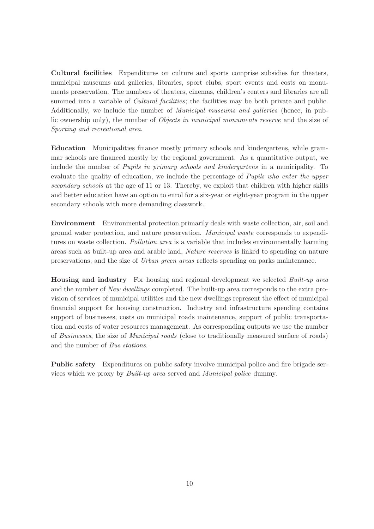Cultural facilities Expenditures on culture and sports comprise subsidies for theaters, municipal museums and galleries, libraries, sport clubs, sport events and costs on monuments preservation. The numbers of theaters, cinemas, children's centers and libraries are all summed into a variable of *Cultural facilities*; the facilities may be both private and public. Additionally, we include the number of Municipal museums and galleries (hence, in public ownership only), the number of *Objects in municipal monuments reserve* and the size of Sporting and recreational area.

Education Municipalities finance mostly primary schools and kindergartens, while grammar schools are financed mostly by the regional government. As a quantitative output, we include the number of Pupils in primary schools and kindergartens in a municipality. To evaluate the quality of education, we include the percentage of *Pupils who enter the upper* secondary schools at the age of 11 or 13. Thereby, we exploit that children with higher skills and better education have an option to enrol for a six-year or eight-year program in the upper secondary schools with more demanding classwork.

Environment Environmental protection primarily deals with waste collection, air, soil and ground water protection, and nature preservation. Municipal waste corresponds to expenditures on waste collection. Pollution area is a variable that includes environmentally harming areas such as built-up area and arable land, Nature reserves is linked to spending on nature preservations, and the size of Urban green areas reflects spending on parks maintenance.

Housing and industry For housing and regional development we selected Built-up area and the number of *New dwellings* completed. The built-up area corresponds to the extra provision of services of municipal utilities and the new dwellings represent the effect of municipal financial support for housing construction. Industry and infrastructure spending contains support of businesses, costs on municipal roads maintenance, support of public transportation and costs of water resources management. As corresponding outputs we use the number of Businesses, the size of Municipal roads (close to traditionally measured surface of roads) and the number of Bus stations.

Public safety Expenditures on public safety involve municipal police and fire brigade services which we proxy by Built-up area served and Municipal police dummy.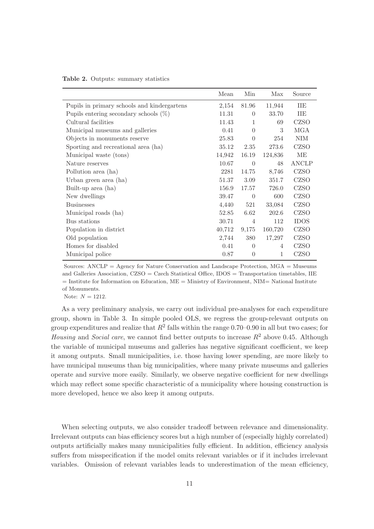|  |  | Table 2. Outputs: summary statistics |  |
|--|--|--------------------------------------|--|
|--|--|--------------------------------------|--|

|                                             | Mean   | Min            | Max     | Source      |
|---------------------------------------------|--------|----------------|---------|-------------|
| Pupils in primary schools and kindergartens | 2,154  | 81.96          | 11,944  | ПE          |
| Pupils entering secondary schools $(\%)$    | 11.31  | $\theta$       | 33.70   | ПE          |
| Cultural facilities                         | 11.43  | 1              | 69      | CZSO        |
| Municipal museums and galleries             | 0.41   | $\theta$       | 3       | <b>MGA</b>  |
| Objects in monuments reserve                | 25.83  | $\theta$       | 254     | NIM         |
| Sporting and recreational area (ha)         | 35.12  | 2.35           | 273.6   | CZSO        |
| Municipal waste (tons)                      | 14,942 | 16.19          | 124,836 | MЕ          |
| Nature reserves                             | 10.67  | $\theta$       | 48      | ANCLP       |
| Pollution area (ha)                         | 2281   | 14.75          | 8,746   | CZSO        |
| Urban green area (ha)                       | 51.37  | 3.09           | 351.7   | CZSO        |
| Built-up area (ha)                          | 156.9  | 17.57          | 726.0   | CZSO        |
| New dwellings                               | 39.47  | $\theta$       | 600     | CZSO        |
| <b>Businesses</b>                           | 4,440  | 521            | 33,084  | CZSO        |
| Municipal roads (ha)                        | 52.85  | 6.62           | 202.6   | CZSO        |
| Bus stations                                | 30.71  | 4              | 112     | <b>IDOS</b> |
| Population in district.                     | 40,712 | 9,175          | 160,720 | CZSO        |
| Old population                              | 2,744  | 380            | 17,297  | CZSO        |
| Homes for disabled                          | 0.41   | $\theta$       | 4       | CZSO        |
| Municipal police                            | 0.87   | $\overline{0}$ | 1       | CZSO        |

Sources:  $\text{ANCLP} = \text{Agency}$  for Nature Conservation and Landscape Protection,  $\text{MGA} = \text{Museums}$ and Galleries Association,  $CZSO = Czech$  Statistical Office, IDOS = Transportation timetables, IIE  $=$  Institute for Information on Education,  $ME =$  Ministry of Environment, NIM= National Institute of Monuments. Note:  $N = 1212$ .

As a very preliminary analysis, we carry out individual pre-analyses for each expenditure group, shown in Table 3. In simple pooled OLS, we regress the group-relevant outputs on group expenditures and realize that  $R^2$  falls within the range 0.70–0.90 in all but two cases; for Housing and Social care, we cannot find better outputs to increase  $R^2$  above 0.45. Although the variable of municipal museums and galleries has negative significant coefficient, we keep it among outputs. Small municipalities, i.e. those having lower spending, are more likely to have municipal museums than big municipalities, where many private museums and galleries operate and survive more easily. Similarly, we observe negative coefficient for new dwellings which may reflect some specific characteristic of a municipality where housing construction is more developed, hence we also keep it among outputs.

When selecting outputs, we also consider tradeoff between relevance and dimensionality. Irrelevant outputs can bias efficiency scores but a high number of (especially highly correlated) outputs artificially makes many municipalities fully efficient. In addition, efficiency analysis suffers from misspecification if the model omits relevant variables or if it includes irrelevant variables. Omission of relevant variables leads to underestimation of the mean efficiency,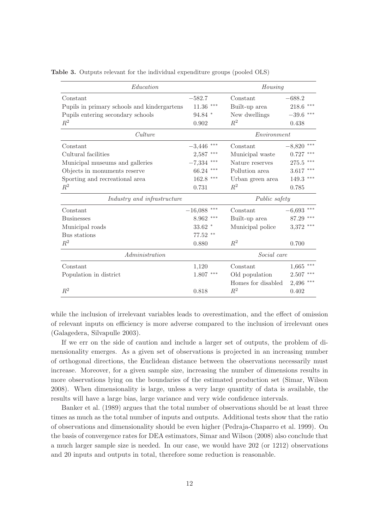| Education                                   |                | Housing            |                  |  |
|---------------------------------------------|----------------|--------------------|------------------|--|
| Constant                                    | $-582.7$       | Constant           | $-688.2$         |  |
| Pupils in primary schools and kindergartens | $11.36$ ***    | Built-up area      | $218.6$ ***      |  |
| Pupils entering secondary schools           | 94.84 *        | New dwellings      | $***$<br>$-39.6$ |  |
| $R^2$                                       | 0.902          | $R^2$              | 0.438            |  |
| Culture                                     |                | Environment        |                  |  |
| Constant                                    | $-3,\!446$ *** | Constant           | $-8,820$         |  |
| Cultural facilities                         | $2,587$ ***    | Municipal waste    | 0.727            |  |
| Municipal museums and galleries             | $-7,334$ ***   | Nature reserves    | $***$<br>275.5   |  |
| Objects in monuments reserve                | $66.24$ ***    | Pollution area     | $***$<br>3.617   |  |
| Sporting and recreational area              | $162.8$ ***    | Urban green area   | 149.3<br>$***$   |  |
| $R^2$                                       | 0.731          | $R^2$              | 0.785            |  |
| Industry and infrastructure                 |                | Public safety      |                  |  |
| Constant                                    | $-16,088$ ***  | Constant           | $-6,693$ ***     |  |
| <b>Businesses</b>                           | $8.962$ ***    | Built-up area      | $***$<br>87.29   |  |
| Municipal roads                             | $33.62*$       | Municipal police   | $***$<br>3,372   |  |
| Bus stations                                | $77.52$ **     |                    |                  |  |
| $\mathbb{R}^2$                              | 0.880          | $R^2$              | 0.700            |  |
| Administration                              |                | Social care        |                  |  |
| Constant                                    | 1,120          | Constant           | 1,665            |  |
| Population in district                      | $1.807$ ***    | Old population     | $***$<br>2.507   |  |
|                                             |                | Homes for disabled | $***$<br>2,496   |  |
| $R^2$                                       | 0.818          | $R^2$              | 0.402            |  |

Table 3. Outputs relevant for the individual expenditure groups (pooled OLS)

while the inclusion of irrelevant variables leads to overestimation, and the effect of omission of relevant inputs on efficiency is more adverse compared to the inclusion of irrelevant ones (Galagedera, Silvapulle 2003).

If we err on the side of caution and include a larger set of outputs, the problem of dimensionality emerges. As a given set of observations is projected in an increasing number of orthogonal directions, the Euclidean distance between the observations necessarily must increase. Moreover, for a given sample size, increasing the number of dimensions results in more observations lying on the boundaries of the estimated production set (Simar, Wilson 2008). When dimensionality is large, unless a very large quantity of data is available, the results will have a large bias, large variance and very wide confidence intervals.

Banker et al. (1989) argues that the total number of observations should be at least three times as much as the total number of inputs and outputs. Additional tests show that the ratio of observations and dimensionality should be even higher (Pedraja-Chaparro et al. 1999). On the basis of convergence rates for DEA estimators, Simar and Wilson (2008) also conclude that a much larger sample size is needed. In our case, we would have 202 (or 1212) observations and 20 inputs and outputs in total, therefore some reduction is reasonable.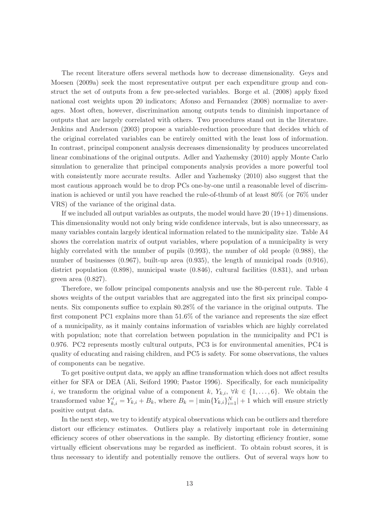The recent literature offers several methods how to decrease dimensionality. Geys and Moesen (2009a) seek the most representative output per each expenditure group and construct the set of outputs from a few pre-selected variables. Borge et al. (2008) apply fixed national cost weights upon 20 indicators; Afonso and Fernandez (2008) normalize to averages. Most often, however, discrimination among outputs tends to diminish importance of outputs that are largely correlated with others. Two procedures stand out in the literature. Jenkins and Anderson (2003) propose a variable-reduction procedure that decides which of the original correlated variables can be entirely omitted with the least loss of information. In contrast, principal component analysis decreases dimensionality by produces uncorrelated linear combinations of the original outputs. Adler and Yazhemsky (2010) apply Monte Carlo simulation to generalize that principal components analysis provides a more powerful tool with consistently more accurate results. Adler and Yazhemsky (2010) also suggest that the most cautious approach would be to drop PCs one-by-one until a reasonable level of discrimination is achieved or until you have reached the rule-of-thumb of at least 80% (or 76% under VRS) of the variance of the original data.

If we included all output variables as outputs, the model would have  $20(19+1)$  dimensions. This dimensionality would not only bring wide confidence intervals, but is also unnecessary, as many variables contain largely identical information related to the municipality size. Table A4 shows the correlation matrix of output variables, where population of a municipality is very highly correlated with the number of pupils  $(0.993)$ , the number of old people  $(0.988)$ , the number of businesses (0.967), built-up area (0.935), the length of municipal roads (0.916), district population (0.898), municipal waste (0.846), cultural facilities (0.831), and urban green area (0.827).

Therefore, we follow principal components analysis and use the 80-percent rule. Table 4 shows weights of the output variables that are aggregated into the first six principal components. Six components suffice to explain 80.28% of the variance in the original outputs. The first component PC1 explains more than 51.6% of the variance and represents the size effect of a municipality, as it mainly contains information of variables which are highly correlated with population; note that correlation between population in the municipality and PC1 is 0.976. PC2 represents mostly cultural outputs, PC3 is for environmental amenities, PC4 is quality of educating and raising children, and PC5 is safety. For some observations, the values of components can be negative.

To get positive output data, we apply an affine transformation which does not affect results either for SFA or DEA (Ali, Seiford 1990; Pastor 1996). Specifically, for each municipality i, we transform the original value of a component k,  $Y_{k,i}$ ,  $\forall k \in \{1,\ldots,6\}$ . We obtain the transformed value  $Y'_{k,i} = Y_{k,i} + B_k$ , where  $B_k = |\min\{Y_{k,i}\}_{i=1}^N| + 1$  which will ensure strictly positive output data.

In the next step, we try to identify atypical observations which can be outliers and therefore distort our efficiency estimates. Outliers play a relatively important role in determining efficiency scores of other observations in the sample. By distorting efficiency frontier, some virtually efficient observations may be regarded as inefficient. To obtain robust scores, it is thus necessary to identify and potentially remove the outliers. Out of several ways how to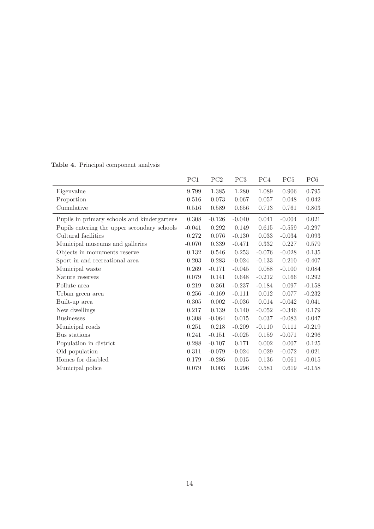|                                             | PC1       | PC2      | PC <sub>3</sub> | PC4       | PC5      | ${\rm PC6}$ |
|---------------------------------------------|-----------|----------|-----------------|-----------|----------|-------------|
| Eigenvalue                                  | 9.799     | 1.385    | 1.280           | 1.089     | 0.906    | 0.795       |
| Proportion                                  | $0.516\,$ | 0.073    | 0.067           | 0.057     | 0.048    | 0.042       |
| Cumulative                                  | 0.516     | 0.589    | 0.656           | 0.713     | 0.761    | 0.803       |
| Pupils in primary schools and kindergartens | 0.308     | $-0.126$ | $-0.040$        | 0.041     | $-0.004$ | $0.021\,$   |
| Pupils entering the upper secondary schools | $-0.041$  | 0.292    | 0.149           | 0.615     | $-0.559$ | $-0.297$    |
| Cultural facilities                         | 0.272     | 0.076    | $-0.130$        | 0.033     | $-0.034$ | $\,0.093\,$ |
| Municipal museums and galleries             | $-0.070$  | 0.339    | $-0.471$        | 0.332     | 0.227    | 0.579       |
| Objects in monuments reserve                | 0.132     | 0.546    | 0.253           | $-0.076$  | $-0.028$ | 0.135       |
| Sport in and recreational area              | 0.203     | 0.283    | $-0.024$        | $-0.133$  | 0.210    | $-0.407$    |
| Municipal waste                             | 0.269     | $-0.171$ | $-0.045$        | 0.088     | $-0.100$ | 0.084       |
| Nature reserves                             | 0.079     | 0.141    | 0.648           | $-0.212$  | 0.166    | 0.292       |
| Pollute area                                | 0.219     | 0.361    | $-0.237$        | $-0.184$  | 0.097    | $-0.158$    |
| Urban green area                            | 0.256     | $-0.169$ | $-0.111$        | 0.012     | 0.077    | $-0.232$    |
| Built-up area                               | 0.305     | 0.002    | $-0.036$        | 0.014     | $-0.042$ | 0.041       |
| New dwellings                               | 0.217     | 0.139    | 0.140           | $-0.052$  | $-0.346$ | 0.179       |
| <b>Businesses</b>                           | 0.308     | $-0.064$ | $0.015\,$       | 0.037     | $-0.083$ | 0.047       |
| Municipal roads                             | 0.251     | 0.218    | $-0.209$        | $-0.110$  | 0.111    | $-0.219$    |
| Bus stations                                | 0.241     | $-0.151$ | $-0.025$        | $0.159\,$ | $-0.071$ | 0.296       |
| Population in district                      | 0.288     | $-0.107$ | 0.171           | 0.002     | 0.007    | 0.125       |
| Old population                              | 0.311     | $-0.079$ | $-0.024$        | 0.029     | $-0.072$ | 0.021       |
| Homes for disabled                          | 0.179     | $-0.286$ | 0.015           | 0.136     | 0.061    | $-0.015$    |
| Municipal police                            | 0.079     | 0.003    | 0.296           | 0.581     | 0.619    | $-0.158$    |

Table 4. Principal component analysis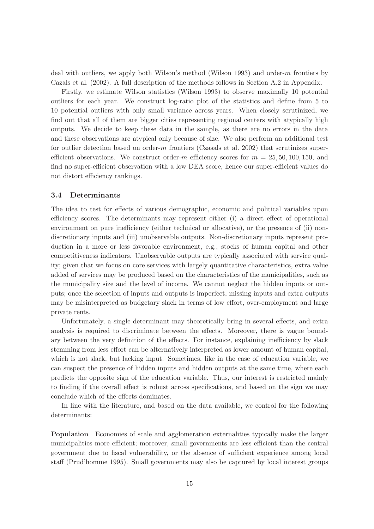deal with outliers, we apply both Wilson's method (Wilson 1993) and order-m frontiers by Cazals et al. (2002). A full description of the methods follows in Section A.2 in Appendix.

Firstly, we estimate Wilson statistics (Wilson 1993) to observe maximally 10 potential outliers for each year. We construct log-ratio plot of the statistics and define from 5 to 10 potential outliers with only small variance across years. When closely scrutinized, we find out that all of them are bigger cities representing regional centers with atypically high outputs. We decide to keep these data in the sample, as there are no errors in the data and these observations are atypical only because of size. We also perform an additional test for outlier detection based on order-m frontiers (Czasals et al. 2002) that scrutinizes superefficient observations. We construct order-m efficiency scores for  $m = 25, 50, 100, 150,$  and find no super-efficient observation with a low DEA score, hence our super-efficient values do not distort efficiency rankings.

### 3.4 Determinants

The idea to test for effects of various demographic, economic and political variables upon efficiency scores. The determinants may represent either (i) a direct effect of operational environment on pure inefficiency (either technical or allocative), or the presence of (ii) nondiscretionary inputs and (iii) unobservable outputs. Non-discretionary inputs represent production in a more or less favorable environment, e.g., stocks of human capital and other competitiveness indicators. Unobservable outputs are typically associated with service quality; given that we focus on core services with largely quantitative characteristics, extra value added of services may be produced based on the characteristics of the municipalities, such as the municipality size and the level of income. We cannot neglect the hidden inputs or outputs; once the selection of inputs and outputs is imperfect, missing inputs and extra outputs may be misinterpreted as budgetary slack in terms of low effort, over-employment and large private rents.

Unfortunately, a single determinant may theoretically bring in several effects, and extra analysis is required to discriminate between the effects. Moreover, there is vague boundary between the very definition of the effects. For instance, explaining inefficiency by slack stemming from less effort can be alternatively interpreted as lower amount of human capital, which is not slack, but lacking input. Sometimes, like in the case of education variable, we can suspect the presence of hidden inputs and hidden outputs at the same time, where each predicts the opposite sign of the education variable. Thus, our interest is restricted mainly to finding if the overall effect is robust across specifications, and based on the sign we may conclude which of the effects dominates.

In line with the literature, and based on the data available, we control for the following determinants:

Population Economies of scale and agglomeration externalities typically make the larger municipalities more efficient; moreover, small governments are less efficient than the central government due to fiscal vulnerability, or the absence of sufficient experience among local staff (Prud'homme 1995). Small governments may also be captured by local interest groups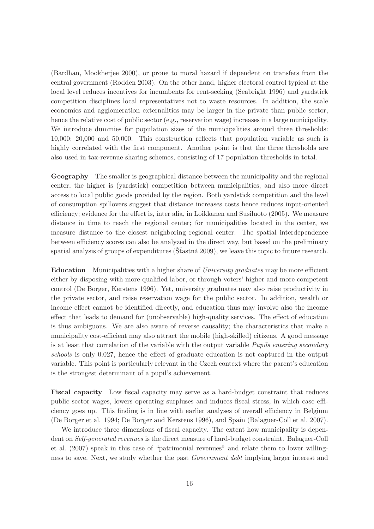(Bardhan, Mookherjee 2000), or prone to moral hazard if dependent on transfers from the central government (Rodden 2003). On the other hand, higher electoral control typical at the local level reduces incentives for incumbents for rent-seeking (Seabright 1996) and yardstick competition disciplines local representatives not to waste resources. In addition, the scale economies and agglomeration externalities may be larger in the private than public sector, hence the relative cost of public sector (e.g., reservation wage) increases in a large municipality. We introduce dummies for population sizes of the municipalities around three thresholds: 10,000; 20,000 and 50,000. This construction reflects that population variable as such is highly correlated with the first component. Another point is that the three thresholds are also used in tax-revenue sharing schemes, consisting of 17 population thresholds in total.

Geography The smaller is geographical distance between the municipality and the regional center, the higher is (yardstick) competition between municipalities, and also more direct access to local public goods provided by the region. Both yardstick competition and the level of consumption spillovers suggest that distance increases costs hence reduces input-oriented efficiency; evidence for the effect is, inter alia, in Loikkanen and Susiluoto (2005). We measure distance in time to reach the regional center; for municipalities located in the center, we measure distance to the closest neighboring regional center. The spatial interdependence between efficiency scores can also be analyzed in the direct way, but based on the preliminary spatial analysis of groups of expenditures (Stastná 2009), we leave this topic to future research.

Education Municipalities with a higher share of University graduates may be more efficient either by disposing with more qualified labor, or through voters' higher and more competent control (De Borger, Kerstens 1996). Yet, university graduates may also raise productivity in the private sector, and raise reservation wage for the public sector. In addition, wealth or income effect cannot be identified directly, and education thus may involve also the income effect that leads to demand for (unobservable) high-quality services. The effect of education is thus ambiguous. We are also aware of reverse causality; the characteristics that make a municipality cost-efficient may also attract the mobile (high-skilled) citizens. A good message is at least that correlation of the variable with the output variable *Pupils entering secondary* schools is only 0.027, hence the effect of graduate education is not captured in the output variable. This point is particularly relevant in the Czech context where the parent's education is the strongest determinant of a pupil's achievement.

Fiscal capacity Low fiscal capacity may serve as a hard-budget constraint that reduces public sector wages, lowers operating surpluses and induces fiscal stress, in which case efficiency goes up. This finding is in line with earlier analyses of overall efficiency in Belgium (De Borger et al. 1994; De Borger and Kerstens 1996), and Spain (Balaguer-Coll et al. 2007).

We introduce three dimensions of fiscal capacity. The extent how municipality is dependent on *Self-generated revenues* is the direct measure of hard-budget constraint. Balaguer-Coll et al. (2007) speak in this case of "patrimonial revenues" and relate them to lower willingness to save. Next, we study whether the past Government debt implying larger interest and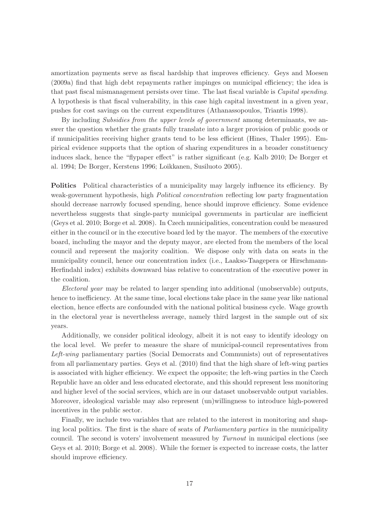amortization payments serve as fiscal hardship that improves efficiency. Geys and Moesen (2009a) find that high debt repayments rather impinges on municipal efficiency; the idea is that past fiscal mismanagement persists over time. The last fiscal variable is Capital spending. A hypothesis is that fiscal vulnerability, in this case high capital investment in a given year, pushes for cost savings on the current expenditures (Athanassopoulos, Triantis 1998).

By including Subsidies from the upper levels of government among determinants, we answer the question whether the grants fully translate into a larger provision of public goods or if municipalities receiving higher grants tend to be less efficient (Hines, Thaler 1995). Empirical evidence supports that the option of sharing expenditures in a broader constituency induces slack, hence the "flypaper effect" is rather significant (e.g. Kalb 2010; De Borger et al. 1994; De Borger, Kerstens 1996; Loikkanen, Susiluoto 2005).

Politics Political characteristics of a municipality may largely influence its efficiency. By weak-government hypothesis, high *Political concentration* reflecting low party fragmentation should decrease narrowly focused spending, hence should improve efficiency. Some evidence nevertheless suggests that single-party municipal governments in particular are inefficient (Geys et al. 2010; Borge et al. 2008). In Czech municipalities, concentration could be measured either in the council or in the executive board led by the mayor. The members of the executive board, including the mayor and the deputy mayor, are elected from the members of the local council and represent the majority coalition. We dispose only with data on seats in the municipality council, hence our concentration index (i.e., Laakso-Taagepera or Hirschmann-Herfindahl index) exhibits downward bias relative to concentration of the executive power in the coalition.

Electoral year may be related to larger spending into additional (unobservable) outputs, hence to inefficiency. At the same time, local elections take place in the same year like national election, hence effects are confounded with the national political business cycle. Wage growth in the electoral year is nevertheless average, namely third largest in the sample out of six years.

Additionally, we consider political ideology, albeit it is not easy to identify ideology on the local level. We prefer to measure the share of municipal-council representatives from Left-wing parliamentary parties (Social Democrats and Communists) out of representatives from all parliamentary parties. Geys et al. (2010) find that the high share of left-wing parties is associated with higher efficiency. We expect the opposite; the left-wing parties in the Czech Republic have an older and less educated electorate, and this should represent less monitoring and higher level of the social services, which are in our dataset unobservable output variables. Moreover, ideological variable may also represent (un)willingness to introduce high-powered incentives in the public sector.

Finally, we include two variables that are related to the interest in monitoring and shaping local politics. The first is the share of seats of Parliamentary parties in the municipality council. The second is voters' involvement measured by Turnout in municipal elections (see Geys et al. 2010; Borge et al. 2008). While the former is expected to increase costs, the latter should improve efficiency.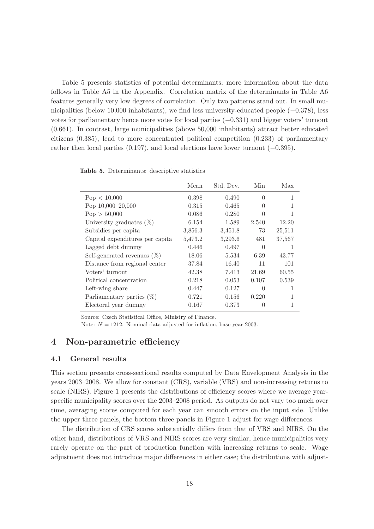Table 5 presents statistics of potential determinants; more information about the data follows in Table A5 in the Appendix. Correlation matrix of the determinants in Table A6 features generally very low degrees of correlation. Only two patterns stand out. In small municipalities (below 10,000 inhabitants), we find less university-educated people (−0.378), less votes for parliamentary hence more votes for local parties (−0.331) and bigger voters' turnout (0.661). In contrast, large municipalities (above 50,000 inhabitants) attract better educated citizens (0.385), lead to more concentrated political competition (0.233) of parliamentary rather then local parties  $(0.197)$ , and local elections have lower turnout  $(-0.395)$ .

|                                 | Mean    | Std. Dev. | Min      | Max    |
|---------------------------------|---------|-----------|----------|--------|
| Pop < 10,000                    | 0.398   | 0.490     | $\Omega$ | 1      |
| Pop $10,000-20,000$             | 0.315   | 0.465     | $\Omega$ |        |
| Pop > 50,000                    | 0.086   | 0.280     | $\Omega$ |        |
| University graduates $(\%)$     | 6.154   | 1.589     | 2.540    | 12.20  |
| Subsidies per capita            | 3,856.3 | 3,451.8   | 73       | 25,511 |
| Capital expenditures per capita | 5,473.2 | 3,293.6   | 481      | 37,567 |
| Lagged debt dummy               | 0.446   | 0.497     | $\Omega$ | 1      |
| Self-generated revenues $(\%)$  | 18.06   | 5.534     | 6.39     | 43.77  |
| Distance from regional center   | 37.84   | 16.40     | 11       | 101    |
| Voters' turnout                 | 42.38   | 7.413     | 21.69    | 60.55  |
| Political concentration         | 0.218   | 0.053     | 0.107    | 0.539  |
| Left-wing share                 | 0.447   | 0.127     | $\Omega$ | 1      |
| Parliamentary parties $(\%)$    | 0.721   | 0.156     | 0.220    |        |
| Electoral year dummy            | 0.167   | 0.373     | $\theta$ | 1      |

Table 5. Determinants: descriptive statistics

Source: Czech Statistical Office, Ministry of Finance.

Note:  $N = 1212$ . Nominal data adjusted for inflation, base year 2003.

### 4 Non-parametric efficiency

#### 4.1 General results

This section presents cross-sectional results computed by Data Envelopment Analysis in the years 2003–2008. We allow for constant (CRS), variable (VRS) and non-increasing returns to scale (NIRS). Figure 1 presents the distributions of efficiency scores where we average yearspecific municipality scores over the 2003–2008 period. As outputs do not vary too much over time, averaging scores computed for each year can smooth errors on the input side. Unlike the upper three panels, the bottom three panels in Figure 1 adjust for wage differences.

The distribution of CRS scores substantially differs from that of VRS and NIRS. On the other hand, distributions of VRS and NIRS scores are very similar, hence municipalities very rarely operate on the part of production function with increasing returns to scale. Wage adjustment does not introduce major differences in either case; the distributions with adjust-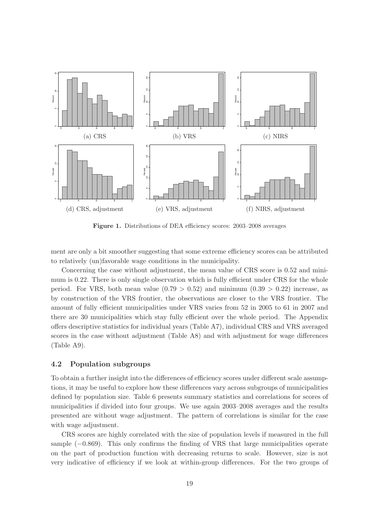

Figure 1. Distributions of DEA efficiency scores: 2003–2008 averages

ment are only a bit smoother suggesting that some extreme efficiency scores can be attributed to relatively (un)favorable wage conditions in the municipality.

Concerning the case without adjustment, the mean value of CRS score is 0.52 and minimum is 0.22. There is only single observation which is fully efficient under CRS for the whole period. For VRS, both mean value  $(0.79 > 0.52)$  and minimum  $(0.39 > 0.22)$  increase, as by construction of the VRS frontier, the observations are closer to the VRS frontier. The amount of fully efficient municipalities under VRS varies from 52 in 2005 to 61 in 2007 and there are 30 municipalities which stay fully efficient over the whole period. The Appendix offers descriptive statistics for individual years (Table A7), individual CRS and VRS averaged scores in the case without adjustment (Table A8) and with adjustment for wage differences (Table A9).

### 4.2 Population subgroups

To obtain a further insight into the differences of efficiency scores under different scale assumptions, it may be useful to explore how these differences vary across subgroups of municipalities defined by population size. Table 6 presents summary statistics and correlations for scores of municipalities if divided into four groups. We use again 2003–2008 averages and the results presented are without wage adjustment. The pattern of correlations is similar for the case with wage adjustment.

CRS scores are highly correlated with the size of population levels if measured in the full sample  $(-0.869)$ . This only confirms the finding of VRS that large municipalities operate on the part of production function with decreasing returns to scale. However, size is not very indicative of efficiency if we look at within-group differences. For the two groups of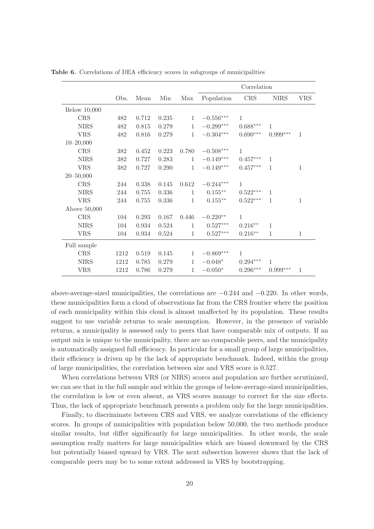|                     |      |       |       |              | Correlation |                    |              |              |
|---------------------|------|-------|-------|--------------|-------------|--------------------|--------------|--------------|
|                     | Obs. | Mean  | Min   | Max          | Population  | CRS                | <b>NIRS</b>  | VRS          |
| <b>Below 10,000</b> |      |       |       |              |             |                    |              |              |
| CRS                 | 482  | 0.712 | 0.235 | $\mathbf{1}$ | $-0.556***$ | $\mathbf{1}$       |              |              |
| <b>NIRS</b>         | 482  | 0.815 | 0.279 | $\mathbf{1}$ | $-0.299***$ | $0.688***$         | $\mathbf{1}$ |              |
| <b>VRS</b>          | 482  | 0.816 | 0.279 | $\mathbf{1}$ | $-0.304***$ | $0.690***$         | $0.999***$   | $\mathbf{1}$ |
| $10 - 20,000$       |      |       |       |              |             |                    |              |              |
| CRS                 | 382  | 0.452 | 0.223 | 0.780        | $-0.508***$ | 1                  |              |              |
| <b>NIRS</b>         | 382  | 0.727 | 0.283 | $\mathbf{1}$ | $-0.149***$ | $0.457***$         | $\mathbf{1}$ |              |
| <b>VRS</b>          | 382  | 0.727 | 0.290 | $\mathbf{1}$ | $-0.149***$ | $0.457***$         | $\mathbf{1}$ | 1            |
| $20 - 50,000$       |      |       |       |              |             |                    |              |              |
| CRS                 | 244  | 0.338 | 0.145 | 0.612        | $-0.244***$ | $\mathbf{1}$       |              |              |
| <b>NIRS</b>         | 244  | 0.755 | 0.336 | $\mathbf{1}$ | $0.155***$  | $0.522***$         | $\mathbf{1}$ |              |
| <b>VRS</b>          | 244  | 0.755 | 0.336 | 1            | $0.155***$  | $0.522***$         | $\mathbf{1}$ | 1            |
| Above $50,000$      |      |       |       |              |             |                    |              |              |
| CRS                 | 104  | 0.293 | 0.167 | 0.446        | $-0.220**$  | 1                  |              |              |
| <b>NIRS</b>         | 104  | 0.934 | 0.524 | $\mathbf{1}$ | $0.527***$  | $0.216**$          | $\mathbf{1}$ |              |
| <b>VRS</b>          | 104  | 0.934 | 0.524 | 1            | $0.527***$  | $0.216^{\ast\ast}$ | $\mathbf{1}$ | 1            |
| Full sample         |      |       |       |              |             |                    |              |              |
| CRS                 | 1212 | 0.519 | 0.145 | $\mathbf{1}$ | $-0.869***$ | 1                  |              |              |
| <b>NIRS</b>         | 1212 | 0.785 | 0.279 | $\mathbf{1}$ | $-0.048*$   | $0.294***$         | $\mathbf{1}$ |              |
| <b>VRS</b>          | 1212 | 0.786 | 0.279 | 1            | $-0.050*$   | $0.296***$         | $0.999***$   | $\mathbf 1$  |

Table 6. Correlations of DEA efficiency scores in subgroups of municipalities

above-average-sized municipalities, the correlations are  $-0.244$  and  $-0.220$ . In other words, these municipalities form a cloud of observations far from the CRS frontier where the position of each municipality within this cloud is almost unaffected by its population. These results suggest to use variable returns to scale assumption. However, in the presence of variable returns, a municipality is assessed only to peers that have comparable mix of outputs. If an output mix is unique to the municipality, there are no comparable peers, and the municipality is automatically assigned full efficiency. In particular for a small group of large municipalities, their efficiency is driven up by the lack of appropriate benchmark. Indeed, within the group of large municipalities, the correlation between size and VRS score is 0.527.

When correlations between VRS (or NIRS) scores and population are further scrutinized, we can see that in the full sample and within the groups of below-average-sized municipalities, the correlation is low or even absent, as VRS scores manage to correct for the size effects. Thus, the lack of appropriate benchmark presents a problem only for the large municipalities.

Finally, to discriminate between CRS and VRS, we analyze correlations of the efficiency scores. In groups of municipalities with population below 50,000, the two methods produce similar results, but differ significantly for large municipalities. In other words, the scale assumption really matters for large municipalities which are biased downward by the CRS but potentially biased upward by VRS. The next subsection however shows that the lack of comparable peers may be to some extent addressed in VRS by bootstrapping.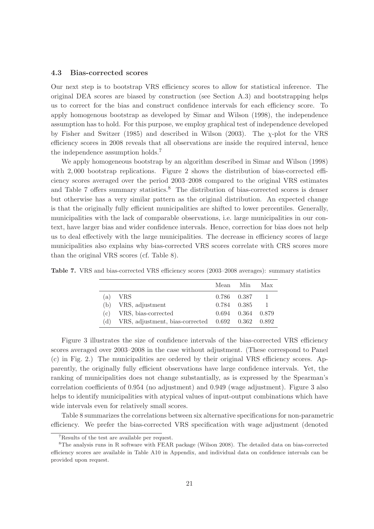#### 4.3 Bias-corrected scores

Our next step is to bootstrap VRS efficiency scores to allow for statistical inference. The original DEA scores are biased by construction (see Section A.3) and bootstrapping helps us to correct for the bias and construct confidence intervals for each efficiency score. To apply homogenous bootstrap as developed by Simar and Wilson (1998), the independence assumption has to hold. For this purpose, we employ graphical test of independence developed by Fisher and Switzer (1985) and described in Wilson (2003). The  $\chi$ -plot for the VRS efficiency scores in 2008 reveals that all observations are inside the required interval, hence the independence assumption holds.<sup>7</sup>

We apply homogeneous bootstrap by an algorithm described in Simar and Wilson (1998) with 2,000 bootstrap replications. Figure 2 shows the distribution of bias-corrected efficiency scores averaged over the period 2003–2008 compared to the original VRS estimates and Table 7 offers summary statistics.<sup>8</sup> The distribution of bias-corrected scores is denser but otherwise has a very similar pattern as the original distribution. An expected change is that the originally fully efficient municipalities are shifted to lower percentiles. Generally, municipalities with the lack of comparable observations, i.e. large municipalities in our context, have larger bias and wider confidence intervals. Hence, correction for bias does not help us to deal effectively with the large municipalities. The decrease in efficiency scores of large municipalities also explains why bias-corrected VRS scores correlate with CRS scores more than the original VRS scores (cf. Table 8).

|     |                                                   | Mean Min |                   | Max  |
|-----|---------------------------------------------------|----------|-------------------|------|
| (a) | VRS                                               |          | $0.786$ $0.387$   |      |
|     | (b) VRS, adjustment                               |          | 0.784 0.385       | $-1$ |
|     | $(c)$ VRS, bias-corrected                         |          | 0.694 0.364 0.879 |      |
| (d) | VRS, adjustment, bias-corrected 0.692 0.362 0.892 |          |                   |      |

Table 7. VRS and bias-corrected VRS efficiency scores (2003–2008 averages): summary statistics

Figure 3 illustrates the size of confidence intervals of the bias-corrected VRS efficiency scores averaged over 2003–2008 in the case without adjustment. (These correspond to Panel (c) in Fig. 2.) The municipalities are ordered by their original VRS efficiency scores. Apparently, the originally fully efficient observations have large confidence intervals. Yet, the ranking of municipalities does not change substantially, as is expressed by the Spearman's correlation coefficients of 0.954 (no adjustment) and 0.949 (wage adjustment). Figure 3 also helps to identify municipalities with atypical values of input-output combinations which have wide intervals even for relatively small scores.

Table 8 summarizes the correlations between six alternative specifications for non-parametric efficiency. We prefer the bias-corrected VRS specification with wage adjustment (denoted

<sup>&</sup>lt;sup>7</sup>Results of the test are available per request.

<sup>8</sup>The analysis runs in R software with FEAR package (Wilson 2008). The detailed data on bias-corrected efficiency scores are available in Table A10 in Appendix, and individual data on confidence intervals can be provided upon request.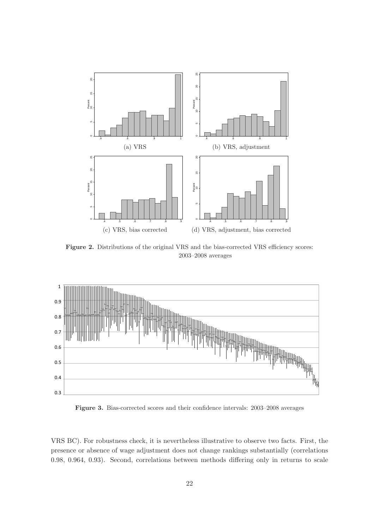

Figure 2. Distributions of the original VRS and the bias-corrected VRS efficiency scores: 2003–2008 averages



Figure 3. Bias-corrected scores and their confidence intervals: 2003–2008 averages

VRS BC). For robustness check, it is nevertheless illustrative to observe two facts. First, the presence or absence of wage adjustment does not change rankings substantially (correlations 0.98, 0.964, 0.93). Second, correlations between methods differing only in returns to scale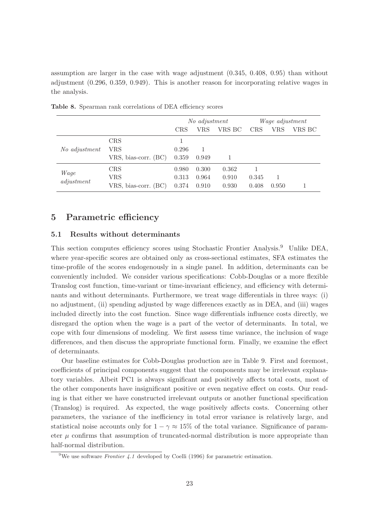assumption are larger in the case with wage adjustment (0.345, 0.408, 0.95) than without adjustment (0.296, 0.359, 0.949). This is another reason for incorporating relative wages in the analysis.

|                    |                      | No adjustment |       |        | Wage adjustment |            |        |
|--------------------|----------------------|---------------|-------|--------|-----------------|------------|--------|
|                    |                      | <b>CRS</b>    | VRS   | VRS BC | <b>CRS</b>      | <b>VRS</b> | VRS BC |
|                    | CRS                  |               |       |        |                 |            |        |
| No adjustment      | ${\rm VRS}$          | 0.296         |       |        |                 |            |        |
|                    | VRS, bias-corr. (BC) | 0.359         | 0.949 |        |                 |            |        |
|                    | CRS                  | 0.980         | 0.300 | 0.362  |                 |            |        |
| Wage<br>adjustment | VRS                  | 0.313         | 0.964 | 0.910  | 0.345           |            |        |
|                    | VRS, bias-corr. (BC) | 0.374         | 0.910 | 0.930  | 0.408           | 0.950      |        |

Table 8. Spearman rank correlations of DEA efficiency scores

### 5 Parametric efficiency

### 5.1 Results without determinants

This section computes efficiency scores using Stochastic Frontier Analysis.<sup>9</sup> Unlike DEA, where year-specific scores are obtained only as cross-sectional estimates, SFA estimates the time-profile of the scores endogenously in a single panel. In addition, determinants can be conveniently included. We consider various specifications: Cobb-Douglas or a more flexible Translog cost function, time-variant or time-invariant efficiency, and efficiency with determinants and without determinants. Furthermore, we treat wage differentials in three ways: (i) no adjustment, (ii) spending adjusted by wage differences exactly as in DEA, and (iii) wages included directly into the cost function. Since wage differentials influence costs directly, we disregard the option when the wage is a part of the vector of determinants. In total, we cope with four dimensions of modeling. We first assess time variance, the inclusion of wage differences, and then discuss the appropriate functional form. Finally, we examine the effect of determinants.

Our baseline estimates for Cobb-Douglas production are in Table 9. First and foremost, coefficients of principal components suggest that the components may be irrelevant explanatory variables. Albeit PC1 is always significant and positively affects total costs, most of the other components have insignificant positive or even negative effect on costs. Our reading is that either we have constructed irrelevant outputs or another functional specification (Translog) is required. As expected, the wage positively affects costs. Concerning other parameters, the variance of the inefficiency in total error variance is relatively large, and statistical noise accounts only for  $1 - \gamma \approx 15\%$  of the total variance. Significance of parameter  $\mu$  confirms that assumption of truncated-normal distribution is more appropriate than half-normal distribution.

<sup>&</sup>lt;sup>9</sup>We use software *Frontier 4.1* developed by Coelli (1996) for parametric estimation.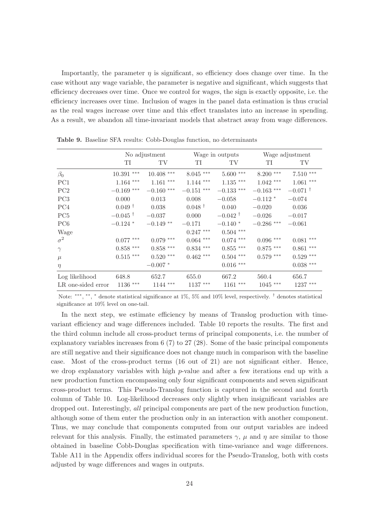Importantly, the parameter  $\eta$  is significant, so efficiency does change over time. In the case without any wage variable, the parameter is negative and significant, which suggests that efficiency decreases over time. Once we control for wages, the sign is exactly opposite, i.e. the efficiency increases over time. Inclusion of wages in the panel data estimation is thus crucial as the real wages increase over time and this effect translates into an increase in spending. As a result, we abandon all time-invariant models that abstract away from wage differences.

|                    |                       | No adjustment |                      | Wage in outputs       | Wage adjustment |                       |  |
|--------------------|-----------------------|---------------|----------------------|-----------------------|-----------------|-----------------------|--|
|                    | TI                    | TV            | TI                   | TV                    | TI              | TV                    |  |
| $\beta_0$          | $10.391$ ***          | $10.408$ ***  | $8.045***$           | $5.600***$            | $8.200***$      | $7.510***$            |  |
| PC <sub>1</sub>    | $1.164$ ***           | $1.161$ ***   | $1.144***$           | $1.135$ ***           | $1.042$ ***     | $1.061$ ***           |  |
| PC2                | $-0.169$ ***          | $-0.160$ ***  | $-0.151$ ***         | $-0.133$ ***          | $-0.163$ ***    | $-0.071$ <sup>†</sup> |  |
| PC <sub>3</sub>    | 0.000                 | 0.013         | 0.008                | $-0.058$              | $-0.112*$       | $-0.074$              |  |
| PC4                | $0.049$ <sup>†</sup>  | 0.038         | $0.048$ <sup>†</sup> | 0.040                 | $-0.020$        | 0.036                 |  |
| PC <sub>5</sub>    | $-0.045$ <sup>†</sup> | $-0.037$      | 0.000                | $-0.042$ <sup>†</sup> | $-0.026$        | $-0.017$              |  |
| PC6                | $-0.124*$             | $-0.149**$    | $-0.171$             | $-0.140*$             | $-0.286$ ***    | $-0.061$              |  |
| Wage               |                       |               | $0.247***$           | $0.504$ ***           |                 |                       |  |
| $\sigma^2$         | $0.077$ ***           | $0.079$ ***   | $0.064$ ***          | $0.074$ ***           | $0.096$ ***     | $0.081$ ***           |  |
| $\gamma$           | $0.858***$            | $0.858$ ***   | $0.834$ ***          | $0.855***$            | $0.875$ ***     | $0.861$ ***           |  |
| $\mu$              | $0.515***$            | $0.520$ ***   | $0.462$ ***          | $0.504$ ***           | $0.579$ ***     | $0.529$ ***           |  |
| $\eta$             |                       | $-0.007*$     |                      | $0.016$ ***           |                 | $0.038$ ***           |  |
| Log likelihood     | 648.8                 | 652.7         | 655.0                | 667.2                 | 560.4           | 656.7                 |  |
| LR one-sided error | $1136$ ***            | $1144$ ***    | $1137***$            | $1161$ ***            | $1045$ ***      | 1237 ***              |  |

Table 9. Baseline SFA results: Cobb-Douglas function, no determinants

Note: \*\*\*, \*\*, \* denote statistical significance at 1%, 5% and 10% level, respectively. <sup>†</sup> denotes statistical significance at 10% level on one-tail.

In the next step, we estimate efficiency by means of Translog production with timevariant efficiency and wage differences included. Table 10 reports the results. The first and the third column include all cross-product terms of principal components, i.e. the number of explanatory variables increases from 6 (7) to 27 (28). Some of the basic principal components are still negative and their significance does not change much in comparison with the baseline case. Most of the cross-product terms (16 out of 21) are not significant either. Hence, we drop explanatory variables with high p-value and after a few iterations end up with a new production function encompassing only four significant components and seven significant cross-product terms. This Pseudo-Translog function is captured in the second and fourth column of Table 10. Log-likelihood decreases only slightly when insignificant variables are dropped out. Interestingly, all principal components are part of the new production function, although some of them enter the production only in an interaction with another component. Thus, we may conclude that components computed from our output variables are indeed relevant for this analysis. Finally, the estimated parameters  $\gamma$ ,  $\mu$  and  $\eta$  are similar to those obtained in baseline Cobb-Douglas specification with time-variance and wage differences. Table A11 in the Appendix offers individual scores for the Pseudo-Translog, both with costs adjusted by wage differences and wages in outputs.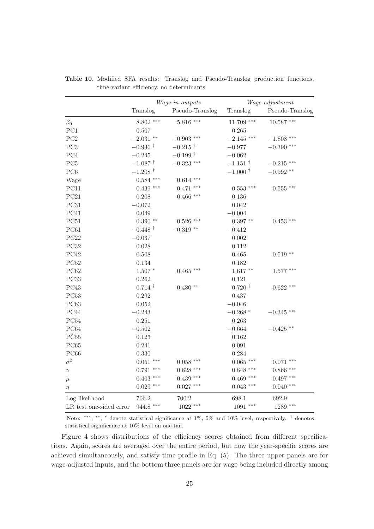|                         | Wage in outputs       |                       |                            | Wage adjustment |
|-------------------------|-----------------------|-----------------------|----------------------------|-----------------|
|                         | Translog              | Pseudo-Translog       | Translog                   | Pseudo-Translog |
| $\beta_0$               | 8.802 ***             | $5.816***$            | $11.709$ ***               | $10.587$ ***    |
| PC1                     | 0.507                 |                       | 0.265                      |                 |
| PC <sub>2</sub>         | $-2.031$ **           | $-0.903$ ***          | $-2.145$ ***               | $-1.808$ ***    |
| PC <sub>3</sub>         | $-0.936$ <sup>†</sup> | $-0.215$ <sup>†</sup> | $-0.977$                   | $-0.390$ ***    |
| PC4                     | $-0.245$              | $-0.199$ <sup>†</sup> | $-0.062$                   |                 |
| PC <sub>5</sub>         | $-1.087$ <sup>†</sup> | $-0.323$ ***          | $-1.151$ <sup>†</sup>      | $-0.215$ ***    |
| PC <sub>6</sub>         | $-1.208$ <sup>†</sup> |                       | $-1.000$ <sup>+</sup>      | $-0.992$ **     |
| Wage                    | $0.584$ ***           | $0.614***$            |                            |                 |
| PC11                    | $0.439***$            | $0.471$ ***           | $0.553$ ***                | $0.555***$      |
| PC21                    | 0.208                 | $0.466$ ***           | 0.136                      |                 |
| PC31                    | $-0.072$              |                       | 0.042                      |                 |
| PC41                    | 0.049                 |                       | $-0.004$                   |                 |
| PC51                    | $0.390**$             | $0.526$ ***           | $0.397**$                  | $0.453$ ***     |
| PC61                    | $-0.448$ <sup>†</sup> | $-0.319**$            | $-0.412$                   |                 |
| PC22                    | $-0.037$              |                       | 0.002                      |                 |
| PC32                    | 0.028                 |                       | 0.112                      |                 |
| PC42                    | 0.508                 |                       | 0.465                      | $0.519**$       |
| PC52                    | 0.134                 |                       | 0.182                      |                 |
| PC62                    | $1.507*$              | $0.465$ ***           | $1.617**$                  | $1.577$ ***     |
| PC33                    | 0.262                 |                       | 0.121                      |                 |
| PC43                    | $0.714$ <sup>†</sup>  | $0.480**$             | $0.720 \text{ }^{\dagger}$ | $0.622$ ***     |
| PC <sub>53</sub>        | 0.292                 |                       | 0.437                      |                 |
| PC63                    | 0.052                 |                       | $-0.046$                   |                 |
| PC44                    | $-0.243$              |                       | $-0.268$ *                 | $-0.345$ ***    |
| PC54                    | 0.251                 |                       | 0.263                      |                 |
| PC64                    | $-0.502$              |                       | $-0.664$                   | $-0.425$ **     |
| PC55                    | 0.123                 |                       | 0.162                      |                 |
| PC65                    | 0.241                 |                       | $\,0.091\,$                |                 |
| PC66                    | 0.330                 |                       | 0.284                      |                 |
| $\sigma^2$              | $0.051$ ***           | $0.058***$            | $0.065***$                 | $0.071$ ***     |
| $\gamma$                | $0.791$ ***           | $0.828***$            | $0.848$ ***                | $0.866$ ***     |
| $\mu$                   | $0.403$ ***           | $0.439***$            | $0.469$ ***                | $0.497***$      |
| $\eta$                  | $0.029$ ***           | $0.027***$            | $0.043$ ***                | $0.040$ ***     |
| Log likelihood          | 706.2                 | 700.2                 | 698.1                      | 692.9           |
| LR test one-sided error | $944.8$ ***           | $1022$ ***            | $1091***$                  | 1289 ***        |

Table 10. Modified SFA results: Translog and Pseudo-Translog production functions, time-variant efficiency, no determinants

Note: \*\*\*, \*\*, \* denote statistical significance at 1%, 5% and 10% level, respectively. <sup>†</sup> denotes statistical significance at 10% level on one-tail.

Figure 4 shows distributions of the efficiency scores obtained from different specifications. Again, scores are averaged over the entire period, but now the year-specific scores are achieved simultaneously, and satisfy time profile in Eq. (5). The three upper panels are for wage-adjusted inputs, and the bottom three panels are for wage being included directly among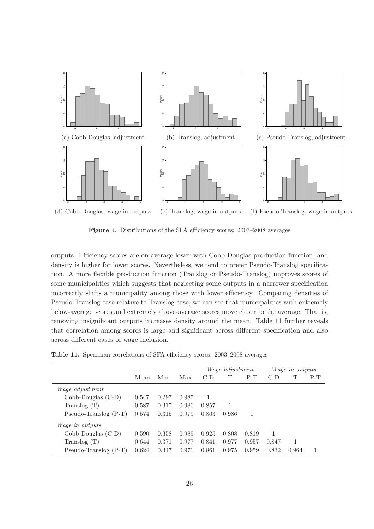![](_page_25_Figure_0.jpeg)

Figure 4. Distributions of the SFA efficiency scores: 2003–2008 averages

outputs. Efficiency scores are on average lower with Cobb-Douglas production function, and density is higher for lower scores. Nevertheless, we tend to prefer Pseudo-Translog specification. A more flexible production function (Translog or Pseudo-Translog) improves scores of some municipalities which suggests that neglecting some outputs in a narrower specification incorrectly shifts a municipality among those with lower efficiency. Comparing densities of Pseudo-Translog case relative to Translog case, we can see that municipalities with extremely below-average scores and extremely above-average scores move closer to the average. That is, removing insignificant outputs increases density around the mean. Table 11 further reveals that correlation among scores is large and significant across different specification and also across different cases of wage inclusion.

|  |  |  | Table 11. Spearman correlations of SFA efficiency scores: 2003–2008 averages |  |  |  |  |  |
|--|--|--|------------------------------------------------------------------------------|--|--|--|--|--|
|--|--|--|------------------------------------------------------------------------------|--|--|--|--|--|

|                        |       |       |       |       | <i>Wage adjustment</i> |       |       | <i>Wage in outputs</i> |       |
|------------------------|-------|-------|-------|-------|------------------------|-------|-------|------------------------|-------|
|                        | Mean  | Min   | Max   | $C-D$ | T                      | $P-T$ | $C-D$ |                        | $P-T$ |
| <i>Wage adjustment</i> |       |       |       |       |                        |       |       |                        |       |
| $Cobb-Douglas (C-D)$   | 0.547 | 0.297 | 0.985 |       |                        |       |       |                        |       |
| Translog $(T)$         | 0.587 | 0.317 | 0.980 | 0.857 | 1                      |       |       |                        |       |
| $Pseudo-Translog(P-T)$ | 0.574 | 0.315 | 0.979 | 0.863 | 0.986                  | 1     |       |                        |       |
| <i>Wage in outputs</i> |       |       |       |       |                        |       |       |                        |       |
| $Cobb-Douglas (C-D)$   | 0.590 | 0.358 | 0.989 | 0.925 | 0.808                  | 0.819 |       |                        |       |
| Translog $(T)$         | 0.644 | 0.371 | 0.977 | 0.841 | 0.977                  | 0.957 | 0.847 |                        |       |
| Pseudo-Translog (P-T)  | 0.624 | 0.347 | 0.971 | 0.861 | 0.975                  | 0.959 | 0.832 | 0.964                  |       |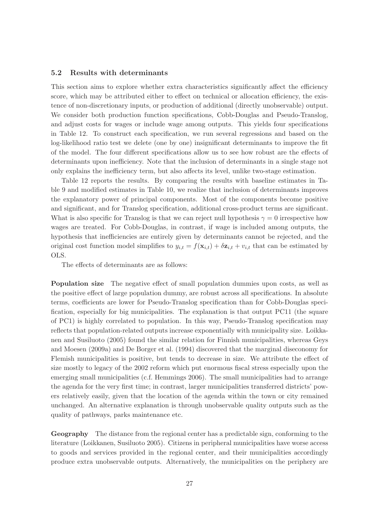#### 5.2 Results with determinants

This section aims to explore whether extra characteristics significantly affect the efficiency score, which may be attributed either to effect on technical or allocation efficiency, the existence of non-discretionary inputs, or production of additional (directly unobservable) output. We consider both production function specifications, Cobb-Douglas and Pseudo-Translog, and adjust costs for wages or include wage among outputs. This yields four specifications in Table 12. To construct each specification, we run several regressions and based on the log-likelihood ratio test we delete (one by one) insignificant determinants to improve the fit of the model. The four different specifications allow us to see how robust are the effects of determinants upon inefficiency. Note that the inclusion of determinants in a single stage not only explains the inefficiency term, but also affects its level, unlike two-stage estimation.

Table 12 reports the results. By comparing the results with baseline estimates in Table 9 and modified estimates in Table 10, we realize that inclusion of determinants improves the explanatory power of principal components. Most of the components become positive and significant, and for Translog specification, additional cross-product terms are significant. What is also specific for Translog is that we can reject null hypothesis  $\gamma = 0$  irrespective how wages are treated. For Cobb-Douglas, in contrast, if wage is included among outputs, the hypothesis that inefficiencies are entirely given by determinants cannot be rejected, and the original cost function model simplifies to  $y_{i,t} = f(\mathbf{x}_{i,t}) + \delta \mathbf{z}_{i,t} + v_{i,t}$  that can be estimated by OLS.

The effects of determinants are as follows:

Population size The negative effect of small population dummies upon costs, as well as the positive effect of large population dummy, are robust across all specifications. In absolute terms, coefficients are lower for Pseudo-Translog specification than for Cobb-Douglas specification, especially for big municipalities. The explanation is that output PC11 (the square of PC1) is highly correlated to population. In this way, Pseudo-Translog specification may reflects that population-related outputs increase exponentially with municipality size. Loikkanen and Susiluoto (2005) found the similar relation for Finnish municipalities, whereas Geys and Moesen (2009a) and De Borger et al. (1994) discovered that the marginal diseconomy for Flemish municipalities is positive, but tends to decrease in size. We attribute the effect of size mostly to legacy of the 2002 reform which put enormous fiscal stress especially upon the emerging small municipalities (c.f. Hemmings 2006). The small municipalities had to arrange the agenda for the very first time; in contrast, larger municipalities transferred districts' powers relatively easily, given that the location of the agenda within the town or city remained unchanged. An alternative explanation is through unobservable quality outputs such as the quality of pathways, parks maintenance etc.

Geography The distance from the regional center has a predictable sign, conforming to the literature (Loikkanen, Susiluoto 2005). Citizens in peripheral municipalities have worse access to goods and services provided in the regional center, and their municipalities accordingly produce extra unobservable outputs. Alternatively, the municipalities on the periphery are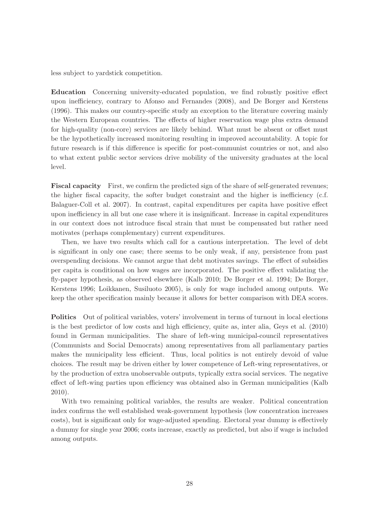less subject to yardstick competition.

Education Concerning university-educated population, we find robustly positive effect upon inefficiency, contrary to Afonso and Fernandes (2008), and De Borger and Kerstens (1996). This makes our country-specific study an exception to the literature covering mainly the Western European countries. The effects of higher reservation wage plus extra demand for high-quality (non-core) services are likely behind. What must be absent or offset must be the hypothetically increased monitoring resulting in improved accountability. A topic for future research is if this difference is specific for post-communist countries or not, and also to what extent public sector services drive mobility of the university graduates at the local level.

Fiscal capacity First, we confirm the predicted sign of the share of self-generated revenues; the higher fiscal capacity, the softer budget constraint and the higher is inefficiency (c.f. Balaguer-Coll et al. 2007). In contrast, capital expenditures per capita have positive effect upon inefficiency in all but one case where it is insignificant. Increase in capital expenditures in our context does not introduce fiscal strain that must be compensated but rather need motivates (perhaps complementary) current expenditures.

Then, we have two results which call for a cautious interpretation. The level of debt is significant in only one case; there seems to be only weak, if any, persistence from past overspending decisions. We cannot argue that debt motivates savings. The effect of subsidies per capita is conditional on how wages are incorporated. The positive effect validating the fly-paper hypothesis, as observed elsewhere (Kalb 2010; De Borger et al. 1994; De Borger, Kerstens 1996; Loikkanen, Susiluoto 2005), is only for wage included among outputs. We keep the other specification mainly because it allows for better comparison with DEA scores.

Politics Out of political variables, voters' involvement in terms of turnout in local elections is the best predictor of low costs and high efficiency, quite as, inter alia, Geys et al. (2010) found in German municipalities. The share of left-wing municipal-council representatives (Communists and Social Democrats) among representatives from all parliamentary parties makes the municipality less efficient. Thus, local politics is not entirely devoid of value choices. The result may be driven either by lower competence of Left-wing representatives, or by the production of extra unobservable outputs, typically extra social services. The negative effect of left-wing parties upon efficiency was obtained also in German municipalities (Kalb 2010).

With two remaining political variables, the results are weaker. Political concentration index confirms the well established weak-government hypothesis (low concentration increases costs), but is significant only for wage-adjusted spending. Electoral year dummy is effectively a dummy for single year 2006; costs increase, exactly as predicted, but also if wage is included among outputs.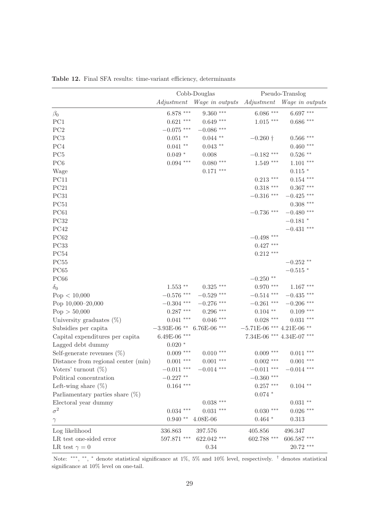|                                     |                       | Cobb-Douglas              |                             | Pseudo-Translog        |
|-------------------------------------|-----------------------|---------------------------|-----------------------------|------------------------|
|                                     | Adjustment            | Wage in outputs           | Adjustment                  | <i>Wage in outputs</i> |
| $\beta_0$                           | $6.878***$            | $9.360***$                | $6.086***$                  | $6.697***$             |
| PC1                                 | $0.621$ ***           | $0.649$ ***               | $1.015***$                  | $0.686$ ***            |
| PC2                                 | $-0.075$ ***          | $-0.086$ ***              |                             |                        |
| PC3                                 | $0.051$ $^{\ast\ast}$ | $0.044$ **                | $-0.260\dagger$             | $0.566$ ***            |
| PC4                                 | $0.041$ **            | $0.043$ **                |                             | $0.460$ ***            |
| PC <sub>5</sub>                     | $0.049*$              | 0.008                     | $-0.182$ ***                | $0.526$ **             |
| PC <sub>6</sub>                     | $0.094$ ***           | $0.080***$                | $1.549$ ***                 | $1.101$ ***            |
| Wage                                |                       | $0.171$ ***               |                             | $0.115*$               |
| PC11                                |                       |                           | $0.213$ ***                 | $0.154$ ***            |
| PC21                                |                       |                           | $0.318***$                  | $0.367$ ***            |
| PC31                                |                       |                           | $-0.316$ ***                | $-0.425$ ***           |
| PC51                                |                       |                           |                             | $0.308***$             |
| PC61                                |                       |                           | $-0.736$ ***                | $-0.480$ ***           |
| PC32                                |                       |                           |                             | $-0.181$ $^{\ast}$     |
| PC42                                |                       |                           |                             | $-0.431$ ***           |
| PC62                                |                       |                           | $-0.498$ ***                |                        |
| PC33                                |                       |                           | $0.427$ ***                 |                        |
| PC54                                |                       |                           | $0.212$ ***                 |                        |
| PC <sub>55</sub>                    |                       |                           |                             | $-0.252$ **            |
| PC65                                |                       |                           |                             | $-0.515$ *             |
| PC66                                |                       |                           | $-0.250$ **                 |                        |
| $\delta_0$                          | $1.553$ **            | $0.325$ ***               | $0.970$ ***                 | $1.167***$             |
| Pop < 10,000                        | $-0.576$ ***          | $-0.529$ ***              | $-0.514$ ***                | $-0.435$ ***           |
| Pop 10,000-20,000                   | $-0.304$ ***          | $-0.276$ ***              | $-0.261$ ***                | $-0.206$ ***           |
| Pop > 50,000                        | $0.287$ ***           | $0.296$ ***               | $0.104$ **                  | $0.109$ ***            |
| University graduates $(\%)$         | $0.041$ ***           | $0.046$ ***               | $0.028$ ***                 | $0.031***$             |
| Subsidies per capita                | $-3.93E-06$ **        | $6.76E-06$ ***            | $-5.71E-06$ *** 4.21E-06 ** |                        |
| Capital expenditures per capita     | $6.49E-06$ ***        |                           | 7.34E-06 *** 4.34E-07 ***   |                        |
| Lagged debt dummy                   | $0.020*$              |                           |                             |                        |
| Self-generate revenues $(\%)$       | $0.009***$            | $0.010***$                | $0.009$ ***                 | $0.011***$             |
| Distance from regional center (min) | $0.001***$            | $0.001$ ***               | $0.002$ ***                 | $0.001$ ***            |
| Voters' turnout (%)                 |                       | $-0.011$ *** $-0.014$ *** | $-0.011$ ***                | $-0.014$ ***           |
| Political concentration             | $-0.227$ **           |                           | $-0.360$ ***                |                        |
| Left-wing share $(\%)$              | $0.164$ ***           |                           | $0.257***$                  | $0.104$ **             |
| Parliamentary parties share $(\%)$  |                       |                           | $0.074$ *                   |                        |
| Electoral year dummy                |                       | $0.038$ ***               |                             | $0.031$ **             |
| $\sigma^2$                          | $0.034$ ***           | $0.031***$                | $0.030***$                  | $0.026$ ***            |
| $\gamma$                            | $0.940**$             | $4.08E - 06$              | $0.464*$                    | 0.313                  |
| Log likelihood                      | 336.863               | 397.576                   | 405.856                     | 496.347                |
| LR test one-sided error             | $597.871$ ***         | 622.042 ***               | 602.788 ***                 | 606.587 ***            |
| LR test $\gamma = 0$                |                       | 0.34                      |                             | $20.72$ ***            |

Table 12. Final SFA results: time-variant efficiency, determinants

Note: <sup>\*\*\*</sup>, \*\*, \* denote statistical significance at 1%, 5% and 10% level, respectively. <sup>†</sup> denotes statistical significance at 10% level on one-tail.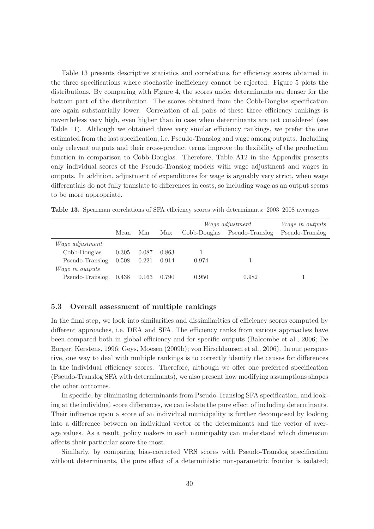Table 13 presents descriptive statistics and correlations for efficiency scores obtained in the three specifications where stochastic inefficiency cannot be rejected. Figure 5 plots the distributions. By comparing with Figure 4, the scores under determinants are denser for the bottom part of the distribution. The scores obtained from the Cobb-Douglas specification are again substantially lower. Correlation of all pairs of these three efficiency rankings is nevertheless very high, even higher than in case when determinants are not considered (see Table 11). Although we obtained three very similar efficiency rankings, we prefer the one estimated from the last specification, i.e. Pseudo-Translog and wage among outputs. Including only relevant outputs and their cross-product terms improve the flexibility of the production function in comparison to Cobb-Douglas. Therefore, Table A12 in the Appendix presents only individual scores of the Pseudo-Translog models with wage adjustment and wages in outputs. In addition, adjustment of expenditures for wage is arguably very strict, when wage differentials do not fully translate to differences in costs, so including wage as an output seems to be more appropriate.

|                        |       |       |       |              | <i>Wage adjustment</i> | <i>Wage in outputs</i> |
|------------------------|-------|-------|-------|--------------|------------------------|------------------------|
|                        | Mean  | Min   | Max   | Cobb-Douglas | Pseudo-Translog        | Pseudo-Translog        |
| <i>Wage adjustment</i> |       |       |       |              |                        |                        |
| Cobb-Douglas           | 0.305 | 0.087 | 0.863 |              |                        |                        |
| Pseudo-Translog        | 0.508 | 0.221 | 0.914 | 0.974        |                        |                        |
| <i>Wage in outputs</i> |       |       |       |              |                        |                        |
| Pseudo-Translog        | 0.438 | 0.163 | 0.790 | 0.950        | 0.982                  |                        |

Table 13. Spearman correlations of SFA efficiency scores with determinants: 2003–2008 averages

### 5.3 Overall assessment of multiple rankings

In the final step, we look into similarities and dissimilarities of efficiency scores computed by different approaches, i.e. DEA and SFA. The efficiency ranks from various approaches have been compared both in global efficiency and for specific outputs (Balcombe et al., 2006; De Borger, Kerstens, 1996; Geys, Moesen (2009b); von Hirschhausen et al., 2006). In our perspective, one way to deal with multiple rankings is to correctly identify the causes for differences in the individual efficiency scores. Therefore, although we offer one preferred specification (Pseudo-Translog SFA with determinants), we also present how modifying assumptions shapes the other outcomes.

In specific, by eliminating determinants from Pseudo-Translog SFA specification, and looking at the individual score differences, we can isolate the pure effect of including determinants. Their influence upon a score of an individual municipality is further decomposed by looking into a difference between an individual vector of the determinants and the vector of average values. As a result, policy makers in each municipality can understand which dimension affects their particular score the most.

Similarly, by comparing bias-corrected VRS scores with Pseudo-Translog specification without determinants, the pure effect of a deterministic non-parametric frontier is isolated;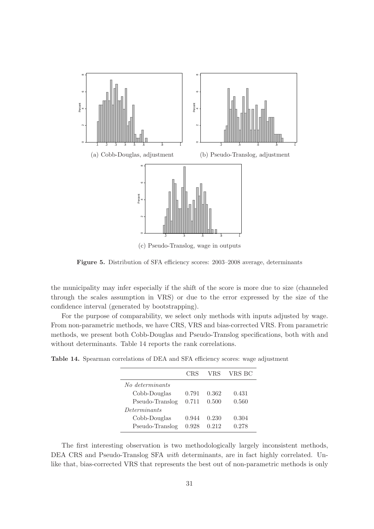![](_page_30_Figure_0.jpeg)

(c) Pseudo-Translog, wage in outputs

Figure 5. Distribution of SFA efficiency scores: 2003–2008 average, determinants

the municipality may infer especially if the shift of the score is more due to size (channeled through the scales assumption in VRS) or due to the error expressed by the size of the confidence interval (generated by bootstrapping).

For the purpose of comparability, we select only methods with inputs adjusted by wage. From non-parametric methods, we have CRS, VRS and bias-corrected VRS. From parametric methods, we present both Cobb-Douglas and Pseudo-Translog specifications, both with and without determinants. Table 14 reports the rank correlations.

|                 | CRS   | VRS   | VRS BC |
|-----------------|-------|-------|--------|
| No determinants |       |       |        |
| Cobb-Douglas    | 0.791 | 0.362 | 0.431  |
| Pseudo-Translog | 0.711 | 0.500 | 0.560  |
| Determinants    |       |       |        |
| Cobb-Douglas    | 0.944 | 0.230 | 0.304  |
| Pseudo-Translog | 0.928 | 0.212 | 0.278  |

Table 14. Spearman correlations of DEA and SFA efficiency scores: wage adjustment

The first interesting observation is two methodologically largely inconsistent methods, DEA CRS and Pseudo-Translog SFA *with* determinants, are in fact highly correlated. Unlike that, bias-corrected VRS that represents the best out of non-parametric methods is only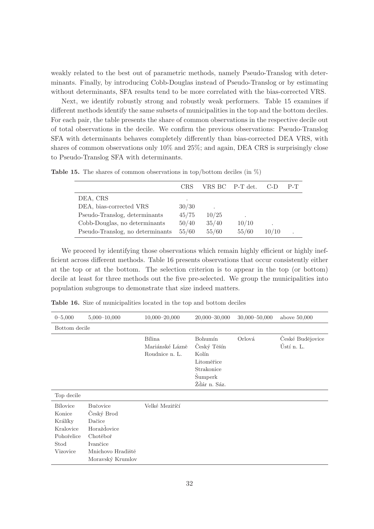weakly related to the best out of parametric methods, namely Pseudo-Translog with determinants. Finally, by introducing Cobb-Douglas instead of Pseudo-Translog or by estimating without determinants, SFA results tend to be more correlated with the bias-corrected VRS.

Next, we identify robustly strong and robustly weak performers. Table 15 examines if different methods identify the same subsets of municipalities in the top and the bottom deciles. For each pair, the table presents the share of common observations in the respective decile out of total observations in the decile. We confirm the previous observations: Pseudo-Translog SFA with determinants behaves completely differently than bias-corrected DEA VRS, with shares of common observations only 10% and 25%; and again, DEA CRS is surprisingly close to Pseudo-Translog SFA with determinants.

|                                  | <b>CRS</b> |       | VRS BC P-T det. | -C-D  | $P-T$ |
|----------------------------------|------------|-------|-----------------|-------|-------|
| DEA, CRS                         |            |       |                 |       |       |
| DEA, bias-corrected VRS          | 30/30      |       |                 |       |       |
| Pseudo-Translog, determinants    | 45/75      | 10/25 |                 |       |       |
| Cobb-Douglas, no determinants    | 50/40      | 35/40 | 10/10           |       |       |
| Pseudo-Translog, no determinants | 55/60      | 55/60 | 55/60           | 10/10 |       |

**Table 15.** The shares of common observations in top/bottom deciles (in  $\%$ )

We proceed by identifying those observations which remain highly efficient or highly inefficient across different methods. Table 16 presents observations that occur consistently either at the top or at the bottom. The selection criterion is to appear in the top (or bottom) decile at least for three methods out the five pre-selected. We group the municipalities into population subgroups to demonstrate that size indeed matters.

|  | Table 16. Size of municipalities located in the top and bottom deciles |
|--|------------------------------------------------------------------------|
|--|------------------------------------------------------------------------|

| $0 - 5,000$                                                                         | $5,000 - 10,000$                                                                                                 | $10,000 - 20,000$                                  | $20,000 - 30,000$                                                                      | $30,000 - 50,000$ | above $50,000$                 |
|-------------------------------------------------------------------------------------|------------------------------------------------------------------------------------------------------------------|----------------------------------------------------|----------------------------------------------------------------------------------------|-------------------|--------------------------------|
| Bottom decile                                                                       |                                                                                                                  |                                                    |                                                                                        |                   |                                |
|                                                                                     |                                                                                                                  | <b>Bílina</b><br>Mariánské Lázně<br>Roudnice n. L. | Bohumín<br>Ceský Těšín<br>Kolín<br>Litoměřice<br>Strakonice<br>Sumperk<br>Ždár n. Sáz. | Orlová            | České Budějovice<br>Ustí n. L. |
| Top decile                                                                          |                                                                                                                  |                                                    |                                                                                        |                   |                                |
| <b>Bílovice</b><br>Konice<br>Králíky<br>Kralovice<br>Pohořelice<br>Stod<br>Vizovice | Bučovice<br>Český Brod<br>Dačice<br>Horaždovice<br>Chotěboř<br>Ivančice<br>Mnichovo Hradiště<br>Moravský Krumlov | Velké Meziříčí                                     |                                                                                        |                   |                                |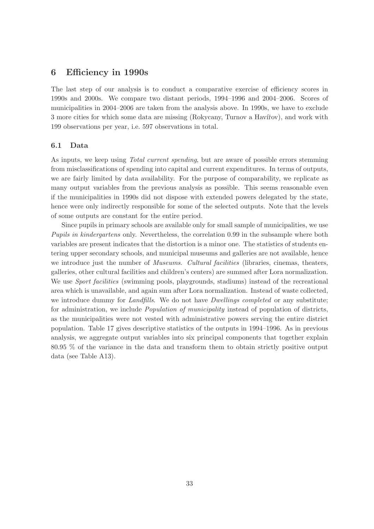### 6 Efficiency in 1990s

The last step of our analysis is to conduct a comparative exercise of efficiency scores in 1990s and 2000s. We compare two distant periods, 1994–1996 and 2004–2006. Scores of municipalities in 2004–2006 are taken from the analysis above. In 1990s, we have to exclude 3 more cities for which some data are missing (Rokycany, Turnov a Havířov), and work with 199 observations per year, i.e. 597 observations in total.

### 6.1 Data

As inputs, we keep using *Total current spending*, but are aware of possible errors stemming from misclassifications of spending into capital and current expenditures. In terms of outputs, we are fairly limited by data availability. For the purpose of comparability, we replicate as many output variables from the previous analysis as possible. This seems reasonable even if the municipalities in 1990s did not dispose with extended powers delegated by the state, hence were only indirectly responsible for some of the selected outputs. Note that the levels of some outputs are constant for the entire period.

Since pupils in primary schools are available only for small sample of municipalities, we use Pupils in kindergartens only. Nevertheless, the correlation 0.99 in the subsample where both variables are present indicates that the distortion is a minor one. The statistics of students entering upper secondary schools, and municipal museums and galleries are not available, hence we introduce just the number of *Museums. Cultural facilities* (libraries, cinemas, theaters, galleries, other cultural facilities and children's centers) are summed after Lora normalization. We use *Sport facilities* (swimming pools, playgrounds, stadiums) instead of the recreational area which is unavailable, and again sum after Lora normalization. Instead of waste collected, we introduce dummy for *Landfills*. We do not have *Dwellings completed* or any substitute; for administration, we include *Population of municipality* instead of population of districts, as the municipalities were not vested with administrative powers serving the entire district population. Table 17 gives descriptive statistics of the outputs in 1994–1996. As in previous analysis, we aggregate output variables into six principal components that together explain 80.95 % of the variance in the data and transform them to obtain strictly positive output data (see Table A13).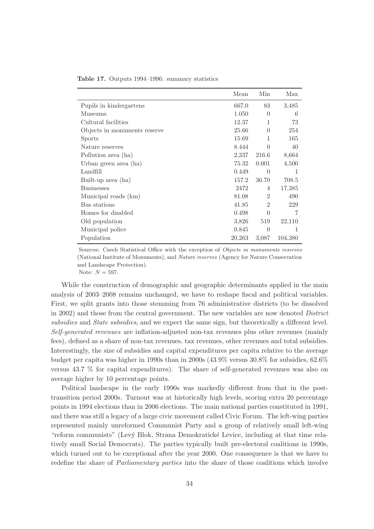|                              | Mean   | Min            | Max     |
|------------------------------|--------|----------------|---------|
| Pupils in kindergartens      | 667.0  | 83             | 3.485   |
| Museums                      | 1.050  | $\theta$       | 6       |
| Cultural facilities          | 12.37  | 1              | 73      |
| Objects in monuments reserve | 25.66  | $\theta$       | 254     |
| <b>Sports</b>                | 15.69  | 1              | 165     |
| Nature reserves              | 8.444  | $\Omega$       | 40      |
| Pollution area (ha)          | 2,337  | 216.6          | 8,664   |
| Urban green area (ha)        | 75.32  | 0.001          | 4,500   |
| Landfill                     | 0.449  | $\theta$       | 1       |
| Built-up area (ha)           | 157.2  | 36.70          | 708.5   |
| <b>Businesses</b>            | 2472   | 4              | 17,385  |
| Municipal roads (km)         | 81.08  | $\mathfrak{D}$ | 490     |
| Bus stations                 | 41.85  | $\mathfrak{D}$ | 229     |
| Homes for disabled           | 0.498  | $\Omega$       | 7       |
| Old population               | 3,826  | 519            | 22,110  |
| Municipal police             | 0.845  | $\theta$       |         |
| Population                   | 20,263 | 3,087          | 104,380 |

Table 17. Outputs 1994–1996: summary statistics

Sources: Czech Statistical Office with the exception of Objects in monuments reserves (National Institute of Monuments), and Nature reserves (Agency for Nature Conservation and Landscape Protection).

Note:  $N = 597$ .

While the construction of demographic and geographic determinants applied in the main analysis of 2003–2008 remains unchanged, we have to reshape fiscal and political variables. First, we split grants into those stemming from 76 administrative districts (to be dissolved in 2002) and those from the central government. The new variables are now denoted District subsidies and *State subsidies*, and we expect the same sign, but theoretically a different level. Self-generated revenues are inflation-adjusted non-tax revenues plus other revenues (mainly fees), defined as a share of non-tax revenues, tax revenues, other revenues and total subsidies. Interestingly, the size of subsidies and capital expenditures per capita relative to the average budget per capita was higher in 1990s than in 2000s (43.9% versus 30.8% for subsidies, 62.6% versus 43.7 % for capital expenditures). The share of self-generated revenues was also on average higher by 10 percentage points.

Political landscape in the early 1990s was markedly different from that in the posttransition period 2000s. Turnout was at historically high levels, scoring extra 20 percentage points in 1994 elections than in 2006 elections. The main national parties constituted in 1991, and there was still a legacy of a large civic movement called Civic Forum. The left-wing parties represented mainly unreformed Communist Party and a group of relatively small left-wing "reform communists" (Levý Blok, Strana Demokratické Levice, including at that time relatively small Social Democrats). The parties typically built pre-electoral coalitions in 1990s, which turned out to be exceptional after the year 2000. One consequence is that we have to redefine the share of *Parliamentary parties* into the share of those coalitions which involve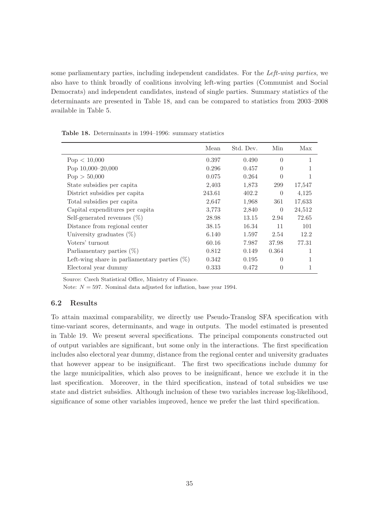some parliamentary parties, including independent candidates. For the Left-wing parties, we also have to think broadly of coalitions involving left-wing parties (Communist and Social Democrats) and independent candidates, instead of single parties. Summary statistics of the determinants are presented in Table 18, and can be compared to statistics from 2003–2008 available in Table 5.

Mean Std. Dev. Min Max  $Pop < 10,000$  0.397 0.490 0 1 Pop 10,000–20,000 0.296 0.296 0.457 0 1  $P_{OD} > 50,000$  0.075 0.264 0 1 State subsidies per capita 2,403 1,873 299 17,547 District subsidies per capita  $243.61$   $402.2$  0  $4,125$ Total subsidies per capita 2,647 1,968 361 17,633 Capital expenditures per capita 3,773 2,840 0 24,512 Self-generated revenues (%) 28.98 13.15 2.94 72.65 Distance from regional center 38.15 16.34 11 101 University graduates (%) 6.140 1.597 2.54 12.2 Voters' turnout 60.16 7.987 37.98 77.31 Parliamentary parties (%) 0.812 0.149 0.364 1 Left-wing share in parliamentary parties  $(\%)$  0.342 0.195 0 1 Electoral year dummy 0.333 0.472 0 1

Table 18. Determinants in 1994–1996: summary statistics

Source: Czech Statistical Office, Ministry of Finance.

Note:  $N = 597$ . Nominal data adjusted for inflation, base year 1994.

### 6.2 Results

To attain maximal comparability, we directly use Pseudo-Translog SFA specification with time-variant scores, determinants, and wage in outputs. The model estimated is presented in Table 19. We present several specifications. The principal components constructed out of output variables are significant, but some only in the interactions. The first specification includes also electoral year dummy, distance from the regional center and university graduates that however appear to be insignificant. The first two specifications include dummy for the large municipalities, which also proves to be insignificant, hence we exclude it in the last specification. Moreover, in the third specification, instead of total subsidies we use state and district subsidies. Although inclusion of these two variables increase log-likelihood, significance of some other variables improved, hence we prefer the last third specification.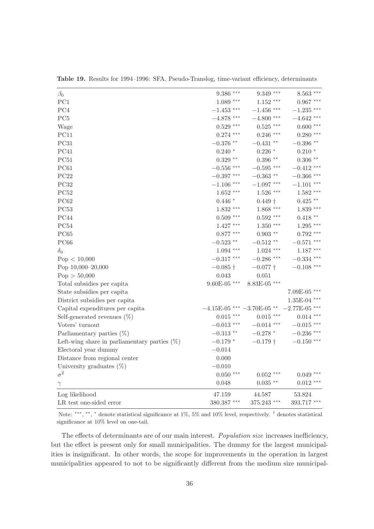| $\beta_0$                                       | $9.386$ ***                                                 | $9.349$ ***     | $8.563$ ***           |
|-------------------------------------------------|-------------------------------------------------------------|-----------------|-----------------------|
| PC1                                             | $1.089$ ***                                                 | $1.152$ ***     | $0.967***$            |
| PC <sub>4</sub>                                 | $-1.453$ ***                                                | $-1.456$ ***    | $-1.235$ ***          |
| PC <sub>5</sub>                                 | $-4.878$ ***                                                | $-4.800$ ***    | $-4.642$ ***          |
| Wage                                            | $0.529$ ***                                                 | $0.525$ ***     | $0.600$ ***           |
| PC11                                            | $0.274$ ***                                                 | $0.246$ ***     | $0.280$ ***           |
| PC31                                            | $-0.376$ **                                                 | $-0.431$ **     | $-0.396$ **           |
| PC41                                            | $0.240*$                                                    | $0.226$ *       | $0.210*$              |
| PC51                                            | $0.329$ **                                                  | $0.396**$       | $0.306$ **            |
| PC61                                            | $-0.556$ ***                                                | $-0.595$ ***    | $-0.412$ ***          |
| PC22                                            | $-0.397$ ***                                                | $-0.363$ **     | $-0.366$ ***          |
| PC32                                            | $-1.106$ ***                                                | $-1.097$ ***    | $-1.101$ ***          |
| PC52                                            | $1.652$ ***                                                 | $1.526$ ***     | $1.582$ ***           |
| PC62                                            | $0.446*$                                                    | $0.449\dagger$  | $0.425$ **            |
| PC53                                            | $1.832$ ***                                                 | $1.868$ ***     | $1.839$ ***           |
| PC44                                            | $0.509$ ***                                                 | $0.592$ ***     | $0.418$ $^{\ast\ast}$ |
| PC54                                            | $1.427***$                                                  | $1.350$ ***     | $1.295$ ***           |
| PC65                                            | $0.877***$                                                  | $0.903$ **      | $0.792$ ***           |
| PC66                                            | $-0.523$ **                                                 | $-0.512$ **     | $-0.571$ ***          |
| $\delta_0$                                      | $1.094$ ***                                                 | $1.024$ ***     | $1.187$ ***           |
| Pop < 10,000                                    | $-0.317$ ***                                                | $-0.286$ ***    | $-0.334$ ***          |
| Pop 10,000-20,000                               | $-0.085$ +                                                  | $-0.077$ †      | $-0.108$ ***          |
| Pop > 50,000                                    | 0.043                                                       | 0.051           |                       |
| Total subsidies per capita                      | $9.60E-05$ ***                                              | 8.83E-05 ***    |                       |
| State subsidies per capita                      |                                                             |                 | $7.09E-05$ ***        |
| District subsidies per capita                   |                                                             |                 | $1.35E-04$ ***        |
| Capital expenditures per capita                 | $-4.15E-05$ *** $-3.70E-05$ **                              |                 | $-2.77E-05$ ***       |
| Self-generated revenues $(\%)$                  | $0.015$ $\hspace{-1.5mm}$ $\hspace{0.1mm}$ $\hspace{0.1mm}$ | $0.015***$      | $0.014$ ***           |
| Voters' turnout                                 | $-0.013$ ***                                                | $-0.014$ ***    | $-0.015$ ***          |
| Parliamentary parties $(\%)$                    | $-0.313$ **                                                 | $-0.278$ *      | $-0.236$ ***          |
| Left-wing share in parliamentary parties $(\%)$ | $-0.179*$                                                   | $-0.179\dagger$ | $-0.150$ ***          |
| Electoral year dummy                            | $-0.014$                                                    |                 |                       |
| Distance from regional center                   | 0.000                                                       |                 |                       |
| University graduates $(\%)$                     | $-0.010$                                                    |                 |                       |
| $\sigma^2$                                      | $0.050$ ***                                                 | $0.052$ ***     | $0.049$ ***           |
| $\gamma$                                        | 0.048                                                       | $0.035$ **      | $0.012$ ***           |
| Log likelihood                                  | 47.159                                                      | 44.587          | 53.824                |
| LR test one-sided error                         | 380.387 ***                                                 | 375.243 ***     | 393.717 ***           |

Table 19. Results for 1994–1996: SFA, Pseudo-Translog, time-variant efficiency, determinants

Note: \*\*\*, \*\*, \* denote statistical significance at 1%, 5% and 10% level, respectively. <sup>†</sup> denotes statistical significance at 10% level on one-tail.

The effects of determinants are of our main interest. Population size increases inefficiency, but the effect is present only for small municipalities. The dummy for the largest municipalities is insignificant. In other words, the scope for improvements in the operation in largest municipalities appeared to not to be significantly different from the medium size municipal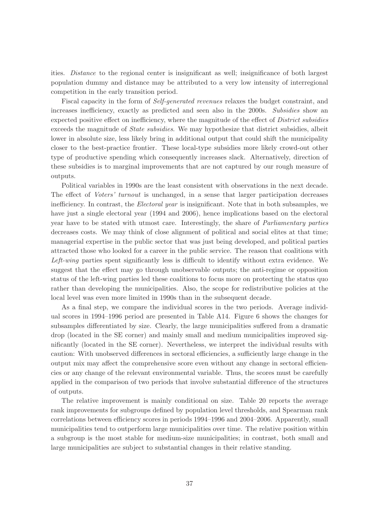ities. Distance to the regional center is insignificant as well; insignificance of both largest population dummy and distance may be attributed to a very low intensity of interregional competition in the early transition period.

Fiscal capacity in the form of Self-generated revenues relaxes the budget constraint, and increases inefficiency, exactly as predicted and seen also in the 2000s. Subsidies show an expected positive effect on inefficiency, where the magnitude of the effect of District subsidies exceeds the magnitude of State subsidies. We may hypothesize that district subsidies, albeit lower in absolute size, less likely bring in additional output that could shift the municipality closer to the best-practice frontier. These local-type subsidies more likely crowd-out other type of productive spending which consequently increases slack. Alternatively, direction of these subsidies is to marginal improvements that are not captured by our rough measure of outputs.

Political variables in 1990s are the least consistent with observations in the next decade. The effect of Voters' turnout is unchanged, in a sense that larger participation decreases inefficiency. In contrast, the Electoral year is insignificant. Note that in both subsamples, we have just a single electoral year (1994 and 2006), hence implications based on the electoral year have to be stated with utmost care. Interestingly, the share of Parliamentary parties decreases costs. We may think of close alignment of political and social elites at that time; managerial expertise in the public sector that was just being developed, and political parties attracted those who looked for a career in the public service. The reason that coalitions with Left-wing parties spent significantly less is difficult to identify without extra evidence. We suggest that the effect may go through unobservable outputs; the anti-regime or opposition status of the left-wing parties led these coalitions to focus more on protecting the status quo rather than developing the municipalities. Also, the scope for redistributive policies at the local level was even more limited in 1990s than in the subsequent decade.

As a final step, we compare the individual scores in the two periods. Average individual scores in 1994–1996 period are presented in Table A14. Figure 6 shows the changes for subsamples differentiated by size. Clearly, the large municipalities suffered from a dramatic drop (located in the SE corner) and mainly small and medium municipalities improved significantly (located in the SE corner). Nevertheless, we interpret the individual results with caution: With unobserved differences in sectoral efficiencies, a sufficiently large change in the output mix may affect the comprehensive score even without any change in sectoral efficiencies or any change of the relevant environmental variable. Thus, the scores must be carefully applied in the comparison of two periods that involve substantial difference of the structures of outputs.

The relative improvement is mainly conditional on size. Table 20 reports the average rank improvements for subgroups defined by population level thresholds, and Spearman rank correlations between efficiency scores in periods 1994–1996 and 2004–2006. Apparently, small municipalities tend to outperform large municipalities over time. The relative position within a subgroup is the most stable for medium-size municipalities; in contrast, both small and large municipalities are subject to substantial changes in their relative standing.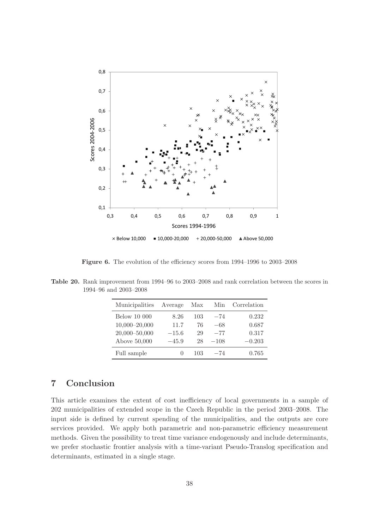![](_page_37_Figure_0.jpeg)

Figure 6. The evolution of the efficiency scores from 1994–1996 to 2003–2008

| Municipalities    | Average          | Max | Min    | Correlation |
|-------------------|------------------|-----|--------|-------------|
| Below 10 000      | 8.26             | 103 | $-74$  | 0.232       |
| $10,000 - 20,000$ | 11.7             | 76  | $-68$  | 0.687       |
| 20,000-50,000     | $-15.6$          | 29  | $-77$  | 0.317       |
| Above 50,000      | $-45.9$          | 28  | $-108$ | $-0.203$    |
| Full sample       | $\left( \right)$ | 103 | $-74$  | 0.765       |

Table 20. Rank improvement from 1994–96 to 2003–2008 and rank correlation between the scores in 1994–96 and 2003–2008

# 7 Conclusion

This article examines the extent of cost inefficiency of local governments in a sample of 202 municipalities of extended scope in the Czech Republic in the period 2003–2008. The input side is defined by current spending of the municipalities, and the outputs are core services provided. We apply both parametric and non-parametric efficiency measurement methods. Given the possibility to treat time variance endogenously and include determinants, we prefer stochastic frontier analysis with a time-variant Pseudo-Translog specification and determinants, estimated in a single stage.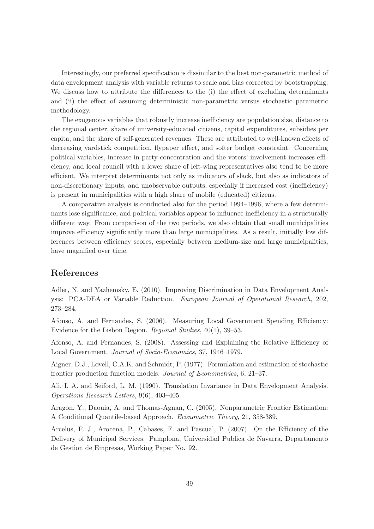Interestingly, our preferred specification is dissimilar to the best non-parametric method of data envelopment analysis with variable returns to scale and bias corrected by bootstrapping. We discuss how to attribute the differences to the (i) the effect of excluding determinants and (ii) the effect of assuming deterministic non-parametric versus stochastic parametric methodology.

The exogenous variables that robustly increase inefficiency are population size, distance to the regional center, share of university-educated citizens, capital expenditures, subsidies per capita, and the share of self-generated revenues. These are attributed to well-known effects of decreasing yardstick competition, flypaper effect, and softer budget constraint. Concerning political variables, increase in party concentration and the voters' involvement increases efficiency, and local council with a lower share of left-wing representatives also tend to be more efficient. We interpret determinants not only as indicators of slack, but also as indicators of non-discretionary inputs, and unobservable outputs, especially if increased cost (inefficiency) is present in municipalities with a high share of mobile (educated) citizens.

A comparative analysis is conducted also for the period 1994–1996, where a few determinants lose significance, and political variables appear to influence inefficiency in a structurally different way. From comparison of the two periods, we also obtain that small municipalities improve efficiency significantly more than large municipalities. As a result, initially low differences between efficiency scores, especially between medium-size and large municipalities, have magnified over time.

# References

Adler, N. and Yazhemsky, E. (2010). Improving Discrimination in Data Envelopment Analysis: PCA-DEA or Variable Reduction. European Journal of Operational Research, 202, 273–284.

Afonso, A. and Fernandes, S. (2006). Measuring Local Government Spending Efficiency: Evidence for the Lisbon Region. Regional Studies, 40(1), 39–53.

Afonso, A. and Fernandes, S. (2008). Assessing and Explaining the Relative Efficiency of Local Government. Journal of Socio-Economics, 37, 1946–1979.

Aigner, D.J., Lovell, C.A.K. and Schmidt, P. (1977). Formulation and estimation of stochastic frontier production function models. Journal of Econometrics, 6, 21–37.

Ali, I. A. and Seiford, L. M. (1990). Translation Invariance in Data Envelopment Analysis. Operations Research Letters, 9(6), 403–405.

Aragon, Y., Daouia, A. and Thomas-Agnan, C. (2005). Nonparametric Frontier Estimation: A Conditional Quantile-based Approach. Econometric Theory, 21, 358-389.

Arcelus, F. J., Arocena, P., Cabases, F. and Pascual, P. (2007). On the Efficiency of the Delivery of Municipal Services. Pamplona, Universidad Publica de Navarra, Departamento de Gestion de Empresas, Working Paper No. 92.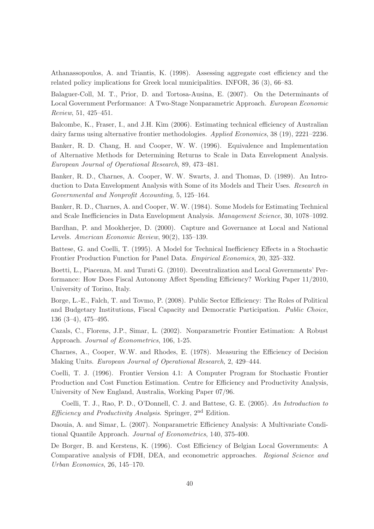Athanassopoulos, A. and Triantis, K. (1998). Assessing aggregate cost efficiency and the related policy implications for Greek local municipalities. INFOR, 36 (3), 66–83.

Balaguer-Coll, M. T., Prior, D. and Tortosa-Ausina, E. (2007). On the Determinants of Local Government Performance: A Two-Stage Nonparametric Approach. European Economic Review, 51, 425–451.

Balcombe, K., Fraser, I., and J.H. Kim (2006). Estimating technical efficiency of Australian dairy farms using alternative frontier methodologies. Applied Economics, 38 (19), 2221–2236.

Banker, R. D. Chang, H. and Cooper, W. W. (1996). Equivalence and Implementation of Alternative Methods for Determining Returns to Scale in Data Envelopment Analysis. European Journal of Operational Research, 89, 473–481.

Banker, R. D., Charnes, A. Cooper, W. W. Swarts, J. and Thomas, D. (1989). An Introduction to Data Envelopment Analysis with Some of its Models and Their Uses. Research in Governmental and Nonprofit Accounting, 5, 125–164.

Banker, R. D., Charnes, A. and Cooper, W. W. (1984). Some Models for Estimating Technical and Scale Inefficiencies in Data Envelopment Analysis. Management Science, 30, 1078–1092.

Bardhan, P. and Mookherjee, D. (2000). Capture and Governance at Local and National Levels. American Economic Review, 90(2), 135–139.

Battese, G. and Coelli, T. (1995). A Model for Technical Inefficiency Effects in a Stochastic Frontier Production Function for Panel Data. Empirical Economics, 20, 325–332.

Boetti, L., Piacenza, M. and Turati G. (2010). Decentralization and Local Governments' Performance: How Does Fiscal Autonomy Affect Spending Efficiency? Working Paper 11/2010, University of Torino, Italy.

Borge, L.-E., Falch, T. and Tovmo, P. (2008). Public Sector Efficiency: The Roles of Political and Budgetary Institutions, Fiscal Capacity and Democratic Participation. Public Choice, 136 (3–4), 475–495.

Cazals, C., Florens, J.P., Simar, L. (2002). Nonparametric Frontier Estimation: A Robust Approach. Journal of Econometrics, 106, 1-25.

Charnes, A., Cooper, W.W. and Rhodes, E. (1978). Measuring the Efficiency of Decision Making Units. European Journal of Operational Research, 2, 429–444.

Coelli, T. J. (1996). Frontier Version 4.1: A Computer Program for Stochastic Frontier Production and Cost Function Estimation. Centre for Efficiency and Productivity Analysis, University of New England, Australia, Working Paper 07/96.

Coelli, T. J., Rao, P. D., O'Donnell, C. J. and Battese, G. E. (2005). An Introduction to Efficiency and Productivity Analysis. Springer, 2nd Edition.

Daouia, A. and Simar, L. (2007). Nonparametric Efficiency Analysis: A Multivariate Conditional Quantile Approach. Journal of Econometrics, 140, 375-400.

De Borger, B. and Kerstens, K. (1996). Cost Efficiency of Belgian Local Governments: A Comparative analysis of FDH, DEA, and econometric approaches. Regional Science and Urban Economics, 26, 145–170.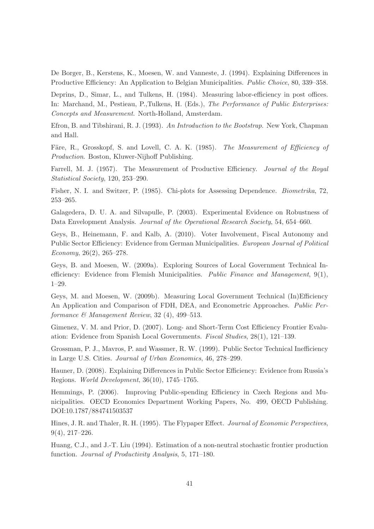De Borger, B., Kerstens, K., Moesen, W. and Vanneste, J. (1994). Explaining Differences in Productive Efficiency: An Application to Belgian Municipalities. *Public Choice*, 80, 339–358.

Deprins, D., Simar, L., and Tulkens, H. (1984). Measuring labor-efficiency in post offices. In: Marchand, M., Pestieau, P.,Tulkens, H. (Eds.), The Performance of Public Enterprises: Concepts and Measurement. North-Holland, Amsterdam.

Efron, B. and Tibshirani, R. J. (1993). An Introduction to the Bootstrap. New York, Chapman and Hall.

Färe, R., Grosskopf, S. and Lovell, C. A. K. (1985). The Measurement of Efficiency of Production. Boston, Kluwer-Nijhoff Publishing.

Farrell, M. J. (1957). The Measurement of Productive Efficiency. *Journal of the Royal* Statistical Society, 120, 253–290.

Fisher, N. I. and Switzer, P. (1985). Chi-plots for Assessing Dependence. Biometrika, 72, 253–265.

Galagedera, D. U. A. and Silvapulle, P. (2003). Experimental Evidence on Robustness of Data Envelopment Analysis. Journal of the Operational Research Society, 54, 654–660.

Geys, B., Heinemann, F. and Kalb, A. (2010). Voter Involvement, Fiscal Autonomy and Public Sector Efficiency: Evidence from German Municipalities. European Journal of Political Economy,  $26(2)$ ,  $265-278$ .

Geys, B. and Moesen, W. (2009a). Exploring Sources of Local Government Technical Inefficiency: Evidence from Flemish Municipalities. Public Finance and Management, 9(1), 1–29.

Geys, M. and Moesen, W. (2009b). Measuring Local Government Technical (In)Efficiency An Application and Comparison of FDH, DEA, and Econometric Approaches. Public Performance  $\mathcal C$  Management Review, 32 (4), 499–513.

Gimenez, V. M. and Prior, D. (2007). Long- and Short-Term Cost Efficiency Frontier Evaluation: Evidence from Spanish Local Governments. Fiscal Studies, 28(1), 121–139.

Grossman, P. J., Mavros, P. and Wassmer, R. W. (1999). Public Sector Technical Inefficiency in Large U.S. Cities. Journal of Urban Economics, 46, 278–299.

Hauner, D. (2008). Explaining Differences in Public Sector Efficiency: Evidence from Russia's Regions. World Development, 36(10), 1745–1765.

Hemmings, P. (2006). Improving Public-spending Efficiency in Czech Regions and Municipalities. OECD Economics Department Working Papers, No. 499, OECD Publishing. DOI:10.1787/884741503537

Hines, J. R. and Thaler, R. H. (1995). The Flypaper Effect. Journal of Economic Perspectives, 9(4), 217–226.

Huang, C.J., and J.-T. Liu (1994). Estimation of a non-neutral stochastic frontier production function. Journal of Productivity Analysis, 5, 171–180.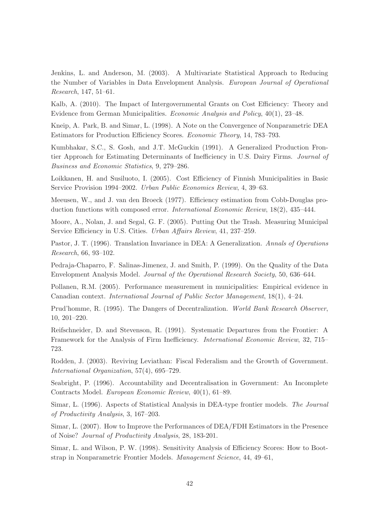Jenkins, L. and Anderson, M. (2003). A Multivariate Statistical Approach to Reducing the Number of Variables in Data Envelopment Analysis. European Journal of Operational Research, 147, 51–61.

Kalb, A. (2010). The Impact of Intergovernmental Grants on Cost Efficiency: Theory and Evidence from German Municipalities. Economic Analysis and Policy, 40(1), 23–48.

Kneip, A. Park, B. and Simar, L. (1998). A Note on the Convergence of Nonparametric DEA Estimators for Production Efficiency Scores. Economic Theory, 14, 783–793.

Kumbhakar, S.C., S. Gosh, and J.T. McGuckin (1991). A Generalized Production Frontier Approach for Estimating Determinants of Inefficiency in U.S. Dairy Firms. Journal of Business and Economic Statistics, 9, 279–286.

Loikkanen, H. and Susiluoto, I. (2005). Cost Efficiency of Finnish Municipalities in Basic Service Provision 1994–2002. Urban Public Economics Review, 4, 39–63.

Meeusen, W., and J. van den Broeck (1977). Efficiency estimation from Cobb-Douglas production functions with composed error. International Economic Review, 18(2), 435–444.

Moore, A., Nolan, J. and Segal, G. F. (2005). Putting Out the Trash. Measuring Municipal Service Efficiency in U.S. Cities. Urban Affairs Review, 41, 237–259.

Pastor, J. T. (1996). Translation Invariance in DEA: A Generalization. Annals of Operations Research, 66, 93–102.

Pedraja-Chaparro, F. Salinas-Jimenez, J. and Smith, P. (1999). On the Quality of the Data Envelopment Analysis Model. Journal of the Operational Research Society, 50, 636–644.

Pollanen, R.M. (2005). Performance measurement in municipalities: Empirical evidence in Canadian context. International Journal of Public Sector Management, 18(1), 4–24.

Prud'homme, R. (1995). The Dangers of Decentralization. World Bank Research Observer, 10, 201–220.

Reifschneider, D. and Stevenson, R. (1991). Systematic Departures from the Frontier: A Framework for the Analysis of Firm Inefficiency. International Economic Review, 32, 715– 723.

Rodden, J. (2003). Reviving Leviathan: Fiscal Federalism and the Growth of Government. International Organization, 57(4), 695–729.

Seabright, P. (1996). Accountability and Decentralisation in Government: An Incomplete Contracts Model. European Economic Review, 40(1), 61–89.

Simar, L. (1996). Aspects of Statistical Analysis in DEA-type frontier models. The Journal of Productivity Analysis, 3, 167–203.

Simar, L. (2007). How to Improve the Performances of DEA/FDH Estimators in the Presence of Noise? Journal of Productivity Analysis, 28, 183-201.

Simar, L. and Wilson, P. W. (1998). Sensitivity Analysis of Efficiency Scores: How to Bootstrap in Nonparametric Frontier Models. Management Science, 44, 49–61,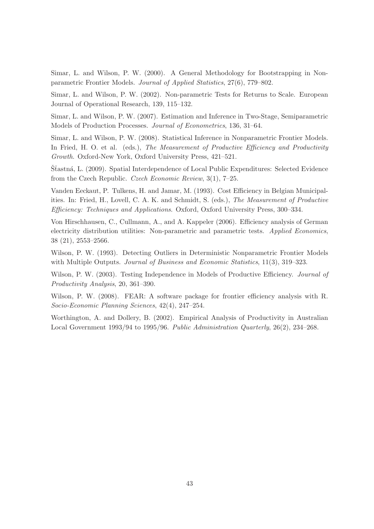Simar, L. and Wilson, P. W. (2000). A General Methodology for Bootstrapping in Nonparametric Frontier Models. Journal of Applied Statistics, 27(6), 779–802.

Simar, L. and Wilson, P. W. (2002). Non-parametric Tests for Returns to Scale. European Journal of Operational Research, 139, 115–132.

Simar, L. and Wilson, P. W. (2007). Estimation and Inference in Two-Stage, Semiparametric Models of Production Processes. Journal of Econometrics, 136, 31–64.

Simar, L. and Wilson, P. W. (2008). Statistical Inference in Nonparametric Frontier Models. In Fried, H. O. et al. (eds.), The Measurement of Productive Efficiency and Productivity Growth. Oxford-New York, Oxford University Press, 421–521.

Stastná, L. (2009). Spatial Interdependence of Local Public Expenditures: Selected Evidence from the Czech Republic. Czech Economic Review, 3(1), 7–25.

Vanden Eeckaut, P. Tulkens, H. and Jamar, M. (1993). Cost Efficiency in Belgian Municipalities. In: Fried, H., Lovell, C. A. K. and Schmidt, S. (eds.), The Measurement of Productive Efficiency: Techniques and Applications. Oxford, Oxford University Press, 300–334.

Von Hirschhausen, C., Cullmann, A., and A. Kappeler (2006). Efficiency analysis of German electricity distribution utilities: Non-parametric and parametric tests. Applied Economics, 38 (21), 2553–2566.

Wilson, P. W. (1993). Detecting Outliers in Deterministic Nonparametric Frontier Models with Multiple Outputs. *Journal of Business and Economic Statistics*, 11(3), 319–323.

Wilson, P. W. (2003). Testing Independence in Models of Productive Efficiency. *Journal of* Productivity Analysis, 20, 361–390.

Wilson, P. W. (2008). FEAR: A software package for frontier efficiency analysis with R. Socio-Economic Planning Sciences, 42(4), 247–254.

Worthington, A. and Dollery, B. (2002). Empirical Analysis of Productivity in Australian Local Government 1993/94 to 1995/96. Public Administration Quarterly, 26(2), 234–268.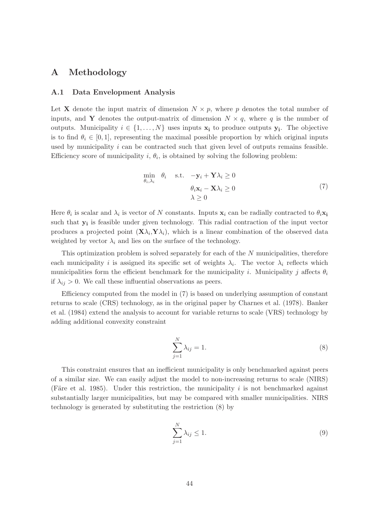## A Methodology

### A.1 Data Envelopment Analysis

Let **X** denote the input matrix of dimension  $N \times p$ , where p denotes the total number of inputs, and Y denotes the output-matrix of dimension  $N \times q$ , where q is the number of outputs. Municipality  $i \in \{1, ..., N\}$  uses inputs  $\mathbf{x_i}$  to produce outputs  $\mathbf{y_i}$ . The objective is to find  $\theta_i \in [0,1]$ , representing the maximal possible proportion by which original inputs used by municipality  $i$  can be contracted such that given level of outputs remains feasible. Efficiency score of municipality  $i, \theta_i$ , is obtained by solving the following problem:

$$
\min_{\theta_i, \lambda_i} \quad \theta_i \quad \text{s.t.} \quad -\mathbf{y}_i + \mathbf{Y} \lambda_i \ge 0
$$
\n
$$
\theta_i \mathbf{x}_i - \mathbf{X} \lambda_i \ge 0
$$
\n
$$
\lambda \ge 0
$$
\n
$$
(7)
$$

Here  $\theta_i$  is scalar and  $\lambda_i$  is vector of N constants. Inputs  $\mathbf{x}_i$  can be radially contracted to  $\theta_i\mathbf{x}_i$ such that  $y_i$  is feasible under given technology. This radial contraction of the input vector produces a projected point  $(X\lambda_i, Y\lambda_i)$ , which is a linear combination of the observed data weighted by vector  $\lambda_i$  and lies on the surface of the technology.

This optimization problem is solved separately for each of the N municipalities, therefore each municipality *i* is assigned its specific set of weights  $\lambda_i$ . The vector  $\lambda_i$  reflects which municipalities form the efficient benchmark for the municipality i. Municipality j affects  $\theta_i$ if  $\lambda_{ij} > 0$ . We call these influential observations as peers.

Efficiency computed from the model in (7) is based on underlying assumption of constant returns to scale (CRS) technology, as in the original paper by Charnes et al. (1978). Banker et al. (1984) extend the analysis to account for variable returns to scale (VRS) technology by adding additional convexity constraint

$$
\sum_{j=1}^{N} \lambda_{ij} = 1.
$$
\n(8)

This constraint ensures that an inefficient municipality is only benchmarked against peers of a similar size. We can easily adjust the model to non-increasing returns to scale (NIRS) (Färe et al. 1985). Under this restriction, the municipality i is not benchmarked against substantially larger municipalities, but may be compared with smaller municipalities. NIRS technology is generated by substituting the restriction (8) by

$$
\sum_{j=1}^{N} \lambda_{ij} \le 1.
$$
\n(9)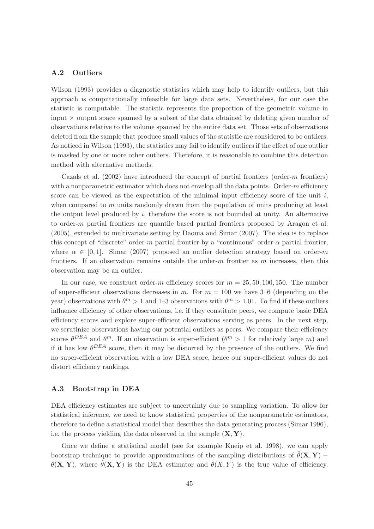### A.2 Outliers

Wilson (1993) provides a diagnostic statistics which may help to identify outliers, but this approach is computationally infeasible for large data sets. Nevertheless, for our case the statistic is computable. The statistic represents the proportion of the geometric volume in input  $\times$  output space spanned by a subset of the data obtained by deleting given number of observations relative to the volume spanned by the entire data set. Those sets of observations deleted from the sample that produce small values of the statistic are considered to be outliers. As noticed in Wilson (1993), the statistics may fail to identify outliers if the effect of one outlier is masked by one or more other outliers. Therefore, it is reasonable to combine this detection method with alternative methods.

Cazals et al. (2002) have introduced the concept of partial frontiers (order-m frontiers) with a nonparametric estimator which does not envelop all the data points. Order- $m$  efficiency score can be viewed as the expectation of the minimal input efficiency score of the unit  $i$ , when compared to  $m$  units randomly drawn from the population of units producing at least the output level produced by  $i$ , therefore the score is not bounded at unity. An alternative to order-m partial frontiers are quantile based partial frontiers proposed by Aragon et al. (2005), extended to multivariate setting by Daouia and Simar (2007). The idea is to replace this concept of "discrete" order-m partial frontier by a "continuous" order- $\alpha$  partial frontier, where  $\alpha \in [0,1]$ . Simar (2007) proposed an outlier detection strategy based on order-m frontiers. If an observation remains outside the order- $m$  frontier as  $m$  increases, then this observation may be an outlier.

In our case, we construct order-m efficiency scores for  $m = 25, 50, 100, 150$ . The number of super-efficient observations decreases in m. For  $m = 100$  we have 3–6 (depending on the year) observations with  $\theta^m > 1$  and 1-3 observations with  $\theta^m > 1.01$ . To find if these outliers influence efficiency of other observations, i.e. if they constitute peers, we compute basic DEA efficiency scores and explore super-efficient observations serving as peers. In the next step, we scrutinize observations having our potential outliers as peers. We compare their efficiency scores  $\theta^{DEA}$  and  $\theta^m$ . If an observation is super-efficient  $(\theta^m > 1$  for relatively large m) and if it has low  $\theta^{DEA}$  score, then it may be distorted by the presence of the outliers. We find no super-efficient observation with a low DEA score, hence our super-efficient values do not distort efficiency rankings.

### A.3 Bootstrap in DEA

DEA efficiency estimates are subject to uncertainty due to sampling variation. To allow for statistical inference, we need to know statistical properties of the nonparametric estimators, therefore to define a statistical model that describes the data generating process (Simar 1996), i.e. the process yielding the data observed in the sample  $(X, Y)$ .

Once we define a statistical model (see for example Kneip et al. 1998), we can apply bootstrap technique to provide approximations of the sampling distributions of  $\theta(X, Y)$  −  $\theta(X, Y)$ , where  $\hat{\theta}(X, Y)$  is the DEA estimator and  $\theta(X, Y)$  is the true value of efficiency.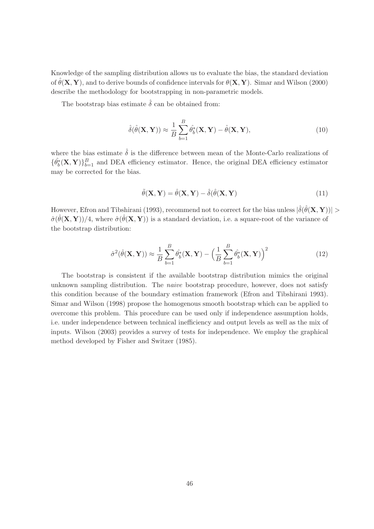Knowledge of the sampling distribution allows us to evaluate the bias, the standard deviation of  $\theta(\mathbf{X}, \mathbf{Y})$ , and to derive bounds of confidence intervals for  $\theta(\mathbf{X}, \mathbf{Y})$ . Simar and Wilson (2000) describe the methodology for bootstrapping in non-parametric models.

The bootstrap bias estimate  $\hat{\delta}$  can be obtained from:

$$
\hat{\delta}(\hat{\theta}(\mathbf{X}, \mathbf{Y})) \approx \frac{1}{B} \sum_{b=1}^{B} \hat{\theta}_b^*(\mathbf{X}, \mathbf{Y}) - \hat{\theta}(\mathbf{X}, \mathbf{Y}),
$$
\n(10)

where the bias estimate  $\hat{\delta}$  is the difference between mean of the Monte-Carlo realizations of  ${\{\hat{\theta}_{b}^{*}(\mathbf{X}, \mathbf{Y})\}_{b=1}^{B}}$  and DEA efficiency estimator. Hence, the original DEA efficiency estimator may be corrected for the bias.

$$
\tilde{\theta}(\mathbf{X}, \mathbf{Y}) = \hat{\theta}(\mathbf{X}, \mathbf{Y}) - \hat{\delta}(\hat{\theta}(\mathbf{X}, \mathbf{Y}))
$$
\n(11)

However, Efron and Tibshirani (1993), recommend not to correct for the bias unless  $|\hat{\delta}(\hat{\theta}(\mathbf{X}, \mathbf{Y}))| >$  $\hat{\sigma}(\hat{\theta}(\mathbf{X}, \mathbf{Y}))/4$ , where  $\hat{\sigma}(\hat{\theta}(\mathbf{X}, \mathbf{Y}))$  is a standard deviation, i.e. a square-root of the variance of the bootstrap distribution:

$$
\hat{\sigma}^2(\hat{\theta}(\mathbf{X}, \mathbf{Y})) \approx \frac{1}{B} \sum_{b=1}^B \hat{\theta}_b^*(\mathbf{X}, \mathbf{Y}) - \left(\frac{1}{B} \sum_{b=1}^B \hat{\theta}_b^*(\mathbf{X}, \mathbf{Y})\right)^2 \tag{12}
$$

The bootstrap is consistent if the available bootstrap distribution mimics the original unknown sampling distribution. The *naive* bootstrap procedure, however, does not satisfy this condition because of the boundary estimation framework (Efron and Tibshirani 1993). Simar and Wilson (1998) propose the homogenous smooth bootstrap which can be applied to overcome this problem. This procedure can be used only if independence assumption holds, i.e. under independence between technical inefficiency and output levels as well as the mix of inputs. Wilson (2003) provides a survey of tests for independence. We employ the graphical method developed by Fisher and Switzer (1985).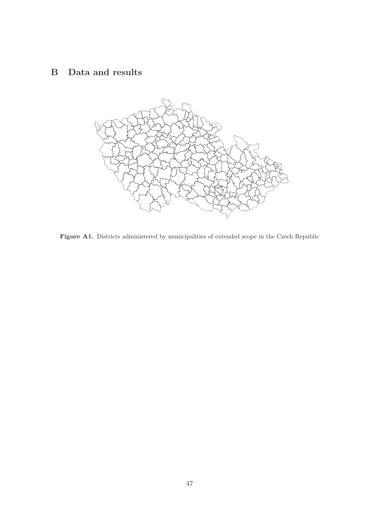# B Data and results

![](_page_46_Figure_1.jpeg)

Figure A1. Districts administered by municipalities of extended scope in the Czech Republic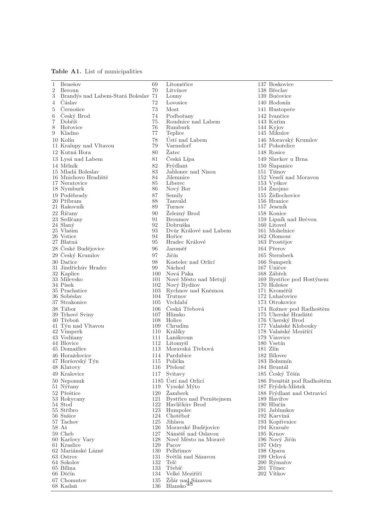Table A1. List of municipalities

| Benešov<br>69<br>Litoměřice<br>137 Boskovice<br>1<br>$\overline{2}$<br>70<br>Litvínov<br>Beroun<br>138 Břeclav<br>3<br>Brandýs nad Labem-Stará Boleslav 71<br>Louny<br>139 Bučovice<br>Čáslav<br>72<br>Lovosice<br>140 Hodonín<br>4<br>73<br>Cernošice<br>5<br>Most<br>141 Hustopeče<br>Ceský Brod<br>74<br>142 Ivančice<br>Podbořany<br>6<br>75<br>7<br>Dobříš<br>Roudnice nad Labem<br>143 Kuřim<br>76<br>8<br>Hořovice<br>Rumburk<br>144 Kyjov<br>77<br>9<br>145 Mikulov<br>Kladno<br>Teplice<br>Ústí nad Labem<br>78<br>146 Moravský Krumlov<br>10 Kolín<br>79<br>11 Kralupy nad Vltavou<br>Varnsdorf<br>147 Pohořelice<br>Žatec<br>80<br>148 Rosice<br>12 Kutná Hora<br>149 Slavkov u Brna<br>81<br>Ceská Lípa<br>13 Lysá nad Labem<br>82<br>150 Šlapanice<br>14 Mělník<br>Frýdlant<br>83<br>Jablonec nad Nisou<br>15 Mladá Boleslav<br>151 Tišnov<br>84<br>16 Mnichovo Hradiště<br>Jilemnice<br>152 Veselí nad Moravou<br>85<br>17 Neratovice<br>Liberec<br>153 Vyškov<br>154 Znojmo<br>86<br>18 Nymburk<br>Nový Bor<br>155 Židlochovice<br>19 Poděbrady<br>87<br>Semily<br>88<br>20 Příbram<br>Tanvald<br>156 Hranice<br>89<br>21 Rakovník<br>157 Jeseník<br>Turnov<br>22 Říčany<br>90<br>Železný Brod<br>158 Konice<br>91<br>23 Sedlčany<br><b>Broumov</b><br>159 Lipník nad Bečvou<br>92<br>Dobruška<br>160 Litovel<br>24 Slaný<br>93<br>161 Mohelnice<br>25 Vlašim<br>Dvůr Králové nad Labem<br>94<br>26 Votice<br>162 Olomouc<br>Hořice<br>95<br>27 Blatná<br>Hradec Králové<br>163 Prostějov<br>28 České Budějovice<br>96<br>164 Přerov<br>Jaroměř<br>165 Sternberk<br>29 Český Krumlov<br>97<br>Jičín<br>166 Šumperk<br>98<br>30 Dačice<br>Kostelec nad Orlicí<br>31 Jindřichův Hradec<br>99<br>Náchod<br>167 Uničov<br>100<br>168 Zábřeh<br>32 Kaplice<br>Nová Paka<br>33 Milevsko<br>101<br>Nové Město nad Metují<br>169 Bystřice pod Hostýnem<br>34 Písek<br>102<br>Nový Bydžov<br>170 Holešov<br>35 Prachatice<br>103<br>Rychnov nad Kněznou<br>171 Kroměříž<br>104<br>36 Soběslav<br>Trutnov<br>172 Luhačovice<br>105<br>Vrchlabí<br>37 Strakonice<br>173 Otrokovice<br>106<br>Ceská Třebová<br>38 Tábor<br>174 Rožnov pod Radhoštěm<br>39 Trhové Sviny<br>107<br>Hlinsko<br>175 Uherské Hradiště<br>40 Třeboň<br>108<br>Holice<br>176 Uherský Brod<br>41 Týn nad Vltavou<br>109<br>Chrudim<br>177 Valašské Klobouky<br>42 Vimperk<br>110<br>Králíky<br>178 Valašské Meziříčí<br>43 Vodňany<br>111<br>Lanškroun<br>179 Vizovice<br>44 Blovice<br>112<br>180 Vsetín<br>Litomyšl<br>45 Domažlice<br>113<br>Moravská Třebová<br>181 Zlín<br>46 Horaždovice<br>182 Bílovec<br>114 Pardubice<br>47 Horšovský Týn<br>115 Polička<br>183 Bohumín<br>48 Klatovy<br>116 Přelouč<br>184 Bruntál<br>185 Český Těšín<br>49 Kralovice<br>117<br>Svitavy<br>1185 Ústí nad Orlicí<br>$186\,$ Frenštát pod Radhoštěm<br>50 Nepomuk<br>51 Nýřany<br>119 Vysoké Mýto<br>187 Frýdek-Místek<br>52 Přeštice<br>120<br>Zamberk<br>188 Frýdlant nad Ostravicí<br>121<br>Bystřice nad Pernštejnem<br>189 Havířov<br>53 Rokycany<br>122 Havlíčkův Brod<br>190 Hlučín<br>54 Stod<br>123 Humpolec<br>55 Stříbro<br>191 Jablunkov<br>124 Chotěboř<br>56 Sušice<br>192 Karviná<br>125<br>57 Tachov<br>193 Kopřivnice<br>Jihlava<br>$58A\check{s}$<br>126 Moravské Budějovice<br>194 Kravaře<br>59 Cheb<br>127 Náměšť nad Oslavou<br>195 Krnov<br>128<br>60 Karlovy Vary<br>Nové Město na Moravě<br>196 Nový Jičín<br>129<br>61 Kraslice<br>Pacov<br>$197 \text{ Odry}$<br>130<br>Pelhřimov<br>198 Opava<br>62 Mariánské Lázně<br>131<br>63 Ostrov<br>Světlá nad Sázavou<br>199 Orlová<br>132<br>64 Sokolov<br>200 Rýmařov<br>Telč<br>133<br>65 Bílina<br>201 Třinec<br>Třebíč<br>66 Děčín<br>134<br>Velké Meziříčí<br>202 Vítkov<br>67 Chomutov<br>135<br>Zdár nad Sázavou<br>136<br>68 Kadaň<br><b>Blansko</b> |  |  |  |
|------------------------------------------------------------------------------------------------------------------------------------------------------------------------------------------------------------------------------------------------------------------------------------------------------------------------------------------------------------------------------------------------------------------------------------------------------------------------------------------------------------------------------------------------------------------------------------------------------------------------------------------------------------------------------------------------------------------------------------------------------------------------------------------------------------------------------------------------------------------------------------------------------------------------------------------------------------------------------------------------------------------------------------------------------------------------------------------------------------------------------------------------------------------------------------------------------------------------------------------------------------------------------------------------------------------------------------------------------------------------------------------------------------------------------------------------------------------------------------------------------------------------------------------------------------------------------------------------------------------------------------------------------------------------------------------------------------------------------------------------------------------------------------------------------------------------------------------------------------------------------------------------------------------------------------------------------------------------------------------------------------------------------------------------------------------------------------------------------------------------------------------------------------------------------------------------------------------------------------------------------------------------------------------------------------------------------------------------------------------------------------------------------------------------------------------------------------------------------------------------------------------------------------------------------------------------------------------------------------------------------------------------------------------------------------------------------------------------------------------------------------------------------------------------------------------------------------------------------------------------------------------------------------------------------------------------------------------------------------------------------------------------------------------------------------------------------------------------------------------------------------------------------------------------------------------------------------------------------------------------------------------------------------------------------------------------------------------------------------------------------------------------------------------------------------------------------------------------------------------------------------------------------------------------------------------------------------------------------------------------------------------------------------------------------------------------------------------------------------------------------------------------------------------------------|--|--|--|
|                                                                                                                                                                                                                                                                                                                                                                                                                                                                                                                                                                                                                                                                                                                                                                                                                                                                                                                                                                                                                                                                                                                                                                                                                                                                                                                                                                                                                                                                                                                                                                                                                                                                                                                                                                                                                                                                                                                                                                                                                                                                                                                                                                                                                                                                                                                                                                                                                                                                                                                                                                                                                                                                                                                                                                                                                                                                                                                                                                                                                                                                                                                                                                                                                                                                                                                                                                                                                                                                                                                                                                                                                                                                                                                                                                                                      |  |  |  |
|                                                                                                                                                                                                                                                                                                                                                                                                                                                                                                                                                                                                                                                                                                                                                                                                                                                                                                                                                                                                                                                                                                                                                                                                                                                                                                                                                                                                                                                                                                                                                                                                                                                                                                                                                                                                                                                                                                                                                                                                                                                                                                                                                                                                                                                                                                                                                                                                                                                                                                                                                                                                                                                                                                                                                                                                                                                                                                                                                                                                                                                                                                                                                                                                                                                                                                                                                                                                                                                                                                                                                                                                                                                                                                                                                                                                      |  |  |  |
|                                                                                                                                                                                                                                                                                                                                                                                                                                                                                                                                                                                                                                                                                                                                                                                                                                                                                                                                                                                                                                                                                                                                                                                                                                                                                                                                                                                                                                                                                                                                                                                                                                                                                                                                                                                                                                                                                                                                                                                                                                                                                                                                                                                                                                                                                                                                                                                                                                                                                                                                                                                                                                                                                                                                                                                                                                                                                                                                                                                                                                                                                                                                                                                                                                                                                                                                                                                                                                                                                                                                                                                                                                                                                                                                                                                                      |  |  |  |
|                                                                                                                                                                                                                                                                                                                                                                                                                                                                                                                                                                                                                                                                                                                                                                                                                                                                                                                                                                                                                                                                                                                                                                                                                                                                                                                                                                                                                                                                                                                                                                                                                                                                                                                                                                                                                                                                                                                                                                                                                                                                                                                                                                                                                                                                                                                                                                                                                                                                                                                                                                                                                                                                                                                                                                                                                                                                                                                                                                                                                                                                                                                                                                                                                                                                                                                                                                                                                                                                                                                                                                                                                                                                                                                                                                                                      |  |  |  |
|                                                                                                                                                                                                                                                                                                                                                                                                                                                                                                                                                                                                                                                                                                                                                                                                                                                                                                                                                                                                                                                                                                                                                                                                                                                                                                                                                                                                                                                                                                                                                                                                                                                                                                                                                                                                                                                                                                                                                                                                                                                                                                                                                                                                                                                                                                                                                                                                                                                                                                                                                                                                                                                                                                                                                                                                                                                                                                                                                                                                                                                                                                                                                                                                                                                                                                                                                                                                                                                                                                                                                                                                                                                                                                                                                                                                      |  |  |  |
|                                                                                                                                                                                                                                                                                                                                                                                                                                                                                                                                                                                                                                                                                                                                                                                                                                                                                                                                                                                                                                                                                                                                                                                                                                                                                                                                                                                                                                                                                                                                                                                                                                                                                                                                                                                                                                                                                                                                                                                                                                                                                                                                                                                                                                                                                                                                                                                                                                                                                                                                                                                                                                                                                                                                                                                                                                                                                                                                                                                                                                                                                                                                                                                                                                                                                                                                                                                                                                                                                                                                                                                                                                                                                                                                                                                                      |  |  |  |
|                                                                                                                                                                                                                                                                                                                                                                                                                                                                                                                                                                                                                                                                                                                                                                                                                                                                                                                                                                                                                                                                                                                                                                                                                                                                                                                                                                                                                                                                                                                                                                                                                                                                                                                                                                                                                                                                                                                                                                                                                                                                                                                                                                                                                                                                                                                                                                                                                                                                                                                                                                                                                                                                                                                                                                                                                                                                                                                                                                                                                                                                                                                                                                                                                                                                                                                                                                                                                                                                                                                                                                                                                                                                                                                                                                                                      |  |  |  |
|                                                                                                                                                                                                                                                                                                                                                                                                                                                                                                                                                                                                                                                                                                                                                                                                                                                                                                                                                                                                                                                                                                                                                                                                                                                                                                                                                                                                                                                                                                                                                                                                                                                                                                                                                                                                                                                                                                                                                                                                                                                                                                                                                                                                                                                                                                                                                                                                                                                                                                                                                                                                                                                                                                                                                                                                                                                                                                                                                                                                                                                                                                                                                                                                                                                                                                                                                                                                                                                                                                                                                                                                                                                                                                                                                                                                      |  |  |  |
|                                                                                                                                                                                                                                                                                                                                                                                                                                                                                                                                                                                                                                                                                                                                                                                                                                                                                                                                                                                                                                                                                                                                                                                                                                                                                                                                                                                                                                                                                                                                                                                                                                                                                                                                                                                                                                                                                                                                                                                                                                                                                                                                                                                                                                                                                                                                                                                                                                                                                                                                                                                                                                                                                                                                                                                                                                                                                                                                                                                                                                                                                                                                                                                                                                                                                                                                                                                                                                                                                                                                                                                                                                                                                                                                                                                                      |  |  |  |
|                                                                                                                                                                                                                                                                                                                                                                                                                                                                                                                                                                                                                                                                                                                                                                                                                                                                                                                                                                                                                                                                                                                                                                                                                                                                                                                                                                                                                                                                                                                                                                                                                                                                                                                                                                                                                                                                                                                                                                                                                                                                                                                                                                                                                                                                                                                                                                                                                                                                                                                                                                                                                                                                                                                                                                                                                                                                                                                                                                                                                                                                                                                                                                                                                                                                                                                                                                                                                                                                                                                                                                                                                                                                                                                                                                                                      |  |  |  |
|                                                                                                                                                                                                                                                                                                                                                                                                                                                                                                                                                                                                                                                                                                                                                                                                                                                                                                                                                                                                                                                                                                                                                                                                                                                                                                                                                                                                                                                                                                                                                                                                                                                                                                                                                                                                                                                                                                                                                                                                                                                                                                                                                                                                                                                                                                                                                                                                                                                                                                                                                                                                                                                                                                                                                                                                                                                                                                                                                                                                                                                                                                                                                                                                                                                                                                                                                                                                                                                                                                                                                                                                                                                                                                                                                                                                      |  |  |  |
|                                                                                                                                                                                                                                                                                                                                                                                                                                                                                                                                                                                                                                                                                                                                                                                                                                                                                                                                                                                                                                                                                                                                                                                                                                                                                                                                                                                                                                                                                                                                                                                                                                                                                                                                                                                                                                                                                                                                                                                                                                                                                                                                                                                                                                                                                                                                                                                                                                                                                                                                                                                                                                                                                                                                                                                                                                                                                                                                                                                                                                                                                                                                                                                                                                                                                                                                                                                                                                                                                                                                                                                                                                                                                                                                                                                                      |  |  |  |
|                                                                                                                                                                                                                                                                                                                                                                                                                                                                                                                                                                                                                                                                                                                                                                                                                                                                                                                                                                                                                                                                                                                                                                                                                                                                                                                                                                                                                                                                                                                                                                                                                                                                                                                                                                                                                                                                                                                                                                                                                                                                                                                                                                                                                                                                                                                                                                                                                                                                                                                                                                                                                                                                                                                                                                                                                                                                                                                                                                                                                                                                                                                                                                                                                                                                                                                                                                                                                                                                                                                                                                                                                                                                                                                                                                                                      |  |  |  |
|                                                                                                                                                                                                                                                                                                                                                                                                                                                                                                                                                                                                                                                                                                                                                                                                                                                                                                                                                                                                                                                                                                                                                                                                                                                                                                                                                                                                                                                                                                                                                                                                                                                                                                                                                                                                                                                                                                                                                                                                                                                                                                                                                                                                                                                                                                                                                                                                                                                                                                                                                                                                                                                                                                                                                                                                                                                                                                                                                                                                                                                                                                                                                                                                                                                                                                                                                                                                                                                                                                                                                                                                                                                                                                                                                                                                      |  |  |  |
|                                                                                                                                                                                                                                                                                                                                                                                                                                                                                                                                                                                                                                                                                                                                                                                                                                                                                                                                                                                                                                                                                                                                                                                                                                                                                                                                                                                                                                                                                                                                                                                                                                                                                                                                                                                                                                                                                                                                                                                                                                                                                                                                                                                                                                                                                                                                                                                                                                                                                                                                                                                                                                                                                                                                                                                                                                                                                                                                                                                                                                                                                                                                                                                                                                                                                                                                                                                                                                                                                                                                                                                                                                                                                                                                                                                                      |  |  |  |
|                                                                                                                                                                                                                                                                                                                                                                                                                                                                                                                                                                                                                                                                                                                                                                                                                                                                                                                                                                                                                                                                                                                                                                                                                                                                                                                                                                                                                                                                                                                                                                                                                                                                                                                                                                                                                                                                                                                                                                                                                                                                                                                                                                                                                                                                                                                                                                                                                                                                                                                                                                                                                                                                                                                                                                                                                                                                                                                                                                                                                                                                                                                                                                                                                                                                                                                                                                                                                                                                                                                                                                                                                                                                                                                                                                                                      |  |  |  |
|                                                                                                                                                                                                                                                                                                                                                                                                                                                                                                                                                                                                                                                                                                                                                                                                                                                                                                                                                                                                                                                                                                                                                                                                                                                                                                                                                                                                                                                                                                                                                                                                                                                                                                                                                                                                                                                                                                                                                                                                                                                                                                                                                                                                                                                                                                                                                                                                                                                                                                                                                                                                                                                                                                                                                                                                                                                                                                                                                                                                                                                                                                                                                                                                                                                                                                                                                                                                                                                                                                                                                                                                                                                                                                                                                                                                      |  |  |  |
|                                                                                                                                                                                                                                                                                                                                                                                                                                                                                                                                                                                                                                                                                                                                                                                                                                                                                                                                                                                                                                                                                                                                                                                                                                                                                                                                                                                                                                                                                                                                                                                                                                                                                                                                                                                                                                                                                                                                                                                                                                                                                                                                                                                                                                                                                                                                                                                                                                                                                                                                                                                                                                                                                                                                                                                                                                                                                                                                                                                                                                                                                                                                                                                                                                                                                                                                                                                                                                                                                                                                                                                                                                                                                                                                                                                                      |  |  |  |
|                                                                                                                                                                                                                                                                                                                                                                                                                                                                                                                                                                                                                                                                                                                                                                                                                                                                                                                                                                                                                                                                                                                                                                                                                                                                                                                                                                                                                                                                                                                                                                                                                                                                                                                                                                                                                                                                                                                                                                                                                                                                                                                                                                                                                                                                                                                                                                                                                                                                                                                                                                                                                                                                                                                                                                                                                                                                                                                                                                                                                                                                                                                                                                                                                                                                                                                                                                                                                                                                                                                                                                                                                                                                                                                                                                                                      |  |  |  |
|                                                                                                                                                                                                                                                                                                                                                                                                                                                                                                                                                                                                                                                                                                                                                                                                                                                                                                                                                                                                                                                                                                                                                                                                                                                                                                                                                                                                                                                                                                                                                                                                                                                                                                                                                                                                                                                                                                                                                                                                                                                                                                                                                                                                                                                                                                                                                                                                                                                                                                                                                                                                                                                                                                                                                                                                                                                                                                                                                                                                                                                                                                                                                                                                                                                                                                                                                                                                                                                                                                                                                                                                                                                                                                                                                                                                      |  |  |  |
|                                                                                                                                                                                                                                                                                                                                                                                                                                                                                                                                                                                                                                                                                                                                                                                                                                                                                                                                                                                                                                                                                                                                                                                                                                                                                                                                                                                                                                                                                                                                                                                                                                                                                                                                                                                                                                                                                                                                                                                                                                                                                                                                                                                                                                                                                                                                                                                                                                                                                                                                                                                                                                                                                                                                                                                                                                                                                                                                                                                                                                                                                                                                                                                                                                                                                                                                                                                                                                                                                                                                                                                                                                                                                                                                                                                                      |  |  |  |
|                                                                                                                                                                                                                                                                                                                                                                                                                                                                                                                                                                                                                                                                                                                                                                                                                                                                                                                                                                                                                                                                                                                                                                                                                                                                                                                                                                                                                                                                                                                                                                                                                                                                                                                                                                                                                                                                                                                                                                                                                                                                                                                                                                                                                                                                                                                                                                                                                                                                                                                                                                                                                                                                                                                                                                                                                                                                                                                                                                                                                                                                                                                                                                                                                                                                                                                                                                                                                                                                                                                                                                                                                                                                                                                                                                                                      |  |  |  |
|                                                                                                                                                                                                                                                                                                                                                                                                                                                                                                                                                                                                                                                                                                                                                                                                                                                                                                                                                                                                                                                                                                                                                                                                                                                                                                                                                                                                                                                                                                                                                                                                                                                                                                                                                                                                                                                                                                                                                                                                                                                                                                                                                                                                                                                                                                                                                                                                                                                                                                                                                                                                                                                                                                                                                                                                                                                                                                                                                                                                                                                                                                                                                                                                                                                                                                                                                                                                                                                                                                                                                                                                                                                                                                                                                                                                      |  |  |  |
|                                                                                                                                                                                                                                                                                                                                                                                                                                                                                                                                                                                                                                                                                                                                                                                                                                                                                                                                                                                                                                                                                                                                                                                                                                                                                                                                                                                                                                                                                                                                                                                                                                                                                                                                                                                                                                                                                                                                                                                                                                                                                                                                                                                                                                                                                                                                                                                                                                                                                                                                                                                                                                                                                                                                                                                                                                                                                                                                                                                                                                                                                                                                                                                                                                                                                                                                                                                                                                                                                                                                                                                                                                                                                                                                                                                                      |  |  |  |
|                                                                                                                                                                                                                                                                                                                                                                                                                                                                                                                                                                                                                                                                                                                                                                                                                                                                                                                                                                                                                                                                                                                                                                                                                                                                                                                                                                                                                                                                                                                                                                                                                                                                                                                                                                                                                                                                                                                                                                                                                                                                                                                                                                                                                                                                                                                                                                                                                                                                                                                                                                                                                                                                                                                                                                                                                                                                                                                                                                                                                                                                                                                                                                                                                                                                                                                                                                                                                                                                                                                                                                                                                                                                                                                                                                                                      |  |  |  |
|                                                                                                                                                                                                                                                                                                                                                                                                                                                                                                                                                                                                                                                                                                                                                                                                                                                                                                                                                                                                                                                                                                                                                                                                                                                                                                                                                                                                                                                                                                                                                                                                                                                                                                                                                                                                                                                                                                                                                                                                                                                                                                                                                                                                                                                                                                                                                                                                                                                                                                                                                                                                                                                                                                                                                                                                                                                                                                                                                                                                                                                                                                                                                                                                                                                                                                                                                                                                                                                                                                                                                                                                                                                                                                                                                                                                      |  |  |  |
|                                                                                                                                                                                                                                                                                                                                                                                                                                                                                                                                                                                                                                                                                                                                                                                                                                                                                                                                                                                                                                                                                                                                                                                                                                                                                                                                                                                                                                                                                                                                                                                                                                                                                                                                                                                                                                                                                                                                                                                                                                                                                                                                                                                                                                                                                                                                                                                                                                                                                                                                                                                                                                                                                                                                                                                                                                                                                                                                                                                                                                                                                                                                                                                                                                                                                                                                                                                                                                                                                                                                                                                                                                                                                                                                                                                                      |  |  |  |
|                                                                                                                                                                                                                                                                                                                                                                                                                                                                                                                                                                                                                                                                                                                                                                                                                                                                                                                                                                                                                                                                                                                                                                                                                                                                                                                                                                                                                                                                                                                                                                                                                                                                                                                                                                                                                                                                                                                                                                                                                                                                                                                                                                                                                                                                                                                                                                                                                                                                                                                                                                                                                                                                                                                                                                                                                                                                                                                                                                                                                                                                                                                                                                                                                                                                                                                                                                                                                                                                                                                                                                                                                                                                                                                                                                                                      |  |  |  |
|                                                                                                                                                                                                                                                                                                                                                                                                                                                                                                                                                                                                                                                                                                                                                                                                                                                                                                                                                                                                                                                                                                                                                                                                                                                                                                                                                                                                                                                                                                                                                                                                                                                                                                                                                                                                                                                                                                                                                                                                                                                                                                                                                                                                                                                                                                                                                                                                                                                                                                                                                                                                                                                                                                                                                                                                                                                                                                                                                                                                                                                                                                                                                                                                                                                                                                                                                                                                                                                                                                                                                                                                                                                                                                                                                                                                      |  |  |  |
|                                                                                                                                                                                                                                                                                                                                                                                                                                                                                                                                                                                                                                                                                                                                                                                                                                                                                                                                                                                                                                                                                                                                                                                                                                                                                                                                                                                                                                                                                                                                                                                                                                                                                                                                                                                                                                                                                                                                                                                                                                                                                                                                                                                                                                                                                                                                                                                                                                                                                                                                                                                                                                                                                                                                                                                                                                                                                                                                                                                                                                                                                                                                                                                                                                                                                                                                                                                                                                                                                                                                                                                                                                                                                                                                                                                                      |  |  |  |
|                                                                                                                                                                                                                                                                                                                                                                                                                                                                                                                                                                                                                                                                                                                                                                                                                                                                                                                                                                                                                                                                                                                                                                                                                                                                                                                                                                                                                                                                                                                                                                                                                                                                                                                                                                                                                                                                                                                                                                                                                                                                                                                                                                                                                                                                                                                                                                                                                                                                                                                                                                                                                                                                                                                                                                                                                                                                                                                                                                                                                                                                                                                                                                                                                                                                                                                                                                                                                                                                                                                                                                                                                                                                                                                                                                                                      |  |  |  |
|                                                                                                                                                                                                                                                                                                                                                                                                                                                                                                                                                                                                                                                                                                                                                                                                                                                                                                                                                                                                                                                                                                                                                                                                                                                                                                                                                                                                                                                                                                                                                                                                                                                                                                                                                                                                                                                                                                                                                                                                                                                                                                                                                                                                                                                                                                                                                                                                                                                                                                                                                                                                                                                                                                                                                                                                                                                                                                                                                                                                                                                                                                                                                                                                                                                                                                                                                                                                                                                                                                                                                                                                                                                                                                                                                                                                      |  |  |  |
|                                                                                                                                                                                                                                                                                                                                                                                                                                                                                                                                                                                                                                                                                                                                                                                                                                                                                                                                                                                                                                                                                                                                                                                                                                                                                                                                                                                                                                                                                                                                                                                                                                                                                                                                                                                                                                                                                                                                                                                                                                                                                                                                                                                                                                                                                                                                                                                                                                                                                                                                                                                                                                                                                                                                                                                                                                                                                                                                                                                                                                                                                                                                                                                                                                                                                                                                                                                                                                                                                                                                                                                                                                                                                                                                                                                                      |  |  |  |
|                                                                                                                                                                                                                                                                                                                                                                                                                                                                                                                                                                                                                                                                                                                                                                                                                                                                                                                                                                                                                                                                                                                                                                                                                                                                                                                                                                                                                                                                                                                                                                                                                                                                                                                                                                                                                                                                                                                                                                                                                                                                                                                                                                                                                                                                                                                                                                                                                                                                                                                                                                                                                                                                                                                                                                                                                                                                                                                                                                                                                                                                                                                                                                                                                                                                                                                                                                                                                                                                                                                                                                                                                                                                                                                                                                                                      |  |  |  |
|                                                                                                                                                                                                                                                                                                                                                                                                                                                                                                                                                                                                                                                                                                                                                                                                                                                                                                                                                                                                                                                                                                                                                                                                                                                                                                                                                                                                                                                                                                                                                                                                                                                                                                                                                                                                                                                                                                                                                                                                                                                                                                                                                                                                                                                                                                                                                                                                                                                                                                                                                                                                                                                                                                                                                                                                                                                                                                                                                                                                                                                                                                                                                                                                                                                                                                                                                                                                                                                                                                                                                                                                                                                                                                                                                                                                      |  |  |  |
|                                                                                                                                                                                                                                                                                                                                                                                                                                                                                                                                                                                                                                                                                                                                                                                                                                                                                                                                                                                                                                                                                                                                                                                                                                                                                                                                                                                                                                                                                                                                                                                                                                                                                                                                                                                                                                                                                                                                                                                                                                                                                                                                                                                                                                                                                                                                                                                                                                                                                                                                                                                                                                                                                                                                                                                                                                                                                                                                                                                                                                                                                                                                                                                                                                                                                                                                                                                                                                                                                                                                                                                                                                                                                                                                                                                                      |  |  |  |
|                                                                                                                                                                                                                                                                                                                                                                                                                                                                                                                                                                                                                                                                                                                                                                                                                                                                                                                                                                                                                                                                                                                                                                                                                                                                                                                                                                                                                                                                                                                                                                                                                                                                                                                                                                                                                                                                                                                                                                                                                                                                                                                                                                                                                                                                                                                                                                                                                                                                                                                                                                                                                                                                                                                                                                                                                                                                                                                                                                                                                                                                                                                                                                                                                                                                                                                                                                                                                                                                                                                                                                                                                                                                                                                                                                                                      |  |  |  |
|                                                                                                                                                                                                                                                                                                                                                                                                                                                                                                                                                                                                                                                                                                                                                                                                                                                                                                                                                                                                                                                                                                                                                                                                                                                                                                                                                                                                                                                                                                                                                                                                                                                                                                                                                                                                                                                                                                                                                                                                                                                                                                                                                                                                                                                                                                                                                                                                                                                                                                                                                                                                                                                                                                                                                                                                                                                                                                                                                                                                                                                                                                                                                                                                                                                                                                                                                                                                                                                                                                                                                                                                                                                                                                                                                                                                      |  |  |  |
|                                                                                                                                                                                                                                                                                                                                                                                                                                                                                                                                                                                                                                                                                                                                                                                                                                                                                                                                                                                                                                                                                                                                                                                                                                                                                                                                                                                                                                                                                                                                                                                                                                                                                                                                                                                                                                                                                                                                                                                                                                                                                                                                                                                                                                                                                                                                                                                                                                                                                                                                                                                                                                                                                                                                                                                                                                                                                                                                                                                                                                                                                                                                                                                                                                                                                                                                                                                                                                                                                                                                                                                                                                                                                                                                                                                                      |  |  |  |
|                                                                                                                                                                                                                                                                                                                                                                                                                                                                                                                                                                                                                                                                                                                                                                                                                                                                                                                                                                                                                                                                                                                                                                                                                                                                                                                                                                                                                                                                                                                                                                                                                                                                                                                                                                                                                                                                                                                                                                                                                                                                                                                                                                                                                                                                                                                                                                                                                                                                                                                                                                                                                                                                                                                                                                                                                                                                                                                                                                                                                                                                                                                                                                                                                                                                                                                                                                                                                                                                                                                                                                                                                                                                                                                                                                                                      |  |  |  |
|                                                                                                                                                                                                                                                                                                                                                                                                                                                                                                                                                                                                                                                                                                                                                                                                                                                                                                                                                                                                                                                                                                                                                                                                                                                                                                                                                                                                                                                                                                                                                                                                                                                                                                                                                                                                                                                                                                                                                                                                                                                                                                                                                                                                                                                                                                                                                                                                                                                                                                                                                                                                                                                                                                                                                                                                                                                                                                                                                                                                                                                                                                                                                                                                                                                                                                                                                                                                                                                                                                                                                                                                                                                                                                                                                                                                      |  |  |  |
|                                                                                                                                                                                                                                                                                                                                                                                                                                                                                                                                                                                                                                                                                                                                                                                                                                                                                                                                                                                                                                                                                                                                                                                                                                                                                                                                                                                                                                                                                                                                                                                                                                                                                                                                                                                                                                                                                                                                                                                                                                                                                                                                                                                                                                                                                                                                                                                                                                                                                                                                                                                                                                                                                                                                                                                                                                                                                                                                                                                                                                                                                                                                                                                                                                                                                                                                                                                                                                                                                                                                                                                                                                                                                                                                                                                                      |  |  |  |
|                                                                                                                                                                                                                                                                                                                                                                                                                                                                                                                                                                                                                                                                                                                                                                                                                                                                                                                                                                                                                                                                                                                                                                                                                                                                                                                                                                                                                                                                                                                                                                                                                                                                                                                                                                                                                                                                                                                                                                                                                                                                                                                                                                                                                                                                                                                                                                                                                                                                                                                                                                                                                                                                                                                                                                                                                                                                                                                                                                                                                                                                                                                                                                                                                                                                                                                                                                                                                                                                                                                                                                                                                                                                                                                                                                                                      |  |  |  |
|                                                                                                                                                                                                                                                                                                                                                                                                                                                                                                                                                                                                                                                                                                                                                                                                                                                                                                                                                                                                                                                                                                                                                                                                                                                                                                                                                                                                                                                                                                                                                                                                                                                                                                                                                                                                                                                                                                                                                                                                                                                                                                                                                                                                                                                                                                                                                                                                                                                                                                                                                                                                                                                                                                                                                                                                                                                                                                                                                                                                                                                                                                                                                                                                                                                                                                                                                                                                                                                                                                                                                                                                                                                                                                                                                                                                      |  |  |  |
|                                                                                                                                                                                                                                                                                                                                                                                                                                                                                                                                                                                                                                                                                                                                                                                                                                                                                                                                                                                                                                                                                                                                                                                                                                                                                                                                                                                                                                                                                                                                                                                                                                                                                                                                                                                                                                                                                                                                                                                                                                                                                                                                                                                                                                                                                                                                                                                                                                                                                                                                                                                                                                                                                                                                                                                                                                                                                                                                                                                                                                                                                                                                                                                                                                                                                                                                                                                                                                                                                                                                                                                                                                                                                                                                                                                                      |  |  |  |
|                                                                                                                                                                                                                                                                                                                                                                                                                                                                                                                                                                                                                                                                                                                                                                                                                                                                                                                                                                                                                                                                                                                                                                                                                                                                                                                                                                                                                                                                                                                                                                                                                                                                                                                                                                                                                                                                                                                                                                                                                                                                                                                                                                                                                                                                                                                                                                                                                                                                                                                                                                                                                                                                                                                                                                                                                                                                                                                                                                                                                                                                                                                                                                                                                                                                                                                                                                                                                                                                                                                                                                                                                                                                                                                                                                                                      |  |  |  |
|                                                                                                                                                                                                                                                                                                                                                                                                                                                                                                                                                                                                                                                                                                                                                                                                                                                                                                                                                                                                                                                                                                                                                                                                                                                                                                                                                                                                                                                                                                                                                                                                                                                                                                                                                                                                                                                                                                                                                                                                                                                                                                                                                                                                                                                                                                                                                                                                                                                                                                                                                                                                                                                                                                                                                                                                                                                                                                                                                                                                                                                                                                                                                                                                                                                                                                                                                                                                                                                                                                                                                                                                                                                                                                                                                                                                      |  |  |  |
|                                                                                                                                                                                                                                                                                                                                                                                                                                                                                                                                                                                                                                                                                                                                                                                                                                                                                                                                                                                                                                                                                                                                                                                                                                                                                                                                                                                                                                                                                                                                                                                                                                                                                                                                                                                                                                                                                                                                                                                                                                                                                                                                                                                                                                                                                                                                                                                                                                                                                                                                                                                                                                                                                                                                                                                                                                                                                                                                                                                                                                                                                                                                                                                                                                                                                                                                                                                                                                                                                                                                                                                                                                                                                                                                                                                                      |  |  |  |
|                                                                                                                                                                                                                                                                                                                                                                                                                                                                                                                                                                                                                                                                                                                                                                                                                                                                                                                                                                                                                                                                                                                                                                                                                                                                                                                                                                                                                                                                                                                                                                                                                                                                                                                                                                                                                                                                                                                                                                                                                                                                                                                                                                                                                                                                                                                                                                                                                                                                                                                                                                                                                                                                                                                                                                                                                                                                                                                                                                                                                                                                                                                                                                                                                                                                                                                                                                                                                                                                                                                                                                                                                                                                                                                                                                                                      |  |  |  |
|                                                                                                                                                                                                                                                                                                                                                                                                                                                                                                                                                                                                                                                                                                                                                                                                                                                                                                                                                                                                                                                                                                                                                                                                                                                                                                                                                                                                                                                                                                                                                                                                                                                                                                                                                                                                                                                                                                                                                                                                                                                                                                                                                                                                                                                                                                                                                                                                                                                                                                                                                                                                                                                                                                                                                                                                                                                                                                                                                                                                                                                                                                                                                                                                                                                                                                                                                                                                                                                                                                                                                                                                                                                                                                                                                                                                      |  |  |  |
|                                                                                                                                                                                                                                                                                                                                                                                                                                                                                                                                                                                                                                                                                                                                                                                                                                                                                                                                                                                                                                                                                                                                                                                                                                                                                                                                                                                                                                                                                                                                                                                                                                                                                                                                                                                                                                                                                                                                                                                                                                                                                                                                                                                                                                                                                                                                                                                                                                                                                                                                                                                                                                                                                                                                                                                                                                                                                                                                                                                                                                                                                                                                                                                                                                                                                                                                                                                                                                                                                                                                                                                                                                                                                                                                                                                                      |  |  |  |
|                                                                                                                                                                                                                                                                                                                                                                                                                                                                                                                                                                                                                                                                                                                                                                                                                                                                                                                                                                                                                                                                                                                                                                                                                                                                                                                                                                                                                                                                                                                                                                                                                                                                                                                                                                                                                                                                                                                                                                                                                                                                                                                                                                                                                                                                                                                                                                                                                                                                                                                                                                                                                                                                                                                                                                                                                                                                                                                                                                                                                                                                                                                                                                                                                                                                                                                                                                                                                                                                                                                                                                                                                                                                                                                                                                                                      |  |  |  |
|                                                                                                                                                                                                                                                                                                                                                                                                                                                                                                                                                                                                                                                                                                                                                                                                                                                                                                                                                                                                                                                                                                                                                                                                                                                                                                                                                                                                                                                                                                                                                                                                                                                                                                                                                                                                                                                                                                                                                                                                                                                                                                                                                                                                                                                                                                                                                                                                                                                                                                                                                                                                                                                                                                                                                                                                                                                                                                                                                                                                                                                                                                                                                                                                                                                                                                                                                                                                                                                                                                                                                                                                                                                                                                                                                                                                      |  |  |  |
|                                                                                                                                                                                                                                                                                                                                                                                                                                                                                                                                                                                                                                                                                                                                                                                                                                                                                                                                                                                                                                                                                                                                                                                                                                                                                                                                                                                                                                                                                                                                                                                                                                                                                                                                                                                                                                                                                                                                                                                                                                                                                                                                                                                                                                                                                                                                                                                                                                                                                                                                                                                                                                                                                                                                                                                                                                                                                                                                                                                                                                                                                                                                                                                                                                                                                                                                                                                                                                                                                                                                                                                                                                                                                                                                                                                                      |  |  |  |
|                                                                                                                                                                                                                                                                                                                                                                                                                                                                                                                                                                                                                                                                                                                                                                                                                                                                                                                                                                                                                                                                                                                                                                                                                                                                                                                                                                                                                                                                                                                                                                                                                                                                                                                                                                                                                                                                                                                                                                                                                                                                                                                                                                                                                                                                                                                                                                                                                                                                                                                                                                                                                                                                                                                                                                                                                                                                                                                                                                                                                                                                                                                                                                                                                                                                                                                                                                                                                                                                                                                                                                                                                                                                                                                                                                                                      |  |  |  |
|                                                                                                                                                                                                                                                                                                                                                                                                                                                                                                                                                                                                                                                                                                                                                                                                                                                                                                                                                                                                                                                                                                                                                                                                                                                                                                                                                                                                                                                                                                                                                                                                                                                                                                                                                                                                                                                                                                                                                                                                                                                                                                                                                                                                                                                                                                                                                                                                                                                                                                                                                                                                                                                                                                                                                                                                                                                                                                                                                                                                                                                                                                                                                                                                                                                                                                                                                                                                                                                                                                                                                                                                                                                                                                                                                                                                      |  |  |  |
|                                                                                                                                                                                                                                                                                                                                                                                                                                                                                                                                                                                                                                                                                                                                                                                                                                                                                                                                                                                                                                                                                                                                                                                                                                                                                                                                                                                                                                                                                                                                                                                                                                                                                                                                                                                                                                                                                                                                                                                                                                                                                                                                                                                                                                                                                                                                                                                                                                                                                                                                                                                                                                                                                                                                                                                                                                                                                                                                                                                                                                                                                                                                                                                                                                                                                                                                                                                                                                                                                                                                                                                                                                                                                                                                                                                                      |  |  |  |
|                                                                                                                                                                                                                                                                                                                                                                                                                                                                                                                                                                                                                                                                                                                                                                                                                                                                                                                                                                                                                                                                                                                                                                                                                                                                                                                                                                                                                                                                                                                                                                                                                                                                                                                                                                                                                                                                                                                                                                                                                                                                                                                                                                                                                                                                                                                                                                                                                                                                                                                                                                                                                                                                                                                                                                                                                                                                                                                                                                                                                                                                                                                                                                                                                                                                                                                                                                                                                                                                                                                                                                                                                                                                                                                                                                                                      |  |  |  |
|                                                                                                                                                                                                                                                                                                                                                                                                                                                                                                                                                                                                                                                                                                                                                                                                                                                                                                                                                                                                                                                                                                                                                                                                                                                                                                                                                                                                                                                                                                                                                                                                                                                                                                                                                                                                                                                                                                                                                                                                                                                                                                                                                                                                                                                                                                                                                                                                                                                                                                                                                                                                                                                                                                                                                                                                                                                                                                                                                                                                                                                                                                                                                                                                                                                                                                                                                                                                                                                                                                                                                                                                                                                                                                                                                                                                      |  |  |  |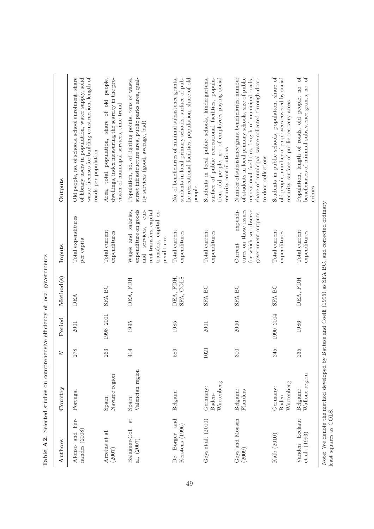| י דוד<br>$-0.071$                                             | nennen samme om nammenn                   |                         |           | equipment of the Row Royal Source of the Source of the Source of the Source of the Source of the Source of the Source of the Source of the Source of the Source of the Source of the Source of the Source of the Source of the |                                                                                                                                              |                                                                                                                                                                                                                                             |
|---------------------------------------------------------------|-------------------------------------------|-------------------------|-----------|--------------------------------------------------------------------------------------------------------------------------------------------------------------------------------------------------------------------------------|----------------------------------------------------------------------------------------------------------------------------------------------|---------------------------------------------------------------------------------------------------------------------------------------------------------------------------------------------------------------------------------------------|
| Authors                                                       | Country                                   | $\overline{\mathsf{X}}$ | Period    | Method(s)                                                                                                                                                                                                                      | Inputs                                                                                                                                       | Outputs                                                                                                                                                                                                                                     |
| and Fer-<br>nandes (2008)<br>Afonso                           | Portugal                                  | 278                     | 2001      | <b>DEA</b>                                                                                                                                                                                                                     | Total expenditures<br>per capita                                                                                                             | waste, licenses for building construction, length of<br>Old people, no. of schools, school enrolment, share<br>of library users in population, water supply, solid<br>roads per population                                                  |
| Arcelus et al.<br>(2007)                                      | Navarre region<br>Spain:                  | 263                     | 1998-2001 | SFA BC                                                                                                                                                                                                                         | Total current<br>expenditures                                                                                                                | Area, total population, share of old people,<br>dwellings, index measuring the scarcity in the pro-<br>vision of municipal services, time trend                                                                                             |
| $_{\rm et}$<br>Balaguer-Coll<br>al. (2007)                    | Valencian region<br>Spain:                | 414                     | 1995      | DEA, FDH                                                                                                                                                                                                                       | expenditure on goods<br>$cur-$<br>rent transfers, capital<br>transfers, capital ex-<br>Wages and salaries,<br>services,<br>penditures<br>and | Population, no. of lighting points, tons of waste,<br>street infrastructure area, public parks area, qual-<br>ity services (good, average, bad)                                                                                             |
| and<br>Kerstens (1996)<br>Borger<br>$\mathbb{D}^{\mathsf{e}}$ | Belgium                                   | 589                     | 1985      | DEA, FDH,<br>SFA, COLS                                                                                                                                                                                                         | Total current<br>expenditures                                                                                                                | lic recreational facilities, population, share of old<br>No. of beneficiaries of minimal subsistence grants,<br>students in local primary schools, surface of pub-<br>people                                                                |
| Geys et al. (2010)                                            | Wurtenberg<br>Germany:<br>Baden-          | 1021                    | 2001      | SFA BC                                                                                                                                                                                                                         | Total current<br>expenditures                                                                                                                | Students in local public schools, kindergartens,<br>tion, old people, no. of employees paying social<br>surface of public recreational facilities, popula-<br>security contributions                                                        |
| Geys and Moesen<br>(2009)                                     | Belgium:<br>Flanders                      | 300                     | 2000      | <b>SFA BC</b>                                                                                                                                                                                                                  | tures on those issues<br>expendi-<br>for which we observe<br>government outputs<br>Current                                                   | recreational facilities, length of municipal roads,<br>Number of subsistence grant beneficiaries, number<br>of students in local primary schools, size of public<br>share of municipal waste collected through door-<br>to-door collections |
| Kalb (2010)                                                   | Wurtenberg<br>Germany:<br>Baden-          | 245                     | 1990-2004 | SFA BC                                                                                                                                                                                                                         | Total current<br>expenditures                                                                                                                | Students in public schools, population, share of<br>old people, number of employees covered by social<br>security, surface of public recovery areas                                                                                         |
| Vanden<br>Eeckaut<br>et al. (1993)                            | Wallone region<br>Belgium:                | 235                     | 1986      | DEA, FDH                                                                                                                                                                                                                       | Total current<br>expenditures                                                                                                                | Population, length of roads, old people, no. of<br>beneficiaries of minimal subsistence grants, no. of<br>crimes                                                                                                                            |
| least squares as COLS.                                        | Note: We denote the method developed by I |                         |           |                                                                                                                                                                                                                                | 3attese and Coelli (1995) as SFA BC, and corrected ordinary                                                                                  |                                                                                                                                                                                                                                             |

Table A2. Selected studies on comprehensive efficiency of local governments Table A2. Selected studies on comprehensive efficiency of local governments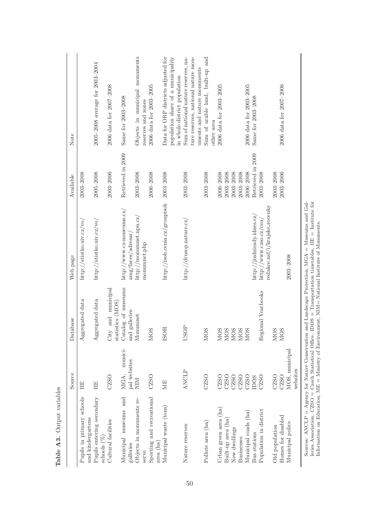|                                                                                                         | Source                       | Database                                                                                        | Web page                                                                                                    | Available                  | Note                                                                                                      |
|---------------------------------------------------------------------------------------------------------|------------------------------|-------------------------------------------------------------------------------------------------|-------------------------------------------------------------------------------------------------------------|----------------------------|-----------------------------------------------------------------------------------------------------------|
| Pupils in primary schools<br>and kindergartens                                                          | E                            | Aggregated data                                                                                 | http://stistko.uiv.cz/vo/                                                                                   | 2003-2008                  |                                                                                                           |
| Pupils entering secondary<br>schools $(\%)$                                                             | ΠE                           | Aggregated data                                                                                 | http://stistko.uiv.cz/vo/                                                                                   | $2005 - 2008$              | 2005-2008 average for 2003-2004                                                                           |
| Cultural facilities                                                                                     | CZSO                         | City and municipal<br>statistics (MOS)                                                          |                                                                                                             | 2003-2006                  | 2006 data for 2007-2008                                                                                   |
| and<br>Municipal museums<br>galleries                                                                   | MGA, munici-<br>pal websites | Catalog of museums<br>and galleries                                                             | http://www.cz-museums.cz/<br>$\text{amg/faces}/\text{adresar}/\text{arc}$                                   | Retrieved in 2009          | Same for 2003-2008                                                                                        |
| Objects in monuments re-<br>serve                                                                       | NIM                          | Monumnet                                                                                        | $\text{http://moment.npu.cz/}$<br>monumnet.php                                                              | 2003-2008                  | Objects in municipal monuments<br>reserves and zones                                                      |
| Sporting and recreational<br>area (ha)                                                                  | CZSO                         | <b>NOS</b>                                                                                      |                                                                                                             | 2006-2008                  | 2006 data for 2003-2005                                                                                   |
| Municipal waste (tons)                                                                                  | <b>NE</b>                    | <b>ISOH</b>                                                                                     | http://isoh.cenia.cz/groupisoh                                                                              | $2003 - 2008$              | Data for ORP districts adjusted for<br>population share of a municipality<br>in whole district population |
| Nature reserves                                                                                         | ANCLP                        | USOP                                                                                            | $\text{http://drusop.nature.cz/}$                                                                           | $2003 - 2008$              | Sum of national nature reserves, na-                                                                      |
|                                                                                                         |                              |                                                                                                 |                                                                                                             |                            | ture reserves, national nature mon-<br>uments and nature monuments                                        |
| Pollute area (ha)                                                                                       | CZSO                         | <b>NOS</b>                                                                                      |                                                                                                             | $2003 - 2008$              | Sum of arable land, built-up and<br>other area                                                            |
| Urban green area (ha)                                                                                   | CZSO                         | <b>NOS</b>                                                                                      |                                                                                                             | 2006-2008                  | 2006 data for 2003-2005                                                                                   |
| Built-up area (ha)<br>New dwellings                                                                     | CZSO<br>CZSO                 | NOS<br>NOS                                                                                      |                                                                                                             | $2003 - 2008$<br>2003-2008 |                                                                                                           |
| Businesses                                                                                              | CZSO                         | NOS<br>MOS                                                                                      |                                                                                                             | 2003-2008                  |                                                                                                           |
| Municipal roads (ha)                                                                                    | $\rm CZSO$                   |                                                                                                 |                                                                                                             | 2006-2008                  | 2006 data for 2003-2005                                                                                   |
| Bus stations                                                                                            | <b>IDOS</b>                  |                                                                                                 | http://jizdnirady.idnes.cz                                                                                  | Retrieved in 2009          | Same for 2003-2008                                                                                        |
| Population in district                                                                                  | CZSO                         | Regional Yearbooks                                                                              | redakce.nsf/i/krajske_rocenky<br>http://www.czso.cz/csu/                                                    | $2003 - 2008$              |                                                                                                           |
| Old population                                                                                          | CZSO                         | <b>NOS</b>                                                                                      |                                                                                                             | $2003 - 2008$              |                                                                                                           |
| Homes for disabled                                                                                      | CZSO                         | <b>NOS</b>                                                                                      |                                                                                                             | 2003-2006                  | 2006 data for 2007-2008                                                                                   |
| Municipal police                                                                                        | MOS, municipal<br>websites   |                                                                                                 | $2003 - 2008$                                                                                               |                            |                                                                                                           |
|                                                                                                         |                              |                                                                                                 |                                                                                                             |                            |                                                                                                           |
| Sources: ANCLP = Agency for Nature Conservation<br>leries Association, CZSO = Czech Statistical Office, |                              | Information on Education, $ME =$ Ministry of Environment, NIM= National Institute of Monuments. | IDOS = Transportation timetables, $IIE = Institute$ for<br>and Landscape Protection, MGA = Museums and Gal- |                            |                                                                                                           |

50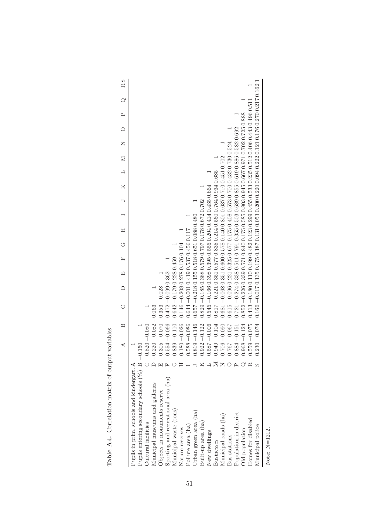|                                                                                                 | ⋖                        | ≃     |                                                                                                                                                                                                                                                          |                                                                             | 囜 | ピ | $\mathbb{I}$ |  | $\geq$ | Z | ≏ | RS |
|-------------------------------------------------------------------------------------------------|--------------------------|-------|----------------------------------------------------------------------------------------------------------------------------------------------------------------------------------------------------------------------------------------------------------|-----------------------------------------------------------------------------|---|---|--------------|--|--------|---|---|----|
| Pupils entering secondary schools $(\%)$ B $\cdot$<br>Pupils in prim. schools and kindergart. A | $-0.150$                 |       |                                                                                                                                                                                                                                                          |                                                                             |   |   |              |  |        |   |   |    |
| Cultural facilities                                                                             | $0.820 - 0.080$          |       |                                                                                                                                                                                                                                                          |                                                                             |   |   |              |  |        |   |   |    |
| Municipal museums and galleries                                                                 | $-0.220$ $0.082 - 0.063$ |       |                                                                                                                                                                                                                                                          |                                                                             |   |   |              |  |        |   |   |    |
| Objects in monuments reserve                                                                    | 0.305                    | 0.070 | $0.353 - 0.028$                                                                                                                                                                                                                                          |                                                                             |   |   |              |  |        |   |   |    |
| Sporting and recreational area (ha)                                                             | $0.554 - 0.066$          |       |                                                                                                                                                                                                                                                          | $0.472 - 0.0990.362$                                                        |   |   |              |  |        |   |   |    |
| Municipal waste (tons)                                                                          | $0.839 - 0.110$          |       |                                                                                                                                                                                                                                                          | $0.642 - 0.1790.2280.459$                                                   |   |   |              |  |        |   |   |    |
| Nature reserves                                                                                 | $0.180 - 0.026$          |       |                                                                                                                                                                                                                                                          | $0.146 - 0.2080.2780.1760.104$                                              |   |   |              |  |        |   |   |    |
| Pollute area (ha)                                                                               | $0.588 - 0.086$          |       |                                                                                                                                                                                                                                                          | $0.644 - 0.0010.4190.5370.4560.117$                                         |   |   |              |  |        |   |   |    |
| Urban green area (ha)                                                                           | $0.819 - 0.146$          |       |                                                                                                                                                                                                                                                          | $0.657 - 0.2180.1550.5180.6510.0880.480$                                    |   |   |              |  |        |   |   |    |
| Built-up area (ha)                                                                              | $0.922 - 0.122$          |       |                                                                                                                                                                                                                                                          | $0.829 - 0.1850.3880.5790.7970.1780.6720.702$                               |   |   |              |  |        |   |   |    |
| New dwellings                                                                                   | $0.587 - 0.006$          |       |                                                                                                                                                                                                                                                          | $0.545 - 0.1660.3980.3950.5550.2040.4140.4350.664$                          |   |   |              |  |        |   |   |    |
| <b>Businesses</b>                                                                               | $0.949 - 0.104$          |       |                                                                                                                                                                                                                                                          | $0.817 - 0.221 0.351 0.577 0.835 0.214 0.560 0.764 0.934 0.685$             |   |   |              |  |        |   |   |    |
| Municipal roads (ha)                                                                            | $0.706 - 0.090$          |       |                                                                                                                                                                                                                                                          | $0.681 - 0.0680.3510.6000.5780.1400.8010.6370.7100.4510.702$                |   |   |              |  |        |   |   |    |
| Bus stations                                                                                    | $0.767 - 0.067$          |       |                                                                                                                                                                                                                                                          | $0.615 - 0.0960.2210.3250.6770.1750.4080.5730.7000.4320.7300.524$           |   |   |              |  |        |   |   |    |
| Population in district                                                                          | $0.884 - 0.151$          |       |                                                                                                                                                                                                                                                          | $-0.721 - 0.2740.3380.5110.7910.3550.5030.6890.8550.6190.8860.5820.692$     |   |   |              |  |        |   |   |    |
| Old population                                                                                  | $0.968 - 0.124$          |       |                                                                                                                                                                                                                                                          | $0.852 - 0.2260.3390.5710.8400.1750.5850.8030.9450.6670.9710.7020.7250.888$ |   |   |              |  |        |   |   |    |
| Homes for disabled                                                                              | $0.559 - 0.075$          |       |                                                                                                                                                                                                                                                          | $0.413 - 0.1800110001482012302990.4550.53302350.51200.4060.4430.4960.511$   |   |   |              |  |        |   |   |    |
| Municipal police                                                                                | $0.230$ $0.074$          |       | $0.166 - 0.017 \, 0.135 \, 0.175 \, 0.187 \, 0.187 \, 0.131 \, 0.053 \, 0.200 \, 0.222 \, 0.0222 \, 0.121 \, 0.176 \, 0.270 \, 0.217 \, 0.162 \, 1.012 \, 0.0162 \, 0.0162 \, 0.0162 \, 0.0162 \, 0.0162 \, 0.0162 \, 0.0162 \, 0.0162 \, 0.0162 \, 0.0$ |                                                                             |   |   |              |  |        |   |   |    |
| MLL. M. 1010                                                                                    |                          |       |                                                                                                                                                                                                                                                          |                                                                             |   |   |              |  |        |   |   |    |

Table A4. Correlation matrix of output variables Table A4. Correlation matrix of output variables

Note: N=1212. Note: N=1212.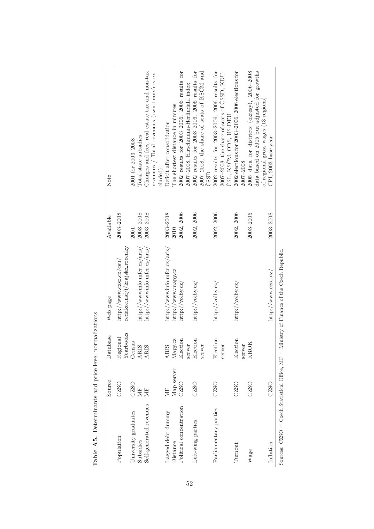|                                                   | Source     | Database                         | Web page                                                          | Available     | Note                                                                  |
|---------------------------------------------------|------------|----------------------------------|-------------------------------------------------------------------|---------------|-----------------------------------------------------------------------|
| Population                                        | CZSO       | Yearbooks<br>Regional            | redakce.nsf/i/krajske_rocenky<br>$\frac{http://www.czso.cz/csu}{$ | $2003 - 2008$ |                                                                       |
| University graduates                              | CZSO       | Census                           |                                                                   | 2001          | 2001 for 2003-2008                                                    |
| Subsidies                                         | МF         | <b>ARIS</b>                      | http://wwwinfo.mfcr.cz/aris/                                      | $2003 - 2008$ | Total state subsidies                                                 |
| Self-generated revenues                           | ЙĿ         | <b>ARIS</b>                      | http://wwwinfo.mfcr.cz/aris/                                      | 2003-2008     | Charges and fees, real estate tax and non-tax                         |
|                                                   |            |                                  |                                                                   |               | revenues / Total revenues (own transfers ex-<br>$_{\rm cludd}$        |
| Lagged debt dummy                                 | МF         | <b>ARIS</b>                      | http://wwwinfo.mfcr.cz/aris/                                      | $2003 - 2008$ | Deficit after consolidation                                           |
| Distance                                          | Map server | $\mathop{\rm Map}\nolimits$ y.cz | http://www.mapy.cz                                                | 2010          | The shortest distance in minutes                                      |
| Political concentration                           | CZSO       | Election                         | http://volby.cz/                                                  | 2002, 2006    | 2002 results for 2003-2006, 2006 results for                          |
|                                                   |            | server                           |                                                                   |               | 2007–2008, Hirschmann-Herfindahl index                                |
| Left-wing parties                                 | CZSO       | Election                         | http://volby.cz/                                                  | 2002, 2006    | 2002 results for 2003-2006, 2006 results for                          |
|                                                   |            | server                           |                                                                   |               | 2007-2008, the share of seats of KSCM and                             |
|                                                   |            |                                  |                                                                   |               | CSSD                                                                  |
| Parliamentary parties                             | CZSO       | Election                         | http://volby.cz/                                                  | 2002, 2006    | 2002 results for 2003-2006, 2006 results for                          |
|                                                   |            | server                           |                                                                   |               | 2007-2008, the share of seats of CSSD, KDU-<br>ČSL, KSČM, ODS, US-DEU |
| Turnout                                           | CZSO       | Election                         | http://volby.cz/                                                  | 2002, 2006    | 2002 elections for 2003-2006, 2006 elections for                      |
|                                                   |            | server                           |                                                                   |               | 2007-2008                                                             |
| Wage                                              | CZSO       | KROK                             |                                                                   | $2003 - 2005$ | 2005 data for districts (okresy), 2006-2008                           |
|                                                   |            |                                  |                                                                   |               | data based on 2005 but adjusted for growths                           |
|                                                   |            |                                  |                                                                   |               | of regional gross wages (13 regions)                                  |
| Inflation                                         | CZSO       |                                  | http://www.czso.cz/                                               | $2003 - 2008$ | CPI, 2003 base year                                                   |
| Sources: $CZSO = Czech Statistical Office, MIF =$ |            |                                  | Ministry of Finance of the Czech Republic.                        |               |                                                                       |

Table A5. Determinants and price level normalizations Table A5. Determinants and price level normalizations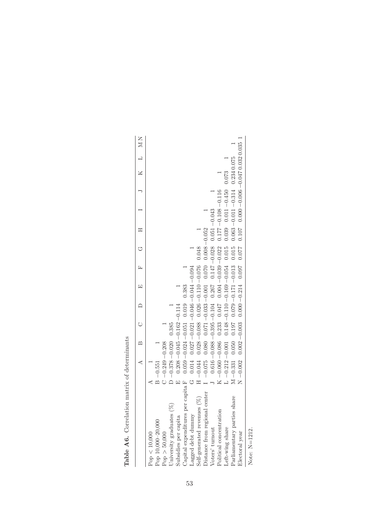|                                                                                                                                       | ⋖                | $\approx$ |                                 | $\subset$                           | Œ                                                                | Œ                       | ご               | H     |                  | ¥                                 | N N |
|---------------------------------------------------------------------------------------------------------------------------------------|------------------|-----------|---------------------------------|-------------------------------------|------------------------------------------------------------------|-------------------------|-----------------|-------|------------------|-----------------------------------|-----|
| $\begin{array}{l} \mbox{Pop} < 10,000 \\ \mbox{Pop 10,000-20,000} \\ \mbox{Pop 50,000} \\ \mbox{University gradates (%)} \end{array}$ | $-0.551$         |           |                                 |                                     |                                                                  |                         |                 |       |                  |                                   |     |
|                                                                                                                                       | $-0.249 - 0.208$ |           |                                 |                                     |                                                                  |                         |                 |       |                  |                                   |     |
|                                                                                                                                       | $-0.378 - 0.020$ |           | 0.385                           |                                     |                                                                  |                         |                 |       |                  |                                   |     |
| Subsidies per capita                                                                                                                  |                  |           | $0.208 - 0.045 - 0.162 - 0.114$ |                                     |                                                                  |                         |                 |       |                  |                                   |     |
| Capital expenditures per capita F                                                                                                     |                  |           |                                 | $0.059 - 0.024 - 0.051$ 0.019 0.383 |                                                                  |                         |                 |       |                  |                                   |     |
| Lagged debt dummy                                                                                                                     | 0.014            |           |                                 |                                     | $0.027 - 0.021 - 0.046 - 0.044 - 0.094$                          |                         |                 |       |                  |                                   |     |
| Self-generated revenues (%)                                                                                                           | $-0.044$         | 0.028     |                                 |                                     |                                                                  |                         | 0.048           |       |                  |                                   |     |
| Distance from regional center                                                                                                         | $-0.075$         | 0.080     |                                 |                                     | $-0.088$ $0.026 - 0.110 - 0.076$<br>0.071 $-0.033 - 0.001$ 0.070 |                         | $0.008 - 0.052$ |       |                  |                                   |     |
| Voters' turnout                                                                                                                       |                  |           |                                 | $0.616 - 0.088 - 0.395 - 0.104$     | 0.267                                                            | 0.147                   | $-0.028$        | 0.051 | $-0.043$         |                                   |     |
| Political concentration                                                                                                               | $-0.060 - 0.086$ |           | 0.233                           | $0.047$                             |                                                                  | $0.004 - 0.039 - 0.022$ |                 | 0.177 | $-0.108 - 0.116$ |                                   |     |
| Left-wing share                                                                                                                       | $-0.212 - 0.001$ |           | 0.148                           |                                     | $-0.110 - 0.169 - 0.054$ 0.015                                   |                         |                 | 0.039 | $0.011 - 0.450$  | 0.073                             |     |
| Parliamentary parties share                                                                                                           | $-0.331$         | 0.050     | 0.197                           |                                     | $0.079 - 0.171 - 0.013$                                          |                         | 0.015           | 0.063 | $-0.011 - 0.314$ | 0.2340.075                        |     |
| Electoral year                                                                                                                        | $-0.002$         | 0.002     | $-0.003$                        |                                     | $0.000 - 0.214$ 0.097                                            |                         | 770.0           | 0.107 |                  | $0.000 - 0.006 - 0.0470.0320.035$ |     |
| Note: N=1212.                                                                                                                         |                  |           |                                 |                                     |                                                                  |                         |                 |       |                  |                                   |     |

| ł<br>へいきん<br>$\frac{1}{2}$<br>$\overline{a}$ |  |
|----------------------------------------------|--|
| I<br>$22.0 + 21.7$                           |  |
| $-1 - 1 - 1$<br>Ì                            |  |
|                                              |  |
| )<br>)<br>7                                  |  |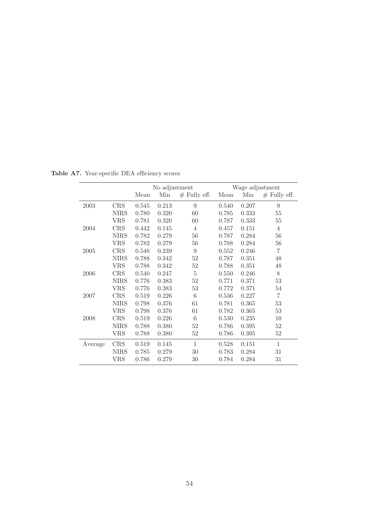|         |             |       | No adjustment |                |       |       | Wage adjustment |
|---------|-------------|-------|---------------|----------------|-------|-------|-----------------|
|         |             | Mean  | Min           | $#$ Fully eff. | Mean  | Min   | $#$ Fully eff.  |
| 2003    | <b>CRS</b>  | 0.545 | 0.213         | 9              | 0.540 | 0.207 | $\overline{9}$  |
|         | <b>NIRS</b> | 0.780 | 0.320         | 60             | 0.785 | 0.333 | 55              |
|         | <b>VRS</b>  | 0.781 | 0.320         | 60             | 0.787 | 0.333 | 55              |
| 2004    | CRS         | 0.442 | 0.145         | $\overline{4}$ | 0.457 | 0.151 | $\overline{4}$  |
|         | <b>NIRS</b> | 0.782 | 0.279         | 56             | 0.787 | 0.284 | 56              |
|         | ${\rm VRS}$ | 0.782 | 0.279         | 56             | 0.788 | 0.284 | 56              |
| 2005    | <b>CRS</b>  | 0.548 | 0.239         | 9              | 0.552 | 0.246 | 7               |
|         | <b>NIRS</b> | 0.788 | 0.342         | 52             | 0.787 | 0.351 | 48              |
|         | <b>VRS</b>  | 0.788 | 0.342         | 52             | 0.788 | 0.351 | 48              |
| 2006    | <b>CRS</b>  | 0.540 | 0.247         | $\overline{5}$ | 0.550 | 0.246 | 8               |
|         | <b>NIRS</b> | 0.776 | 0.383         | 52             | 0.771 | 0.371 | 53              |
|         | VRS         | 0.776 | 0.383         | 53             | 0.772 | 0.371 | 54              |
| 2007    | <b>CRS</b>  | 0.519 | 0.226         | 6              | 0.536 | 0.227 | 7               |
|         | <b>NIRS</b> | 0.798 | 0.376         | 61             | 0.781 | 0.365 | 53              |
|         | VRS         | 0.798 | 0.376         | 61             | 0.782 | 0.365 | 53              |
| 2008    | <b>CRS</b>  | 0.519 | 0.226         | 6              | 0.530 | 0.235 | 10              |
|         | <b>NIRS</b> | 0.788 | 0.380         | 52             | 0.786 | 0.395 | 52              |
|         | <b>VRS</b>  | 0.788 | 0.380         | 52             | 0.786 | 0.395 | 52              |
| Average | <b>CRS</b>  | 0.519 | 0.145         | $\mathbf{1}$   | 0.528 | 0.151 | $\mathbf{1}$    |
|         | <b>NIRS</b> | 0.785 | 0.279         | 30             | 0.783 | 0.284 | 31              |
|         | ${\rm VRS}$ | 0.786 | 0.279         | 30             | 0.784 | 0.284 | 31              |

Table A7. Year-specific DEA efficiency scores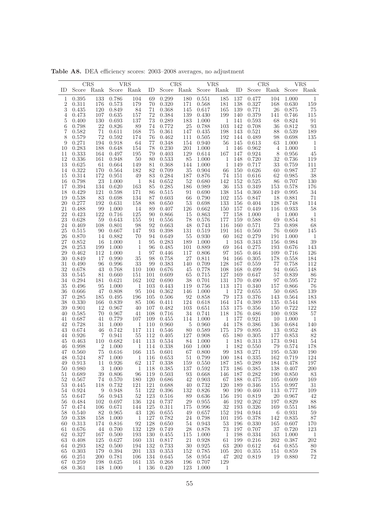|                |          | CRS              |          | <b>VRS</b>   |     |              | CRS        | <b>VRS</b> |              |     |               | CRS            |           | VRS          |
|----------------|----------|------------------|----------|--------------|-----|--------------|------------|------------|--------------|-----|---------------|----------------|-----------|--------------|
| ID             | Score    | Rank Score       |          | Rank         | ID  | Score        | Rank Score |            | Rank         | ID  | Score         | Rank Score     |           | Rank         |
|                |          |                  |          |              |     |              |            |            |              |     |               |                |           |              |
| 1              | 0.395    | 133              | 0.786    | 104          | 69  | 0.299        | 180        | 0.551      | 185          | 137 | 0.477         | 104            | 1.000     | $\mathbf{1}$ |
| $\overline{2}$ | 0.311    | 176              | 0.573    | 179          | 70  | 0.320        | 171        | 0.568      | 181          | 138 | 0.327         | 168            | 0.630     | 159          |
| 3              | 0.435    | 120              | 0.849    | 84           | 71  | 0.368        | 145        | 0.617      | 165          | 139 | 0.771         | 26             | 0.875     | 75           |
| $\overline{4}$ | 0.473    | 107              | 0.635    | 157          | 72  | 0.384        | 139        | 0.430      | 199          | 140 | 0.379         | 141            | 0.746     | 115          |
| 5              | 0.400    | 130              | 0.693    | 137          | 73  | 0.289        | 183        | 1.000      | $\mathbf{1}$ | 141 | 0.593         | 68             | 0.824     | 91           |
| 6              | 0.798    | 22               | 0.826    | 89           | 74  | 0.772        | $25\,$     | 0.788      | 103          | 142 | 0.708         | 36             | 0.812     | 93           |
| 7              | 0.582    | 71               | 0.611    | 168          | 75  | 0.361        | 147        | 0.435      | 198          | 143 | 0.521         | 88             | 0.539     | 189          |
| 8              | 0.579    | 72               | 0.592    | 174          | 76  | 0.462        | 111        | 0.505      | 192          | 144 | 0.489         | 98             | 0.698     | 135          |
| 9              | 0.271    | 194              | 0.918    | 64           | 77  | 0.348        | 154        | 0.940      | 56           | 145 | 0.613         | 63             | 1.000     | 1            |
| 10             | 0.283    | 188              | 0.648    | 154          | 78  | 0.230        | 201        | 1.000      | $\mathbf{1}$ | 146 | 0.962         | $\overline{4}$ | 1.000     | $\mathbf{1}$ |
| 11             | 0.333    | 164              | 0.497    | 195          | 79  | 0.403        | 129        | 0.614      | 167          | 147 | 0.924         | $\,8\,$        | 0.956     | 45           |
|                |          |                  |          |              |     |              |            |            |              |     |               |                |           |              |
| 12             | 0.336    | 161              | 0.948    | 50           | 80  | 0.533        | 85         | 1.000      | 1            | 148 | 0.720         | 32             | 0.736     | 119          |
| 13             | 0.625    | 61               | 0.664    | 149          | 81  | 0.368        | 144        | 1.000      | $\mathbf{1}$ | 149 | 0.717         | 33             | 0.759     | 111          |
| 14             | 0.322    | 170              | 0.564    | 182          | 82  | 0.709        | 35         | 0.904      | 66           | 150 | 0.626         | 60             | 0.987     | 37           |
| 15             | 0.314    | 172              | 0.951    | 49           | 83  | 0.284        | 187        | 0.876      | 74           | 151 | 0.616         | 62             | 0.985     | 38           |
| 16             | 0.798    | 23               | 1.000    | 1            | 84  | 0.652        | 52         | 0.680      | 142          | 152 | 0.525         | 86             | 0.707     | 130          |
| 17             | 0.394    | 134              | 0.620    | 163          | 85  | 0.285        | 186        | 0.989      | 36           | 153 | 0.349         | 153            | 0.578     | 176          |
| 18             | 0.429    | 121              | 0.598    | 171          | 86  | 0.515        | 91         | 0.690      | 138          | 154 | 0.360         | 149            | 0.995     | 34           |
| 19             | 0.538    | 83               | 0.698    | 134          | 87  | 0.603        | 66         | 0.790      | 102          | 155 | 0.847         | 18             | 0.881     | 71           |
| 20             | 0.277    | 192              | 0.631    | 158          | 88  | 0.650        | 53         | 0.698      | 133          | 156 | 0.404         | 128            | 0.748     | 114          |
| 21             | 0.488    | 99               | 1.000    | 14           | 89  | 0.407        | 126        | 0.662      | 150          | 157 | 0.449         | 116            | 0.933     | 58           |
| 22             | 0.423    | 122              | 0.716    | 125          | 90  | 0.866        | 15         | 0.863      | 77           | 158 | 1.000         | 1              | 1.000     | -1           |
| 23             | 0.628    | 59               | 0.643    | 155          | 91  | 0.556        | 78         | 0.576      | 177          | 159 | 0.588         | 69             | 0.854     | 81           |
|                |          |                  |          |              |     |              |            |            |              |     |               |                |           |              |
| 24             | 0.469    | 108              | 0.801    | 98           | 92  | 0.663        | 48         | 0.743      | 116          | 160 | 0.571         | 73             | 0.898     | 68           |
| 25             | 0.515    | 90               | 0.667    | 147          | 93  | 0.398        | 131        | 0.519      | 191          | 161 | 0.560         | 76             | 0.669     | 145          |
| 26             | 0.870    | 14               | 0.882    | $70\,$       | 94  | 0.649        | 55         | 0.930      | 60           | 162 | 0.279         | 191            | 1.000     | 1            |
| 27             | 0.852    | 16               | 1.000    | $\mathbf{1}$ | 95  | 0.283        | 189        | 1.000      | 1            | 163 | 0.343         | 156            | 0.984     | $39\,$       |
| 28             | 0.253    | 199              | 1.000    | $\mathbf{1}$ | 96  | 0.485        | 101        | 0.889      | 69           | 164 | 0.275         | 193            | 0.676     | 143          |
| 29             | 0.462    | 112              | 1.000    | $\mathbf{1}$ | 97  | 0.446        | 117        | 0.806      | 97           | 165 | 0.464         | 109            | 0.716     | 126          |
| 30             | 0.849    | 17               | 0.990    | 35           | 98  | 0.758        | 27         | 0.811      | 94           | 166 | 0.305         | 178            | 0.558     | 184          |
| 31             | 0.490    | 96               | 0.996    | $33\,$       | 99  | 0.383        | 140        | 0.709      | 128          | 167 | 0.559         | 77             | 0.758     | 112          |
| 32             | 0.678    | 43               | 0.768    | 110          | 100 | 0.676        | 45         | 0.778      | 108          | 168 | 0.499         | 94             | 0.665     | $148\,$      |
| 33             | 0.545    | 81               | 0.660    | 151          | 101 | 0.609        | 65         | 0.715      | 127          | 169 | 0.647         | 57             | 0.839     | 86           |
| 34             | 0.294    | 181              | 0.621    | 162          | 102 | 0.690        | 38         | 0.701      | 131          | 170 | 0.490         | 97             | 0.595     | 172          |
| 35             | 0.496    | 95               | 1.000    | 1            | 103 | 0.443        | 119        | $0.756\,$  | 113          | 171 | 0.340         | 157            | 0.866     | 76           |
|                |          |                  |          |              |     |              |            |            |              |     |               |                |           |              |
| 36             | 0.666    | 47               | 0.808    | 95           | 104 | 0.362        | 146        | 1.000      | 1            | 172 | 0.655         | 50             | 0.685     | 139          |
| 37             | 0.285    | 185              | 0.495    | 196          | 105 | 0.506        | 92         | 0.858      | 79           | 173 | 0.376         | 143            | 0.564     | 183          |
| 38             | 0.330    | 166              | 0.839    | 85           | 106 | 0.411        | 124        | 0.618      | 164          | 174 | 0.389         | 135            | 0.544     | 188          |
| 39             | 0.901    | 12               | 0.967    | 40           | 107 | 0.482        | 103        | 0.651      | 153          | 175 | 0.356         | 150            | 0.722     | 122          |
| 40             | 0.585    | 70               | 0.967    | 41           | 108 | 0.716        | 34         | 0.741      | 118          | 176 | 0.486         | 100            | 0.938     | 57           |
| 41             | 0.687    | 41               | 0.779    | 107          | 109 | 0.455        | 114        | 1.000      | 1            | 177 | 0.921         | 10             | 1.000     | 1            |
| 42             | 0.728    | 31               | 1.000    | 1            | 110 | 0.960        | 5          | 0.960      | 44           | 178 | 0.386         | 136            | 0.684     | 140          |
| 43             | 0.674    | 46               | 0.742    | 117          | 111 | 0.546        | 80         | 0.589      | 175          | 179 | 0.895         | 13             | 0.952     | 48           |
| 44             | 0.926    | 7                | 0.941    | $55\,$       | 112 | 0.405        | 127        | 0.908      | 65           | 180 | 0.305         | 177            | 0.853     | $82\,$       |
| 45             | 0.463    | 110              | 0.682    | 141          | 113 | 0.534        | 84         | 1.000      | 1            | 181 | 0.313         | 173            | 0.941     | $54\,$       |
| 46             | 0.998    | $\overline{2}$   | 1.000    | $\mathbf{1}$ | 114 | 0.338        | 160        | 1.000      | $\mathbf{1}$ | 182 | 0.550         | $79\,$         | 0.574     | 178          |
| 47             | 0.560    | 75               | 0.616    | 166          | 115 | 0.601        | 67         | 0.800      | 99           | 183 | 0.271         | 195            | 0.530     | 190          |
| 48             | 0.524    | 87               | 1.000    | 1            | 116 | 0.653        | 51         | 0.799      | 100          | 184 | 0.335         | 162            | 0.719     | 124          |
|                |          |                  |          |              |     | 62 117 0.338 |            |            |              |     |               |                |           | 197          |
|                | 49 0.913 |                  | 11 0.926 |              |     |              |            | 159 0.550  |              |     | 187 185 0.289 |                | 184 0.478 |              |
| 50             | 0.980    | $\boldsymbol{3}$ | 1.000    | $\mathbf{1}$ | 118 | 0.385        | 137        | 0.592      | 173          | 186 | 0.385         | 138            | 0.407     | 200          |
| 51             | 0.689    | 39               | 0.806    | 96           | 119 | 0.503        | 93         | 0.668      | 146          | 187 | 0.282         | 190            | 0.850     | 83           |
| 52             | 0.567    | 74               | 0.570    | 180          | 120 | 0.686        | 42         | 0.903      | 67           | 188 | 0.475         | 105            | 0.609     | 169          |
| 53             | 0.445    | 118              | 0.732    | 121          | 121 | 0.688        | 40         | 0.732      | 120          | 189 | 0.346         | 155            | 0.997     | 31           |
| 54             | 0.924    | 9                | 0.948    | 51           | 122 | 0.396        | 132        | 0.826      | 90           | 190 | 0.460         | 113            | 0.777     | 109          |
| 55             | 0.647    | 56               | 0.943    | $52\,$       | 123 | 0.516        | 89         | 0.636      | 156          | 191 | 0.819         | 20             | 0.967     | 42           |
| 56             | 0.484    | 102              | 0.697    | 136          | 124 | 0.737        | 29         | 0.955      | 46           | 192 | 0.262         | 197            | 0.829     | 88           |
| 57             | 0.474    | 106              | 0.671    | 144          | 125 | 0.311        | 175        | 0.996      | 32           | 193 | 0.326         | 169            | 0.551     | 186          |
| 58             | 0.540    | 82               | 0.965    | 43           | 126 | 0.655        | 49         | 0.657      | 152          | 194 | 0.944         | 6              | 0.931     | 59           |
| 59             | 0.338    | 158              | 1.000    | $\mathbf{1}$ | 127 | 0.782        | 24         | 0.798      | 101          | 195 | 0.378         | 142            | 0.835     | 87           |
| 60             | 0.313    | 174              | 0.816    | 92           | 128 | 0.650        | 54         | 0.943      | 53           | 196 | 0.330         | 165            | 0.607     | 170          |
|                | 0.676    | 44               | 0.700    | 132          | 129 | 0.749        | 28         |            | 73           | 197 | 0.707         | 37             | 0.720     | 123          |
| 61             |          |                  |          |              |     |              |            | 0.878      |              |     |               |                |           |              |
| 62             | 0.327    | 167              | 0.500    | 193          | 130 | 0.455        | 115        | 1.000      | $\mathbf{1}$ | 198 | 0.334         | 163            | 1.000     | 1            |
| 63             | 0.408    | 125              | 0.627    | 160          | 131 | 0.817        | 21         | 0.928      | 61           | 199 | 0.216         | 202            | 0.387     | 202          |
| 64             | 0.293    | 182              | 0.500    | 194          | 132 | 0.733        | 30         | 0.925      | 63           | 200 | 0.612         | 64             | 0.855     | 80           |
| 65             | 0.303    | 179              | 0.394    | 201          | 133 | 0.353        | 152        | 0.785      | 105          | 201 | 0.355         | 151            | 0.859     | 78           |
| 66             | 0.251    | 200              | 0.781    | 106          | 134 | 0.645        | 58         | 0.954      | 47           | 202 | 0.819         | 19             | 0.880     | $72\,$       |
| 67             | 0.259    | 198              | 0.625    | 161          | 135 | 0.268        | 196        | 0.707      | 129          |     |               |                |           |              |
| 68             | 0.361    | 148              | 1.000    | 1            | 136 | 0.420        | 123        | 1.000      | 1            |     |               |                |           |              |

Table A8. DEA efficiency scores: 2003–2008 averages, no adjustment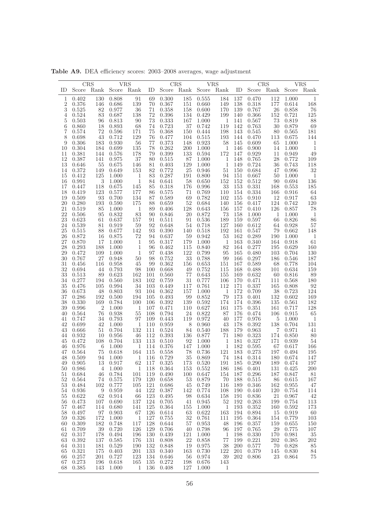|                | <b>CRS</b> |                |          | <b>VRS</b>   |         |              | CRS       |           | <b>VRS</b>               |     |               | CRS            |           | <b>VRS</b>        |
|----------------|------------|----------------|----------|--------------|---------|--------------|-----------|-----------|--------------------------|-----|---------------|----------------|-----------|-------------------|
| ID             | Score      | Rank Score     |          | Rank         | ID      | Score        |           |           | Rank Score Rank ID Score |     |               | Rank Score     |           | Rank              |
|                |            |                |          |              |         |              |           |           |                          |     |               |                |           |                   |
| 1              | 0.402      | 130            | 0.808    | 91           | 69      | 0.300        | 185       | 0.555     | 184                      | 137 | 0.470         | 112            | 1.000     | 1                 |
| $\overline{2}$ | 0.376      | 146            | 0.686    | 139          | 70      | 0.367        | 151       | 0.660     | 149                      | 138 | 0.318         | 177            | 0.614     | 168               |
| 3              | 0.525      | 82             | 0.977    | 36           | 71      | 0.358        | 158       | 0.600     | 170                      | 139 | 0.767         | $26\,$         | 0.858     | 76                |
| 4              | 0.524      | 83             | 0.687    | 138          | 72      | 0.396        | 134       | 0.429     | 199                      | 140 | 0.366         | 152            | 0.721     | 125               |
| 5              | 0.503      | 96             | 0.813    | 90           | 73      | 0.333        | 167       | 1.000     | $\mathbf{1}$             | 141 | 0.567         | 73             | 0.819     | 88                |
|                |            |                |          |              | 74      |              |           | 0.742     |                          | 142 |               | 30             |           |                   |
| 6              | 0.860      | 18             | 0.893    | 68           |         | 0.723        | 37        |           | 119                      |     | 0.763         |                | 0.879     | 69                |
| 7              | 0.574      | $72\,$         | 0.596    | 171          | 75      | 0.368        | 150       | 0.444     | 198                      | 143 | 0.545         | 80             | 0.565     | 181               |
| 8              | 0.698      | 43             | 0.712    | 129          | 76      | 0.477        | 104       | 0.515     | 193                      | 144 | 0.470         | 113            | 0.675     | 144               |
| 9              | 0.306      | 183            | 0.930    | 56           | $77\,$  | 0.373        | 148       | 0.923     | 58                       | 145 | 0.609         | 65             | 1.000     | 1                 |
| 10             | 0.304      | 184            | 0.699    | 135          | 78      | 0.262        | 200       | 1.000     | $\mathbf{1}$             | 146 | 0.900         | 14             | 1.000     | $\mathbf{1}$      |
| 11             | 0.381      | 144            | 0.576    | 178          | 79      | 0.399        | 133       | 0.594     | 172                      | 147 | 0.929         | 11             | 0.949     | 49                |
| 12             | 0.387      | 141            | 0.975    | $37\,$       | 80      | 0.515        | 87        | 1.000     | $\mathbf{1}$             | 148 | 0.765         | $28\,$         | 0.772     | 109               |
|                |            |                |          |              |         |              |           |           |                          |     |               |                |           |                   |
| 13             | 0.646      | 55             | 0.675    | 146          | 81      | 0.403        | 129       | 1.000     | $\mathbf{1}$             | 149 | 0.724         | 36             | 0.743     | 118               |
| 14             | 0.372      | 149            | 0.649    | 153          | 82      | 0.772        | 25        | 0.946     | 51                       | 150 | 0.684         | 47             | 0.996     | $32\,$            |
| 15             | 0.412      | 125            | 1.000    | 1            | 83      | 0.287        | 191       | 0.800     | 94                       | 151 | 0.667         | 50             | 1.000     | $\mathbf{1}$      |
| 16             | 0.991      | $\sqrt{3}$     | 1.000    | $\mathbf{1}$ | 84      | 0.641        | 58        | 0.650     | 152                      | 152 | 0.512         | 90             | 0.694     | 136               |
| 17             | 0.447      | 118            | 0.675    | 145          | 85      | 0.318        | 176       | 0.996     | 33                       | 153 | 0.331         | 168            | 0.553     | 185               |
| 18             | 0.419      | 123            | 0.577    | 177          | 86      | 0.575        | 71        | 0.769     | 110                      | 154 | 0.334         | 166            | 0.916     | 64                |
| 19             | 0.509      | 93             | 0.700    | 134          | 87      | 0.589        | 69        | 0.782     | 102                      | 155 | 0.910         | 12             | 0.917     | 63                |
|                |            |                |          |              |         |              |           |           |                          |     |               |                |           |                   |
| 20             | 0.280      | 193            | 0.590    | 175          | 88      | 0.659        | 52        | 0.684     | 140                      | 156 | 0.417         | 124            | 0.742     | $120\,$           |
| 21             | 0.519      | 85             | 1.000    | -1           | 89      | 0.406        | 128       | 0.643     | 156                      | 157 | 0.410         | 126            | 0.857     | 78                |
| 22             | 0.506      | 95             | 0.832    | 83           | 90      | 0.846        | <b>20</b> | 0.872     | 73                       | 158 | 1.000         | 1              | 1.000     | -1                |
| 23             | 0.623      | 61             | 0.637    | 157          | 91      | 0.511        | 91        | 0.536     | 189                      | 159 | 0.597         | 66             | 0.826     | 86                |
| 24             | 0.539      | 81             | 0.919    | 59           | 92      | 0.648        | 54        | 0.718     | 127                      | 160 | 0.612         | 64             | 0.928     | 57                |
| 25             | 0.515      | 88             | 0.677    | 142          | 93      | 0.390        | 140       | 0.518     | 192                      | 161 | 0.547         | 79             | 0.662     | 148               |
|                |            |                |          | 72           | 94      |              |           |           | $53\,$                   | 162 |               |                |           |                   |
| 26             | 0.872      | 16             | 0.875    |              |         | 0.637        | 59        | 0.942     |                          |     | 0.289         | 190            | 1.000     | <sup>1</sup>      |
| 27             | 0.870      | 17             | 1.000    | $\mathbf{1}$ | 95      | 0.317        | 179       | 1.000     | $\mathbf{1}$             | 163 | 0.340         | 164            | 0.918     | 61                |
| 28             | 0.293      | 188            | 1.000    | $\mathbf{1}$ | 96      | 0.462        | 115       | 0.840     | 82                       | 164 | 0.277         | 195            | 0.629     | 160               |
| 29             | 0.472      | 109            | 1.000    | 1            | 97      | 0.438        | 122       | 0.799     | 95                       | 165 | 0.480         | 103            | 0.704     | $130\,$           |
| 30             | 0.767      | 27             | 0.948    | 50           | 98      | 0.752        | 33        | 0.788     | 99                       | 166 | 0.297         | 186            | 0.546     | 187               |
| 31             | 0.456      | 116            | 0.958    | 45           | 99      | 0.362        | 156       | 0.653     | 151                      | 167 | 0.589         | 68             | 0.778     | 104               |
| 32             | 0.694      | 44             | 0.793    | 98           | 100     | 0.668        | 49        | 0.752     | 115                      | 168 | 0.488         | 101            | 0.634     | 159               |
|                |            |                |          |              |         |              |           |           |                          |     |               |                |           |                   |
| 33             | 0.513      | 89             | 0.623    | 162          | 101     | 0.560        | 77        | 0.643     | 155                      | 169 | 0.632         | 60             | 0.816     | $89\,$            |
| 34             | 0.277      | 194            | 0.560    | 183          | 102     | 0.759        | 31        | 0.777     | 106                      | 170 | 0.471         | 111            | 0.568     | 180               |
| 35             | 0.476      | 105            | 0.994    | 34           | 103     | 0.449        | 117       | 0.761     | 112                      | 171 | 0.337         | 165            | 0.808     | $\boldsymbol{92}$ |
| 36             | 0.673      | 48             | 0.803    | 93           | 104     | 0.362        | 157       | 1.000     | $\mathbf{1}$             | 172 | 0.709         | 38             | 0.723     | 124               |
| 37             | 0.286      | 192            | 0.500    | 194          | 105     | 0.493        | 99        | 0.852     | 79                       | 173 | 0.401         | 132            | 0.602     | 169               |
| 38             | 0.330      | 169            | 0.784    | 100          | 106     | 0.392        | 139       | 0.592     | 174                      | 174 | 0.396         | 135            | 0.561     | 182               |
| 39             | 0.996      | $\overline{2}$ | 1.000    | $\mathbf{1}$ | 107     | 0.471        | 110       | 0.627     | 161                      | 175 | 0.351         | 161            | 0.717     | 128               |
|                |            |                |          |              |         |              |           |           |                          |     |               |                |           |                   |
| 40             | 0.564      | 76             | 0.938    | $55\,$       | 108     | 0.794        | 24        | 0.822     | 87                       | 176 | 0.474         | 106            | 0.915     | $65\,$            |
| 41             | 0.747      | 34             | 0.793    | 97           | 109     | 0.443        | 119       | 0.972     | 40                       | 177 | 0.976         | $\overline{5}$ | 1.000     | $\mathbf{1}$      |
| 42             | 0.699      | 42             | 1.000    | $\mathbf{1}$ | 110     | 0.959        | 8         | 0.960     | 43                       | 178 | 0.392         | 138            | 0.704     | $131\,$           |
| 43             | 0.666      | 51             | 0.704    | 132          | 111     | 0.524        | 84        | 0.540     | 188                      | 179 | 0.963         | 7              | 0.971     | 41                |
| 44             | 0.932      | 10             | 0.956    | 46           | 112     | 0.393        | 136       | 0.877     | 71                       | 180 | 0.323         | 174            | 0.850     | 80                |
| 45             | 0.472      | 108            | 0.704    | 133          | 113     | 0.510        | 92        | 1.000     | 1                        | 181 | 0.327         | 171            | 0.939     | 54                |
| 46             | 0.976      | 6              | 1.000    | $\mathbf{1}$ | 114     | 0.376        | 147       | 1.000     | $\mathbf{1}$             | 182 | 0.595         | 67             | 0.617     | 166               |
| 47             | 0.564      | 75             | 0.618    | 164          | $115\,$ | 0.558        | 78        | 0.736     | 121                      | 183 | 0.273         | 197            | 0.494     | $195\,$           |
|                |            |                |          |              |         |              |           |           |                          |     |               |                |           |                   |
| 48             | 0.509      | 94             | 1.000    | 1            | 116     | 0.729        | $35\,$    | 0.869     | 74                       | 184 | 0.314         | 180            | 0.674     | 147               |
|                | 49 0.905   |                | 13 0.917 |              |         | 62 117 0.325 |           | 173 0.520 |                          |     | 191 185 0.290 |                | 189 0.474 | 197               |
| 50             | 0.986      | 4              | 1.000    | $\mathbf{1}$ | 118     | 0.364        | 153       | 0.552     | 186                      | 186 | 0.401         | 131            | 0.425     | 200               |
| 51             | 0.684      | 46             | 0.784    | 101          | 119     | 0.490        | 100       | 0.647     | 154                      | 187 | $0.296\,$     | 187            | 0.847     | 81                |
| 52             | 0.564      | 74             | 0.575    | 179          | 120     | 0.658        | 53        | 0.879     | 70                       | 188 | 0.515         | 86             | 0.615     | 167               |
| 53             | 0.484      | 102            | 0.777    | 105          | 121     | 0.686        | 45        | 0.749     | 116                      | 189 | 0.346         | 162            | 0.955     | 47                |
| 54             | 0.936      | 9              | 0.959    | 44           | 122     | 0.387        | 142       | 0.774     | 108                      | 190 | 0.440         | 120            | 0.754     | 114               |
|                |            |                |          |              |         |              |           |           |                          |     |               |                |           |                   |
| 55             | 0.622      | 62             | 0.914    | 66           | 123     | 0.495        | 98        | 0.634     | 158                      | 191 | 0.836         | 21             | 0.967     | 42                |
| 56             | 0.473      | 107            | 0.690    | 137          | 124     | 0.705        | 41        | 0.945     | 52                       | 192 | 0.263         | 199            | 0.754     | 113               |
| 57             | 0.467      | 114            | 0.680    | 141          | 125     | 0.364        | 155       | 1.000     | $\mathbf{1}$             | 193 | 0.352         | 160            | 0.592     | 173               |
| 58             | 0.497      | 97             | 0.903    | 67           | 126     | 0.614        | 63        | 0.622     | 163                      | 194 | 0.894         | 15             | 0.919     | 60                |
| 59             | 0.326      | 172            | 1.000    | $\mathbf{1}$ | 127     | 0.755        | 32        | 0.761     | 111                      | 195 | 0.364         | 154            | 0.779     | 103               |
| 60             | 0.309      | 182            | 0.748    | 117          | 128     | 0.644        | 57        | 0.953     | 48                       | 196 | 0.357         | 159            | 0.655     | 150               |
| 61             | 0.709      | 39             | 0.720    | 126          | 129     | 0.706        | 40        | 0.798     | 96                       | 197 | 0.765         | 29             | 0.775     | 107               |
| 62             | 0.317      |                | 0.494    |              | 130     |              |           |           |                          |     | 0.330         |                | 0.981     |                   |
|                |            | 178            |          | 196          |         | 0.439        | 121       | 1.000     | -1                       | 198 |               | 170            |           | 35                |
| 63             | 0.392      | 137            | 0.585    | 176          | 131     | 0.808        | 22        | 0.858     | 77                       | 199 | 0.221         | 202            | 0.385     | 202               |
| 64             | 0.311      | 181            | 0.529    | 190          | 132     | 0.848        | 19        | 0.975     | 38                       | 200 | 0.577         | 70             | 0.828     | 85                |
| 65             | 0.321      | 175            | 0.403    | 201          | 133     | 0.340        | 163       | 0.730     | 122                      | 201 | 0.379         | 145            | 0.830     | 84                |
| 66             | 0.257      | 201            | 0.727    | 123          | 134     | 0.646        | 56        | 0.974     | 39                       | 202 | 0.806         | 23             | 0.864     | 75                |
| 67             | 0.273      | 196            | 0.618    | 165          | 135     | 0.272        | 198       | 0.676     | 143                      |     |               |                |           |                   |
| 68             | 0.385      | 143            | 1.000    | 1            | 136     | 0.408        | 127       | 1.000     | 1                        |     |               |                |           |                   |
|                |            |                |          |              |         |              |           |           |                          |     |               |                |           |                   |

Table A9. DEA efficiency scores: 2003–2008 averages, wage adjustment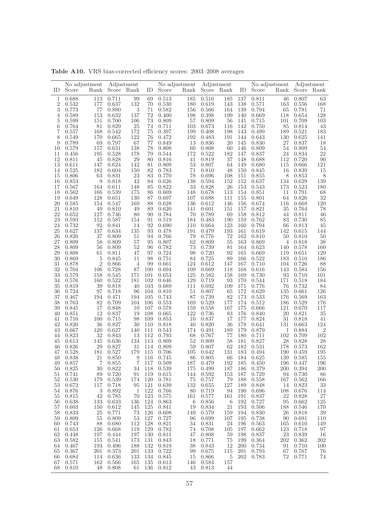|                |                 | No adjustment | Adjustment      |                |          |                | No adjustment | Adjustment     |                |            |                | No adjustment  | Adjustment     |                |
|----------------|-----------------|---------------|-----------------|----------------|----------|----------------|---------------|----------------|----------------|------------|----------------|----------------|----------------|----------------|
| ID             | Score           |               | Rank Score Rank |                | ID       | Score          |               | Rank Score     | Rank           | ID         | Score          |                | Rank Score     | Rank           |
| 1              | 0.688           | 113           | 0.711           | 99             | 69       | $0.513\,$      | 185           | 0.516          | 185            | 137        | 0.811          | 46             | 0.807          | 63             |
| $\overline{2}$ | $\,0.532\,$     | 177           | 0.637           | 132            | 70       | $0.530\,$      | 180           | 0.619          | 143            | 138        | 0.571          | 163            | 0.556          | 168            |
| 3              | 0.773           | 77            | 0.880           | 3              | 71       | 0.582          | 156           | 0.566          | 164            | 139        | 0.794          | 65             | 0.781          | 71             |
| 4              | 0.589           | 153           | 0.632           | 137            | 72       | 0.400          | 198           | 0.398          | 199            | 140        | 0.669          | 118            | 0.654          | 128            |
| 5              | 0.599           | 151           | 0.700           | 106            | 73       | 0.809          | 57            | 0.809          | 56             | 141        | 0.715          | 101            | 0.709          | 103            |
| 6              | 0.764           | 81            | 0.829           | 25             | 74       | 0.711          | 103           | 0.673          | 116            | 142        | 0.750          | 85             | 0.814          | 43             |
| 7              | 0.557           | 168           | 0.542           | 172            | 75       | 0.397          | 199           | 0.408          | 198            | 143        | 0.499          | 189            | 0.521          | 183            |
| 8              | 0.549           | 170           | 0.665           | 122            | 76       | 0.472          | 192           | 0.483          | 191            | 144        | 0.643          | 130            | 0.625          | 141            |
| 9              | 0.789           | 69            | 0.797           | 67             | 77       | 0.849          | 13            | 0.836          | <b>20</b>      | 145        | 0.830          | 27             | 0.837          | 18             |
| 10             | 0.579           | 157           | 0.631           | 138            | 78       | 0.808          | 60            | 0.808          | 60             | 146        | 0.809          | 54             | 0.809          | $54\,$         |
| 11             | 0.456           | 195           | 0.528           | 178            | 79       | 0.544          | 172           | 0.522          | 182            | 147        | 0.837          | 24             | 0.834          | 22             |
| 12             | 0.811           | 45            | 0.828           | 29             | 80       | 0.816          | 41            | 0.819          | 37             | 148        | 0.688          | 112            | 0.720          | 90             |
| 13             | 0.611           | 147           | 0.624           | 142            | 81       | 0.809          | 53            | 0.807          | 64             | 149        | 0.680          | 115            | 0.666          | 121            |
| 14             | 0.525           | 182           | 0.604           | 150            | 82       | 0.783          | 71            | 0.810          | 48             | 150        | 0.845          | 16             | 0.839          | 15             |
| 15             | 0.806           | 63            | 0.831           | 23             | 83       | 0.770          | 78            | 0.696          | 108            | 151        | 0.855          | $\,8\,$        | 0.853          | 8              |
| 16             | 0.853           | 9             | 0.818           | 42             | 84       | 0.626          | 138           | 0.594          | 152            | 152        | 0.637          | 134            | 0.629          | 139            |
| 17             | 0.567           | 164           | 0.611           | 148            | 85       | 0.822          | 33            | 0.828          | 26             | 153        | 0.543          | 173            | 0.523          | 180            |
| 18             | 0.562           | 166           | 0.539           | 175            | 86       | 0.609          | 148           | 0.678          | 113            | 154        | 0.851          | 11             | 0.791          | 68             |
| 19             | 0.649           | 128           | 0.651           | 130            | 87       | 0.697          | 107           | 0.688          | 111            | 155        | 0.801          | 64             | 0.826          | 32             |
| 20             | 0.585           | 154           | 0.547           | 169            | 88       | 0.628          | 136           | 0.612          | 146            | 156        | 0.674          | 116            | 0.668          | $120\,$        |
| 21             | 0.810           | 49            | 0.810           | 49             | 89       | 0.620          | 141           | 0.601          | 151            | 157        | 0.821          | $35\,$         | 0.764          | 78             |
| 22             | 0.652           | 127           | 0.746           | 80             | 90       | 0.784          | 70            | 0.789          | 69             | 158        | 0.812          | 44             | 0.811          | 46             |
| 23             | 0.593           | $152\,$       | 0.587           | 154            | 91       | 0.519          | 184           | 0.483          | 190            | 159        | 0.762          | 83             | 0.730          | $85\,$         |
| 24             | 0.732           | 92            | 0.841           | 14             | 92       | 0.690          | 110           | 0.664          | 123            | 160        | 0.794          | 66<br>142      | 0.813          | 45             |
| 25             | 0.627           | 137           | 0.634           | 135            | 93       | 0.478          | 191           | 0.479          | 193            | 161        | 0.619          |                | 0.615          | 144            |
| 26             | 0.820           | 37            | 0.809           | 51             | 94       | 0.766          | 79            | 0.776          | 72             | 162        | 0.810          | 50             | 0.810          | 50             |
| 27             | 0.809           | 58            | 0.809           | 57             | 95       | 0.807          | 62            | 0.809          | 55<br>81       | 163        | 0.869          | $\overline{4}$ | 0.818          | 38             |
| 28<br>29       | 0.809<br>0.808  | 56<br>61      | 0.809<br>0.811  | 52<br>47       | 96<br>97 | 0.782<br>0.724 | 73<br>98      | 0.739<br>0.720 | 92             | 164<br>165 | 0.623<br>0.669 | 140<br>119     | 0.578<br>0.651 | 160<br>129     |
| 30             |                 | 5             | 0.845           | 11             | 98       |                | 84            | 0.725          | 89             | 166        | 0.522          | 183            | 0.510          | 186            |
| 31             | 0.869<br>0.878  | $\sqrt{2}$    | 0.866           | $\overline{4}$ | 99       | 0.751<br>0.661 | 124           | 0.612          | 147            | 167        | 0.710          | 104            | 0.726          |                |
| 32             | 0.704           | 106           | 0.728           | 87             | 100      | 0.694          | 109           | 0.669          | 118            | 168        | 0.616          | 143            | 0.584          | 88<br>156      |
| 33             | 0.579           | 158           | 0.545           | 171            | 101      | 0.653          | 125           | 0.582          | 158            | 169        | 0.730          | 93             | 0.710          | 101            |
| 34             | 0.576           | 160           | 0.522           | 181            | 102      | 0.646          | 129           | 0.719          | 93             | 170        | 0.544          | 171            | 0.518          | 184            |
| 35             | 0.819           | 39            | 0.818           | 40             | 103      | 0.689          | 111           | 0.692          | 109            | 171        | 0.776          | 76             | 0.732          | $84\,$         |
| 36             | 0.724           | 97            | 0.718           | 96             | 104      | 0.810          | 51            | 0.807          | 65             | 172        | 0.629          | 135            | 0.661          | 126            |
| 37             | 0.467           | 194           | 0.471           | 194            | 105      | 0.743          | 87            | 0.739          | 82             | 173        | 0.533          | 176            | 0.569          | 163            |
| 38             | 0.763           | 82            | 0.709           | 104            | 106      | 0.553          | 169           | 0.529          | 177            | 174        | 0.512          | 186            | 0.529          | $176\,$        |
| 39             | 0.845           | 17            | 0.848           | 10             | 107      | 0.578          | 159           | 0.558          | 167            | 175        | 0.666          | 121            | 0.670          | 117            |
| 40             | 0.851           | 12            | 0.837           | 19             | 108      | 0.665          | 122           | 0.736          | 83             | 176        | 0.840          | 20             | 0.821          | $35\,$         |
| 41             | 0.716           | $100\,$       | 0.715           | 98             | 109      | 0.853          | 10            | 0.837          | 17             | 177        | 0.824          | 31             | 0.818          | 41             |
| 42             | 0.820           | 36            | 0.827           | 30             | 110      | 0.818          | 40            | 0.820          | 36             | 178        | 0.641          | 131            | 0.663          | 124            |
| 43             | 0.667           | 120           | 0.627           | 140            | 111      | 0.543          | 174           | 0.491          | 189            | 179        | 0.879          | 1              | 0.884          | $\overline{2}$ |
| 44             | 0.823           | 32            | 0.843           | 13             | 112      | 0.793          | 68            | 0.767          | 77             | 180        | 0.711          | 102            | 0.709          | $102\,$        |
| 45             | 0.613           | 145           | 0.636           | 134            | 113      | 0.809          | 52            | 0.809          | 58             | 181        | 0.827          | $\sqrt{28}$    | 0.828          | 28             |
| 46             | 0.826           | 29            | 0.827           | 31             | 114      | 0.809          | 59            | 0.807          | 62             | 182        | 0.531          | 178            | 0.573          | 162            |
| 47             | 0.528           | 181           | 0.527           | 179            | 115      | 0.706          | 105           | 0.642          | 131            | 183        | 0.494          | 190            | 0.459          | 195            |
| 48             | 0.838           | 21            | 0.850           | 9              | 116      | 0.745          | 86            | 0.805          | 66             | 184        | 0.625          | 139            | 0.585          | 155            |
|                | $49\quad 0.857$ |               | 7 0.855         |                |          | 7 117 0.509    |               | 187 0.479      |                |            | 192 185 0.450  |                | 196 0.447      | 196            |
| 50             | 0.825           | 30            | 0.822           | 34             |          | 118 0.539      | 175           | 0.499          | 187            |            | 186 0.379      |                | 200 0.394      | 200            |
| 51             | 0.741           | 89            | 0.720           | 91             | 119      | 0.615          | 144           | 0.592          | 153            | 187        | 0.729          | 94             | 0.730          | 86             |
| 52             | 0.530           | 179           | 0.539           | 174            | 120      | 0.781          | 75            | 0.757          | 79             | 188        | 0.558          | 167            | 0.562          | 166            |
| 53             | 0.672           | 117           | 0.718           | 95             | 121      | 0.639          | 132           | 0.655          | 127            | 189        | 0.848          | 14             | 0.823          | 33             |
| 54             | 0.876           | $\sqrt{3}$    | 0.892           | 1              | 122      | 0.766          | 80            | 0.719          | 94             | 190        | 0.696          | 108            | 0.676          | 114            |
| 55             | 0.815           | 42            | 0.785           | 70             | 123      | 0.575          | 161           | 0.577          | 161            | 191        | 0.837          | 22             | 0.828          | 27             |
| 56             | 0.638           | 133           | 0.633           | 136            | 124      | 0.863          | 6             | 0.856          | 6              | 192        | 0.727          | 95             | 0.662          | 125            |
| 57             | 0.603           | 150           | 0.612           | 145            | 125      | 0.841          | 19            | 0.834          | 21             | 193        | 0.506          | 188            | 0.546          | 170            |
| 58             | 0.833           | 25            | 0.771           | 73             | 126      | 0.608          | 149           | 0.579          | 159            | 194        | 0.830          | 26             | 0.818          | 39             |
| 59             | 0.809           | 55            | 0.809           | 53             | 127      | 0.727          | 96            | 0.699          | 107            | 195        | 0.738          | 90             | 0.691          | 110            |
| 60             | 0.743           | 88            | 0.680           | 112            | 128      | 0.821          | 34            | 0.831          | 24             | 196        | 0.563          | 165            | 0.610          | 149            |
| 61             | 0.653           | 126           | 0.668           | 119            | 129      | 0.782          | 74            | 0.708          | 105            | 197        | 0.662          | 123            | 0.718          | 97             |
| 62             | 0.448           | 197           | 0.444           | 197            | 130      | 0.811          | 47            | 0.808          | 59             | 198        | 0.837          | 23             | 0.839          | 16             |
| 63             | 0.582           | 155           | 0.541           | 173            | 131      | 0.843          | 18            | 0.771          | 75             | 199        | 0.364          | 202            | 0.362          | 202            |
| 64             | 0.467           | 193           | 0.496           | 188            | 132      | 0.819          | 38            | 0.843          | 12             | <b>200</b> | 0.734          | 91             | 0.710          | 100            |
| 65             | 0.367           | 201           | 0.373           | 201            | 133      | 0.722          | 99            | 0.675          | 115            | 201        | 0.793          | 67             | 0.767          | 76             |
| 66             | 0.684           | 114           | 0.636           | 133            | 134      | 0.845          | 15            | 0.866          | $\overline{5}$ | 202        | 0.783          | 72             | 0.771          | 74             |
| 67             | 0.571           | 162           | 0.566           | 165            | 135      | 0.613          | 146           | 0.584          | 157            |            |                |                |                |                |
| 68             | 0.810           | 48            | 0.808           | 61             | 136      | 0.812          | 43            | 0.813          | 44             |            |                |                |                |                |

Table A10. VRS bias-corrected efficiency scores: 2003–2008 averages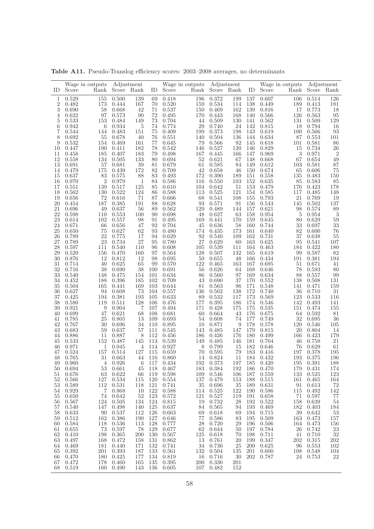|            |                | Wage in outputs       | Adjustment     |              |            |                | Wage in outputs | Adjustment     |            |            |                | Wage in outputs | Adjustment         |                      |
|------------|----------------|-----------------------|----------------|--------------|------------|----------------|-----------------|----------------|------------|------------|----------------|-----------------|--------------------|----------------------|
| ID         | Score          | Rank                  | Score          | Rank         | ID         | Score          | Rank            | Score          | Rank       | ID         | Score          | Rank            | Score              | Rank                 |
| 1          | 0.529          | 155                   | 0.500          | 139          | 69         | 0.418          | 196             | 0.372          | 199        | 137        | 0.607          | 106             | 0.514              | 126                  |
| $\sqrt{2}$ | 0.482          | 173                   | 0.444          | 167          | 70         | 0.520          | 159             | 0.534          | 114        | 138        | 0.449          | 189             | 0.413              | $181\,$              |
| 3<br>4     | 0.690<br>0.622 | 58<br>97              | 0.668<br>0.573 | 42<br>90     | 71<br>72   | 0.537<br>0.495 | 150<br>170      | 0.469<br>0.443 | 162<br>168 | 139<br>140 | 0.816<br>0.566 | 17<br>126       | 0.773<br>0.563     | 18<br>95             |
| 5          | 0.533          | 153                   | 0.484          | 149          | 73         | 0.704          | 44              | 0.509          | 130        | 141        | 0.562          | 131             | 0.509              | 129                  |
| 6          | 0.942          | 6                     | 0.934          | $\rm 5$      | 74         | 0.774          | 29              | 0.740          | 24         | 142        | 0.815          | 18              | 0.794              | 16                   |
| 7          | 0.544          | 144                   | 0.483          | 151          | 75         | 0.409          | 199             | 0.373          | 198        | 143        | 0.619          | 100             | 0.566              | $\boldsymbol{93}$    |
| 8          | 0.692          | 55                    | 0.678          | 40           | 76         | 0.551          | 140             | 0.504          | 136        | 144        | 0.634          | 87              | 0.553              | 101                  |
| 9          | 0.532          | 154                   | 0.469          | 161          | 77         | 0.645          | 79              | 0.566          | 92         | 145        | 0.618          | 101             | 0.581              | 86                   |
| 10<br>11   | 0.447<br>0.458 | 190<br>185            | 0.411<br>0.407 | 182<br>183   | 78<br>79   | 0.542<br>0.498 | 146<br>167      | 0.527<br>0.445 | 120<br>166 | 146<br>147 | 0.829<br>0.969 | 15<br>3         | 0.734<br>0.971     | 26<br>$\overline{2}$ |
| 12         | 0.558          | 134                   | 0.505          | 133          | 80         | 0.694          | 52              | 0.621          | 67         | 148        | 0.668          | 67              | 0.654              | 49                   |
| 13         | 0.691          | 57                    | 0.681          | $39\,$       | 81         | 0.679          | 61              | 0.585          | 84         | 149        | 0.612          | 103             | 0.581              | 87                   |
| 14         | 0.479          | 175                   | 0.439          | 172          | 82         | 0.709          | 42              | 0.658          | 46         | 150        | 0.674          | 65              | 0.606              | 75                   |
| 15         | 0.637          | 83                    | 0.575          | 88           | 83         | 0.493          | 172             | 0.390          | 189        | 151        | 0.558          | 135             | 0.483              | 150                  |
| 16         | 0.970          | $\overline{2}$        | 0.979          | $\mathbf{1}$ | 84         | 0.586          | 116             | 0.550          | 103        | 152        | 0.635          | 85              | 0.583              | $85\,$               |
| 17<br>18   | 0.551<br>0.562 | 139<br>130            | 0.517<br>0.522 | 125<br>124   | 85<br>86   | 0.610<br>0.588 | 104<br>113      | 0.642<br>0.525 | 51<br>121  | 153<br>154 | 0.479<br>0.585 | 176<br>117      | 0.423<br>0.485     | $178\,$<br>148       |
| 19         | 0.656          | 72                    | 0.616          | 71           | 87         | 0.666          | 68              | 0.541          | 108        | 155        | 0.793          | 21              | 0.769              | 19                   |
| <b>20</b>  | 0.454          | 187                   | 0.385          | 191          | 88         | 0.628          | 93              | 0.571          | 91         | 156        | 0.543          | 145             | 0.502              | $137\,$              |
| 21         | 0.696          | 49                    | 0.637          | 56           | 89         | 0.562          | 129             | 0.489          | 144        | 157        | 0.621          | 98              | 0.574              | 89                   |
| 22         | 0.598          | 110                   | 0.553          | 100          | 90         | 0.698          | 48              | 0.627          | 63         | 158        | 0.954          | 5               | 0.954              | $\boldsymbol{3}$     |
| 23<br>24   | 0.614<br>0.671 | 102<br>66             | 0.557<br>0.656 | $98\,$<br>47 | 91<br>92   | 0.495<br>0.704 | 169<br>45       | 0.441<br>0.636 | 170<br>58  | 159<br>160 | 0.645<br>0.744 | 80<br>33        | $0.629\,$<br>0.697 | 59<br>$33\,$         |
| 25         | 0.650          | 75                    | 0.627          | 62           | 93         | 0.480          | 174             | 0.435          | 173        | 161        | 0.640          | 82              | 0.600              | 76                   |
| 26         | 0.789          | 22                    | 0.775          | 17           | 94         | 0.629          | 92              | 0.540          | 109        | 162        | 0.731          | 37              | 0.638              | $55\,$               |
| 27         | 0.789          | 23                    | 0.734          | $27\,$       | 95         | 0.780          | 27              | 0.629          | 60         | 163        | 0.625          | 95              | 0.541              | $107\,$              |
| 28         | 0.597          | 111                   | 0.540          | 110          | 96         | 0.608          | 105             | 0.539          | 111        | 164        | 0.463          | 184             | 0.422              | 180                  |
| 29<br>30   | 0.529<br>0.876 | 156<br>12             | 0.470<br>0.812 | 160<br>12    | 97<br>98   | 0.564<br>0.695 | 128<br>50       | 0.507<br>0.655 | 132<br>48  | 165<br>166 | 0.619<br>0.434 | 99<br>191       | 0.587              | 82                   |
| 31         | 0.714          | 40                    | 0.625          | 65           | 99         | 0.570          | 122             | 0.465          | 163        | 167        | 0.695          | 51              | 0.381<br>0.671     | 194<br>41            |
| 32         | 0.716          | 38                    | 0.690          | 38           | 100        | 0.691          | 56              | 0.626          | 64         | 168        | 0.646          | 78              | 0.593              | 80                   |
| 33         | 0.540          | 148                   | 0.475          | 154          | 101        | 0.634          | 86              | 0.560          | 97         | 169        | 0.634          | 88              | 0.557              | $\boldsymbol{99}$    |
| 34         | 0.452          | 188                   | 0.396          | 185          | 102        | 0.709          | 43              | 0.690          | 37         | 170        | 0.552          | 138             | 0.508              | 131                  |
| 35<br>36   | 0.504<br>0.627 | 165<br>94             | 0.441<br>0.608 | 169<br>73    | 103<br>104 | 0.644<br>0.557 | 81<br>$136\,$   | 0.563<br>0.502 | 96<br>138  | 171<br>172 | 0.548<br>0.740 | 141<br>36       | 0.471<br>0.710     | $159\,$<br>$31\,$    |
| 37         | 0.425          | 194                   | 0.381          | 193          | 105        | 0.633          | 89              | 0.532          | 117        | 173        | 0.569          | 123             | 0.533              | 116                  |
| 38         | 0.580          | 119                   | 0.511          | 128          | 106        | 0.476          | 177             | 0.395          | 186        | 174        | 0.546          | 142             | 0.493              | 141                  |
| 39         | 0.921          | 9                     | 0.904          | 7            | 107        | 0.494          | 171             | 0.428          | 175        | 175        | 0.535          | 151             | 0.474              | $155\,$              |
| 40         | 0.699          | 47                    | 0.621          | 68           | 108        | 0.681          | 60              | 0.664          | 43         | 176        | 0.675          | 64              | 0.592              | 81                   |
| 41<br>42   | 0.785<br>0.767 | $25\,$<br>30          | 0.805<br>0.696 | 13<br>34     | 109<br>110 | 0.693<br>0.895 | 54<br>10        | 0.608<br>0.871 | 74<br>9    | 177<br>178 | 0.749<br>0.578 | 32<br>120       | 0.695<br>0.546     | $36\,$<br>$105\,$    |
| 43         | 0.683          | 59                    | 0.637          | 57           | 111        | 0.545          | 143             | 0.485          | 147        | 179        | 0.815          | 20              | 0.804              | 14                   |
| 44         | 0.886          | 11                    | 0.887          | 8            | 112        | 0.456          | 186             | 0.426          | 176        | 180        | 0.499          | 166             | 0.423              | 179                  |
| 45         | 0.533          | 152                   | 0.487          | 145          | 113        | 0.539          | 149             | 0.485          | 146        | 181        | 0.704          | 46              | 0.758              | 21                   |
| 46<br>47   | 0.971<br>0.524 | 1<br>157              | 0.945<br>0.514 | 4<br>127     | 114<br>115 | 0.927<br>0.659 | 8<br>70         | 0.799<br>0.595 | 15<br>79   | 182<br>183 | 0.646<br>0.416 | 76<br>197       | 0.629<br>0.378     | 61<br>195            |
| 48         | 0.765          | 31                    | 0.663          | 44           | 116        | 0.860          | 14              | 0.824          | 11         | 184        | 0.432          | 193             | 0.375              | 196                  |
| 49         | 0.960          | 4                     | 0.926          | - 6          |            | 117 0.434      |                 | 192 0.373      | 197        |            | 185 0.420      |                 | 195 0.391          | 188                  |
| 50         | 0.694          | 53                    | 0.661          | 45           | 118        | 0.467          | 183             | 0.384          | 192        | 186        | 0.470          | 179             | 0.431              | 174                  |
| 51         | 0.676          | 63                    | 0.622          | 66           | 119        | 0.598          | 109             | 0.546          | 106        | 187        | 0.559          | 133             | 0.525              | 123                  |
| 52         | 0.566          | 127                   | 0.534          | 115          | 120        | 0.554          | 137             | 0.479          | 153        | 188        | 0.515          | 161             | 0.465              | 164                  |
| 53<br>54   | 0.589<br>0.929 | 112<br>$\overline{7}$ | 0.531<br>0.868 | 118<br>10    | 121<br>122 | 0.741<br>0.588 | 35<br>114       | 0.696<br>0.525 | 35<br>122  | 189<br>190 | 0.631<br>0.586 | 91<br>115       | 0.613<br>0.492     | 72<br>142            |
| 55         | 0.650          | 74                    | 0.642          | 52           | 123        | 0.572          | 121             | 0.527          | 119        | 191        | 0.658          | 71              | 0.597              | 77                   |
| 56         | 0.567          | 124                   | 0.505          | 134          | 124        | 0.815          | 19              | 0.732          | 28         | 192        | 0.522          | 158             | 0.639              | 54                   |
| 57         | 0.540          | 147                   | 0.498          | 140          | 125        | 0.637          | 84              | 0.565          | 94         | 193        | 0.469          | 182             | 0.403              | 184                  |
| 58         | 0.633          | 90                    | 0.537          | 112          | 126        | 0.663          | 69              | 0.618          | 69         | 194        | 0.715          | $39\,$          | 0.642              | 53                   |
| 59<br>60   | 0.512<br>0.584 | 162<br>118            | 0.386<br>0.536 | 190<br>113   | 127<br>128 | 0.646<br>0.777 | 77<br>28        | 0.586<br>0.720 | 83<br>29   | 195<br>196 | 0.509<br>0.506 | 163<br>164      | 0.473<br>0.473     | 157<br>156           |
| 61         | 0.655          | 73                    | 0.597          | 78           | 129        | 0.677          | 62              | 0.644          | 50         | 197        | 0.784          | 26              | 0.742              | $23\,$               |
| 62         | 0.410          | 198                   | 0.365          | 200          | 130        | 0.567          | 125             | 0.618          | 70         | 198        | 0.711          | 41              | 0.710              | 32                   |
| 63         | 0.497          | 168                   | 0.472          | 158          | 131        | 0.862          | 13              | 0.761          | 20         | 199        | 0.347          | 202             | 0.315              | 202                  |
| 64         | 0.469<br>0.392 | 181<br>201            | 0.440          | 171<br>187   | 132<br>133 | 0.741<br>0.561 | 34<br>132       | 0.736<br>0.504 | 25<br>135  | 200<br>201 | 0.625          | 96              | 0.553<br>0.548     | 102                  |
| 65<br>66   | 0.470          | 180                   | 0.393<br>0.425 | 177          | 134        | 0.819          | $16\,$          | 0.716          | 30         | 202        | 0.600<br>0.787 | 108<br>24       | 0.753              | 104<br>22            |
| 67         | 0.472          | 178                   | 0.460          | 165          | 135        | 0.395          | 200             | 0.330          | $201\,$    |            |                |                 |                    |                      |
| 68         | 0.519          | 160                   | 0.490          | 143          | 136        | 0.605          | 107             | 0.482          | 152        |            |                |                 |                    |                      |

Table A11. Pseudo-Translog efficiency scores: 2003–2008 averages, no determinants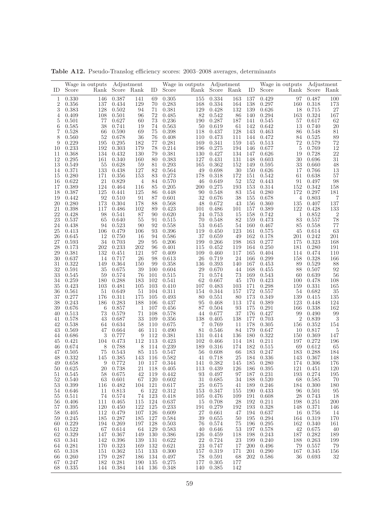| ID         | Score          | Wage in outputs<br>Rank | Adjustment         | Score Rank     | ID         | Score          | Wage in outputs<br>Rank | Adjustment<br>Score | Rank       | ID         | Score              | Wage in outputs<br>Rank | Adjustment<br>Score | Rank              |
|------------|----------------|-------------------------|--------------------|----------------|------------|----------------|-------------------------|---------------------|------------|------------|--------------------|-------------------------|---------------------|-------------------|
| 1          | 0.330          | 146                     | 0.387              | 141            | 69         | $0.305\,$      | 155                     | $0.334\,$           | 163        | 137        | 0.429              | 97                      | 0.487               | 100               |
| $\sqrt{2}$ | 0.356          | 137                     | 0.434              | 129            | 70         | 0.283          | 168                     | 0.334               | 164        | 138        | 0.297              | 160                     | 0.318               | 173               |
| $\,3$      | 0.383          | 128                     | 0.502              | 94             | 71         | 0.381          | 129                     | 0.428               | 132        | 139        | 0.626              | 18                      | 0.715               | $27\,$            |
| 4          | 0.409          | 108                     | 0.501              | 96             | 72         | 0.485          | 82                      | 0.542               | 86         | 140        | 0.294              | 163                     | 0.324               | $167\,$           |
| 5          | 0.501          | 77                      | 0.627              | 60             | 73         | 0.236          | 190                     | 0.287               | 187        | 141        | 0.545              | 57                      | 0.617               | 62                |
| 6<br>7     | 0.585<br>0.528 | 38<br>66                | 0.741<br>0.590     | 19<br>69       | 74<br>75   | 0.563<br>0.398 | 50<br>118               | 0.619<br>0.437      | 61<br>128  | 142<br>143 | 0.642<br>0.463     | 13<br>86                | 0.740<br>0.548      | 20<br>81          |
| 8          | 0.560          | 52                      | 0.678              | 36             | 76         | 0.408          | 110                     | 0.473               | 111        | 144        | 0.472              | 84                      | 0.525               | 89                |
| 9          | 0.229          | 195                     | 0.295              | 182            | 77         | 0.281          | 169                     | 0.341               | 159        | 145        | 0.513              | 72                      | 0.579               | $72\,$            |
| 10         | 0.233          | 192                     | 0.303              | 179            | 78         | 0.214          | 196                     | 0.275               | 194        | 146        | 0.677              | 5                       | 0.769               | 12                |
| 11<br>12   | 0.368<br>0.295 | 134<br>161              | 0.432<br>0.340     | 130<br>160     | 79<br>80   | 0.381<br>0.383 | 130<br>127              | 0.427<br>0.431      | 134<br>131 | 147<br>148 | 0.626<br>0.603     | 19<br>30                | 0.728<br>0.696      | $22\,$<br>31      |
| 13         | 0.549          | 55                      | 0.628              | 59             | 81         | 0.293          | 165                     | 0.362               | 152        | 149        | 0.595              | 33                      | 0.660               | $48\,$            |
| 14         | 0.371          | 133                     | 0.438              | 127            | 82         | 0.564          | 49                      | 0.698               | 30         | 150        | 0.626              | 17                      | 0.766               | 13                |
| 15         | 0.280          | 171                     | 0.356              | 153            | 83         | 0.273          | 178                     | 0.318               | 172        | 151        | 0.542              | 61                      | 0.638               | $57\,$            |
| 16         | 0.622          | 21                      | 0.829              | $\overline{4}$ | 84         | 0.570          | 46                      | 0.649               | $52\,$     | 152        | 0.443              | 91                      | 0.497               | 98                |
| 17<br>18   | 0.389<br>0.387 | 124<br>125              | 0.464<br>0.441     | 116<br>125     | 85<br>86   | 0.205<br>0.448 | 200<br>90               | 0.275<br>0.548      | 193<br>83  | 153<br>154 | 0.314<br>0.280     | 152<br>172              | 0.342<br>0.297      | $158\,$<br>181    |
| 19         | 0.442          | 92                      | 0.510              | 91             | 87         | 0.601          | 32                      | 0.676               | 38         | 155        | 0.678              | $\overline{4}$          | 0.803               | $\overline{7}$    |
| 20         | 0.280          | 173                     | 0.304              | 178            | 88         | 0.568          | 48                      | 0.672               | 43         | 156        | 0.360              | 135                     | 0.407               | $137\,$           |
| 21         | 0.398          | 117                     | 0.486              | 102            | 89         | 0.423          | 101                     | 0.486               | 101        | 157        | 0.389              | 122                     | 0.428               | $133\,$           |
| 22         | 0.428          | 98                      | 0.541              | 87             | 90         | 0.620          | 24                      | 0.753               | 15         | 158        | 0.742              | 1                       | 0.852               | $\sqrt{2}$        |
| 23<br>24   | 0.537<br>0.438 | 65<br>94                | 0.640<br>0.523     | $55\,$<br>90   | 91<br>92   | 0.515<br>0.558 | 70<br>53                | 0.548<br>0.645      | 82<br>54   | 159<br>160 | 0.473<br>0.467     | 83<br>85                | 0.557<br>0.558      | 78<br>77          |
| 25         | 0.413          | 106                     | 0.479              | 106            | 93         | 0.396          | 119                     | 0.450               | 123        | 161        | 0.575              | 45                      | 0.614               | $63\,$            |
| 26         | 0.645          | 12                      | 0.750              | 16             | 94         | 0.586          | 37                      | 0.659               | 49         | 162        | 0.178              | 201                     | 0.242               | $201\,$           |
| 27         | 0.593          | 34                      | 0.703              | 29             | 95         | 0.206          | 199                     | 0.266               | 198        | 163        | 0.277              | 175                     | 0.323               | 168               |
| 28<br>29   | 0.173          | 202                     | 0.233              | 202            | 96<br>97   | 0.401          | 115<br>109              | 0.452               | 119<br>117 | 164        | 0.250              | 181                     | 0.280               | $191\,$           |
| 30         | 0.381<br>0.637 | 132<br>14               | 0.451<br>0.717     | 121<br>26      | 98         | 0.409<br>0.613 | 26                      | 0.460<br>0.719      | 24         | 165<br>166 | 0.404<br>0.299     | 114<br>158              | 0.474<br>0.328      | 110<br>166        |
| 31         | 0.322          | 149                     | 0.364              | 150            | 99         | 0.358          | 136                     | 0.393               | 140        | 167        | 0.453              | 89                      | 0.529               | 88                |
| 32         | 0.591          | 35                      | 0.675              | 39             | 100        | 0.604          | 29                      | 0.670               | 44         | 168        | 0.455              | 88                      | 0.507               | 92                |
| 33         | 0.545          | 59                      | 0.574              | 76             | 101        | 0.515          | 71                      | 0.574               | 73         | 169        | 0.543              | 60                      | 0.639               | 56                |
| 34<br>35   | 0.259<br>0.423 | 180<br>103              | 0.288<br>0.481     | 183<br>105     | 102<br>103 | 0.541<br>0.410 | 62<br>107               | 0.667<br>0.483      | 45<br>103  | 170<br>171 | 0.423<br>0.298     | 100<br>159              | 0.478<br>0.331      | 108<br>$165\,$    |
| 36         | 0.561          | 51                      | 0.649              | 51             | 104        | 0.311          | 154                     | 0.344               | 157        | 172        | 0.557              | 54                      | 0.682               | $35\,$            |
| 37         | 0.277          | 176                     | 0.311              | 175            | 105        | 0.493          | 80                      | 0.551               | 80         | 173        | 0.349              | 139                     | 0.415               | $135\,$           |
| 38         | 0.243          | 186                     | 0.283              | 188            | 106        | 0.437          | 95                      | 0.468               | 113        | 174        | 0.389              | 123                     | 0.448               | 124               |
| 39         | 0.676          | 6                       | 0.857              | 1<br>71        | 107        | 0.456          | 87                      | 0.504               | 93         | 175        | 0.291              | 166                     | 0.338               | 162               |
| 40<br>41   | 0.513<br>0.578 | 73<br>43                | 0.579<br>0.687     | 33             | 108<br>109 | 0.578<br>0.356 | 44<br>138               | 0.677<br>0.405      | 37<br>138  | 176<br>177 | 0.427<br>0.703     | 99<br>$\sqrt{2}$        | 0.490<br>0.839      | 99<br>$\sqrt{3}$  |
| 42         | 0.538          | 64                      | 0.634              | 58             | 110        | 0.675          | $\overline{7}$          | 0.769               | 11         | 178        | 0.305              | $156\,$                 | 0.352               | 154               |
| 43         | 0.569          | 47                      | 0.664              | 46             | 111        | 0.490          | 81                      | 0.546               | 84         | 179        | 0.647              | 10                      | 0.817               | 5                 |
| 44         | 0.686          | 3                       | 0.777              | 9              | 112        | 0.381          | 131                     | 0.414               | 136        | 180        | 0.322              | 150                     | 0.369               | 147               |
| 45<br>46   | 0.421<br>0.674 | 104<br>8                | 0.473<br>0.788     | 112<br>8       | 113<br>114 | 0.423<br>0.239 | 102<br>189              | 0.466<br>0.316      | 114<br>174 | 181<br>182 | 0.211<br>$0.515\,$ | 197<br>69               | 0.272<br>0.612      | 196<br>65         |
| 47         | 0.505          | 75                      | 0.543              | 85             | 115        | 0.547          | 56                      | 0.608               | 66         | 183        | 0.247              | 183                     | 0.288               | 184               |
| 48         | 0.332          | 145                     | 0.385              | 143            | 116        | 0.582          | 41                      | 0.718               | $25\,$     | 184        | 0.336              | 143                     | 0.367               | 148               |
| 49         | 0.658          |                         | 9 0.772            |                |            | 10 117 0.344   |                         | 141 0.382           | 145        |            | 185 0.280          |                         | 174 0.306           | 176               |
| 50<br>51   | 0.625<br>0.545 | 20<br>58                | 0.738<br>0.675     | 21<br>42       | 118<br>119 | 0.405<br>0.442 | 113<br>93               | 0.439<br>0.497      | 126<br>97  | 186<br>187 | 0.395<br>0.231     | 121<br>193              | 0.451<br>0.274      | 120<br>195        |
| 52         | 0.540          | 63                      | 0.601              | 67             | 120        | 0.602          | 31                      | 0.685               | 34         | 188        | 0.520              | 68                      | 0.585               | 70                |
| 53         | 0.399          | 116                     | 0.482              | 104            | 121        | 0.617          | 25                      | 0.675               | 41         | 189        | 0.246              | 184                     | 0.300               | 180               |
| 54         | 0.646          | 11                      | 0.813              | 6              | 122        | 0.312          | 153                     | 0.347               | 155        | 190        | 0.433              | 96                      | 0.501               | 95                |
| 55         | 0.511          | 74                      | 0.574              | 74             | 123        | 0.418          | 105                     | 0.476               | 109        | 191        | 0.608              | 28                      | 0.743               | 18                |
| 56<br>57   | 0.406<br>0.395 | 111<br>120              | 0.465<br>0.450     | 115<br>122     | 124<br>125 | 0.637<br>0.233 | 15<br>191               | 0.708<br>0.279      | 28<br>192  | 192<br>193 | 0.211<br>0.328     | 198<br>148              | 0.251<br>0.371      | <b>200</b><br>146 |
| 58         | 0.405          | 112                     | 0.479              | 107            | 126        | 0.609          | 27                      | 0.661               | 47         | 194        | 0.637              | 16                      | 0.756               | 14                |
| 59         | 0.245          | 185                     | 0.287              | 185            | 127        | 0.584          | 39                      | 0.655               | 50         | 195        | 0.294              | 164                     | 0.319               | 170               |
| 60         | 0.229          | 194                     | 0.269              | 197            | 128        | 0.503          | 76                      | 0.574               | 75         | 196        | 0.295              | 162                     | 0.340               | 161               |
| 61         | 0.522          | 67                      | 0.614              | 64             | 129        | 0.583          | 40                      | 0.646               | 53         | 197        | 0.578              | 42                      | 0.675               | 40                |
| 62<br>63   | 0.329<br>0.341 | 147<br>142              | 0.367<br>$0.396\,$ | 149<br>139     | 130<br>131 | 0.386<br>0.622 | 126<br>$22\,$           | 0.459<br>0.724      | 118<br>23  | 198<br>199 | 0.243<br>0.240     | 187<br>188              | 0.282<br>0.263      | 189<br>199        |
| 64         | 0.281          | 170                     | 0.323              | 169            | 132        | 0.621          | 23                      | 0.747               | 17         | <b>200</b> | 0.496              | 79                      | 0.557               | 79                |
| 65         | 0.318          | 151                     | 0.362              | 151            | 133        | 0.300          | 157                     | 0.319               | 171        | 201        | 0.290              | 167                     | 0.345               | 156               |
| 66         | 0.260          | 179                     | 0.287              | 186            | 134        | 0.497          | 78                      | 0.591               | 68         | 202        | 0.586              | 36                      | 0.693               | 32                |
| 67<br>68   | 0.247<br>0.335 | 182<br>144              | 0.281<br>0.384     | 190<br>144     | 135<br>136 | 0.275<br>0.348 | 177<br>140              | 0.305<br>0.385      | 177<br>142 |            |                    |                         |                     |                   |
|            |                |                         |                    |                |            |                |                         |                     |            |            |                    |                         |                     |                   |

Table A12. Pseudo-Translog efficiency scores: 2003–2008 averages, determinants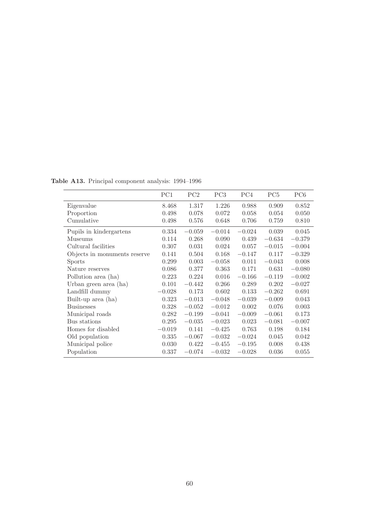|                              | PC1      | PC2      | PC3      | PC4      | PC5      | PC <sub>6</sub> |
|------------------------------|----------|----------|----------|----------|----------|-----------------|
| Eigenvalue                   | 8.468    | 1.317    | 1.226    | 0.988    | 0.909    | 0.852           |
| Proportion                   | 0.498    | 0.078    | 0.072    | 0.058    | 0.054    | 0.050           |
| Cumulative                   | 0.498    | 0.576    | 0.648    | 0.706    | 0.759    | 0.810           |
| Pupils in kindergartens      | 0.334    | $-0.059$ | $-0.014$ | $-0.024$ | 0.039    | 0.045           |
| Museums                      | 0.114    | 0.268    | 0.090    | 0.439    | $-0.634$ | $-0.379$        |
| Cultural facilities          | 0.307    | 0.031    | 0.024    | 0.057    | $-0.015$ | $-0.004$        |
| Objects in monuments reserve | 0.141    | 0.504    | 0.168    | $-0.147$ | 0.117    | $-0.329$        |
| <b>Sports</b>                | 0.299    | 0.003    | $-0.058$ | 0.011    | $-0.043$ | 0.008           |
| Nature reserves              | 0.086    | 0.377    | 0.363    | 0.171    | 0.631    | $-0.080$        |
| Pollution area (ha)          | 0.223    | 0.224    | 0.016    | $-0.166$ | $-0.119$ | $-0.002$        |
| Urban green area (ha)        | 0.101    | $-0.442$ | 0.266    | 0.289    | 0.202    | $-0.027$        |
| Landfill dummy               | $-0.028$ | 0.173    | 0.602    | 0.133    | $-0.262$ | 0.691           |
| Built-up area (ha)           | 0.323    | $-0.013$ | $-0.048$ | $-0.039$ | $-0.009$ | 0.043           |
| <b>Businesses</b>            | 0.328    | $-0.052$ | $-0.012$ | 0.002    | 0.076    | 0.003           |
| Municipal roads              | 0.282    | $-0.199$ | $-0.041$ | $-0.009$ | $-0.061$ | 0.173           |
| Bus stations                 | 0.295    | $-0.035$ | $-0.023$ | 0.023    | $-0.081$ | $-0.007$        |
| Homes for disabled           | $-0.019$ | 0.141    | $-0.425$ | 0.763    | 0.198    | 0.184           |
| Old population               | 0.335    | $-0.067$ | $-0.032$ | $-0.024$ | 0.045    | 0.042           |
| Municipal police             | 0.030    | 0.422    | $-0.455$ | $-0.195$ | 0.008    | 0.438           |
| Population                   | 0.337    | $-0.074$ | $-0.032$ | $-0.028$ | 0.036    | 0.055           |

Table A13. Principal component analysis: 1994–1996